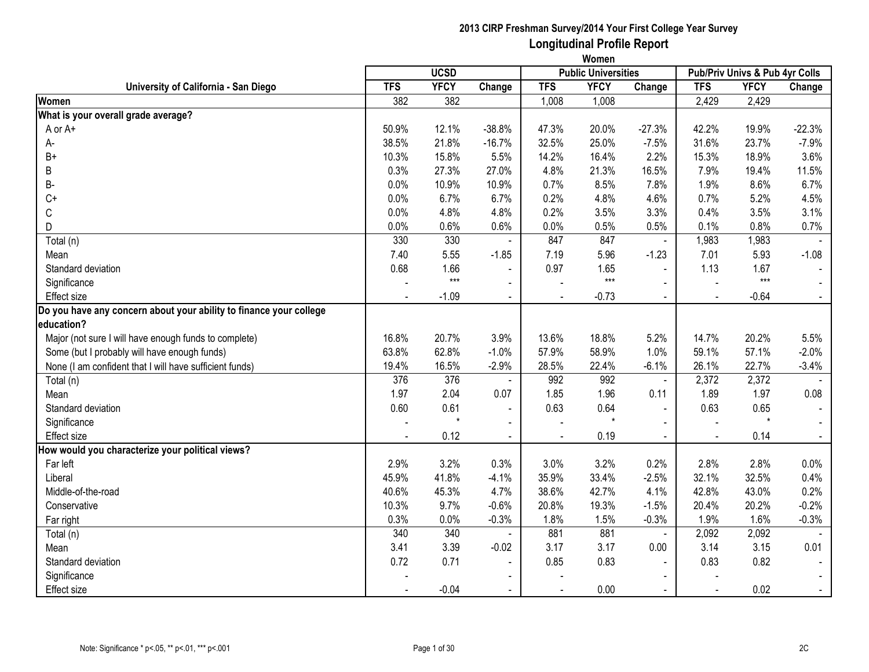|                                                                    | <b>UCSD</b> |             |                |                | ,,,,,,,,,<br><b>Public Universities</b> |                | Pub/Priv Univs & Pub 4yr Colls |             |          |
|--------------------------------------------------------------------|-------------|-------------|----------------|----------------|-----------------------------------------|----------------|--------------------------------|-------------|----------|
| University of California - San Diego                               | <b>TFS</b>  | <b>YFCY</b> | Change         | <b>TFS</b>     | <b>YFCY</b>                             | Change         | <b>TFS</b>                     | <b>YFCY</b> | Change   |
| Women                                                              | 382         | 382         |                | 1,008          | 1,008                                   |                | 2,429                          | 2,429       |          |
| What is your overall grade average?                                |             |             |                |                |                                         |                |                                |             |          |
| A or A+                                                            | 50.9%       | 12.1%       | $-38.8%$       | 47.3%          | 20.0%                                   | $-27.3%$       | 42.2%                          | 19.9%       | $-22.3%$ |
| А-                                                                 | 38.5%       | 21.8%       | $-16.7%$       | 32.5%          | 25.0%                                   | $-7.5%$        | 31.6%                          | 23.7%       | $-7.9%$  |
| $B+$                                                               | 10.3%       | 15.8%       | 5.5%           | 14.2%          | 16.4%                                   | 2.2%           | 15.3%                          | 18.9%       | 3.6%     |
| B                                                                  | 0.3%        | 27.3%       | 27.0%          | 4.8%           | 21.3%                                   | 16.5%          | 7.9%                           | 19.4%       | 11.5%    |
| В-                                                                 | 0.0%        | 10.9%       | 10.9%          | 0.7%           | 8.5%                                    | 7.8%           | 1.9%                           | 8.6%        | 6.7%     |
| $C+$                                                               | 0.0%        | 6.7%        | 6.7%           | 0.2%           | 4.8%                                    | 4.6%           | 0.7%                           | 5.2%        | 4.5%     |
| C                                                                  | 0.0%        | 4.8%        | 4.8%           | 0.2%           | 3.5%                                    | 3.3%           | 0.4%                           | 3.5%        | 3.1%     |
| D                                                                  | 0.0%        | 0.6%        | 0.6%           | 0.0%           | 0.5%                                    | 0.5%           | 0.1%                           | 0.8%        | 0.7%     |
| Total (n)                                                          | 330         | 330         |                | 847            | 847                                     | $\blacksquare$ | 1,983                          | 1,983       |          |
| Mean                                                               | 7.40        | 5.55        | $-1.85$        | 7.19           | 5.96                                    | $-1.23$        | 7.01                           | 5.93        | $-1.08$  |
| Standard deviation                                                 | 0.68        | 1.66        | $\blacksquare$ | 0.97           | 1.65                                    | $\blacksquare$ | 1.13                           | 1.67        |          |
| Significance                                                       |             | $***$       | $\blacksquare$ |                | $***$                                   |                |                                | $***$       |          |
| <b>Effect</b> size                                                 |             | $-1.09$     | $\blacksquare$ |                | $-0.73$                                 | $\blacksquare$ |                                | $-0.64$     |          |
| Do you have any concern about your ability to finance your college |             |             |                |                |                                         |                |                                |             |          |
| education?                                                         |             |             |                |                |                                         |                |                                |             |          |
| Major (not sure I will have enough funds to complete)              | 16.8%       | 20.7%       | 3.9%           | 13.6%          | 18.8%                                   | 5.2%           | 14.7%                          | 20.2%       | 5.5%     |
| Some (but I probably will have enough funds)                       | 63.8%       | 62.8%       | $-1.0%$        | 57.9%          | 58.9%                                   | 1.0%           | 59.1%                          | 57.1%       | $-2.0%$  |
| None (I am confident that I will have sufficient funds)            | 19.4%       | 16.5%       | $-2.9%$        | 28.5%          | 22.4%                                   | $-6.1%$        | 26.1%                          | 22.7%       | $-3.4%$  |
| Total (n)                                                          | 376         | 376         |                | 992            | 992                                     | $\blacksquare$ | 2,372                          | 2,372       |          |
| Mean                                                               | 1.97        | 2.04        | 0.07           | 1.85           | 1.96                                    | 0.11           | 1.89                           | 1.97        | 0.08     |
| Standard deviation                                                 | 0.60        | 0.61        | $\blacksquare$ | 0.63           | 0.64                                    | $\blacksquare$ | 0.63                           | 0.65        |          |
| Significance                                                       |             |             | $\blacksquare$ |                |                                         | $\blacksquare$ | $\sim$                         |             |          |
| <b>Effect size</b>                                                 |             | 0.12        | $\blacksquare$ | $\blacksquare$ | 0.19                                    | $\sim$         | $\sim$                         | 0.14        | $\sim$   |
| How would you characterize your political views?                   |             |             |                |                |                                         |                |                                |             |          |
| Far left                                                           | 2.9%        | 3.2%        | 0.3%           | 3.0%           | 3.2%                                    | 0.2%           | 2.8%                           | 2.8%        | 0.0%     |
| Liberal                                                            | 45.9%       | 41.8%       | $-4.1%$        | 35.9%          | 33.4%                                   | $-2.5%$        | 32.1%                          | 32.5%       | 0.4%     |
| Middle-of-the-road                                                 | 40.6%       | 45.3%       | 4.7%           | 38.6%          | 42.7%                                   | 4.1%           | 42.8%                          | 43.0%       | 0.2%     |
| Conservative                                                       | 10.3%       | 9.7%        | $-0.6%$        | 20.8%          | 19.3%                                   | $-1.5%$        | 20.4%                          | 20.2%       | $-0.2%$  |
| Far right                                                          | 0.3%        | 0.0%        | $-0.3%$        | 1.8%           | 1.5%                                    | $-0.3%$        | 1.9%                           | 1.6%        | $-0.3%$  |
| Total (n)                                                          | 340         | 340         |                | 881            | 881                                     | $\blacksquare$ | 2,092                          | 2,092       |          |
| Mean                                                               | 3.41        | 3.39        | $-0.02$        | 3.17           | 3.17                                    | 0.00           | 3.14                           | 3.15        | 0.01     |
| Standard deviation                                                 | 0.72        | 0.71        |                | 0.85           | 0.83                                    |                | 0.83                           | 0.82        |          |
| Significance                                                       |             |             |                |                |                                         |                |                                |             |          |
| <b>Effect size</b>                                                 |             | $-0.04$     | $\blacksquare$ |                | 0.00                                    | $\blacksquare$ | $\blacksquare$                 | 0.02        |          |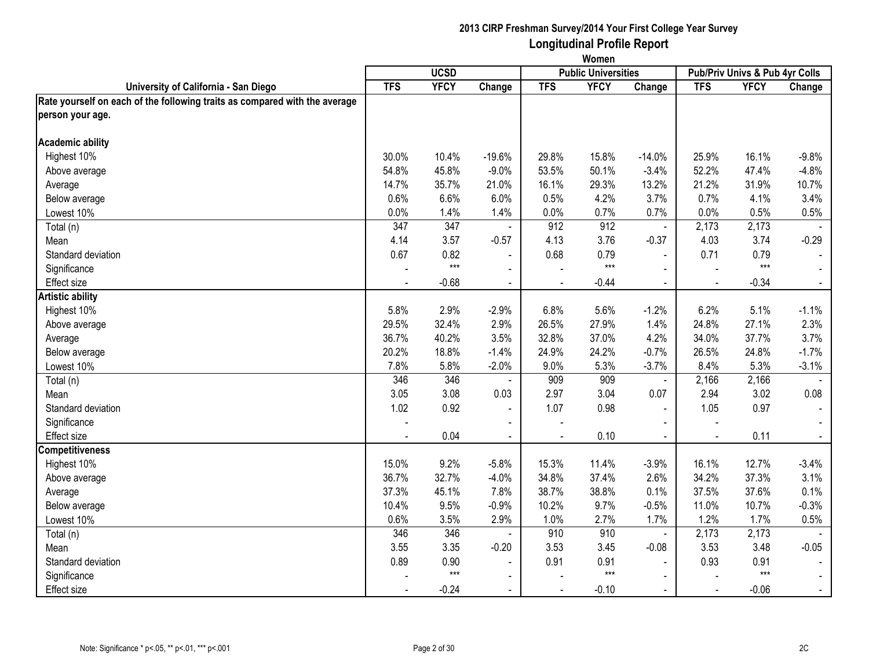|                                                                            | Women      |                   |                |                |                            |                |                                |             |                |
|----------------------------------------------------------------------------|------------|-------------------|----------------|----------------|----------------------------|----------------|--------------------------------|-------------|----------------|
|                                                                            |            | <b>UCSD</b>       |                |                | <b>Public Universities</b> |                | Pub/Priv Univs & Pub 4yr Colls |             |                |
| University of California - San Diego                                       | <b>TFS</b> | <b>YFCY</b>       | Change         | <b>TFS</b>     | <b>YFCY</b>                | Change         | <b>TFS</b>                     | <b>YFCY</b> | Change         |
| Rate yourself on each of the following traits as compared with the average |            |                   |                |                |                            |                |                                |             |                |
| person your age.                                                           |            |                   |                |                |                            |                |                                |             |                |
| <b>Academic ability</b>                                                    |            |                   |                |                |                            |                |                                |             |                |
| Highest 10%                                                                | 30.0%      | 10.4%             | $-19.6%$       | 29.8%          | 15.8%                      | $-14.0%$       | 25.9%                          | 16.1%       | $-9.8%$        |
| Above average                                                              | 54.8%      | 45.8%             | $-9.0%$        | 53.5%          | 50.1%                      | $-3.4%$        | 52.2%                          | 47.4%       | $-4.8%$        |
| Average                                                                    | 14.7%      | 35.7%             | 21.0%          | 16.1%          | 29.3%                      | 13.2%          | 21.2%                          | 31.9%       | 10.7%          |
| Below average                                                              | 0.6%       | 6.6%              | 6.0%           | 0.5%           | 4.2%                       | 3.7%           | 0.7%                           | 4.1%        | 3.4%           |
| Lowest 10%                                                                 | 0.0%       | 1.4%              | 1.4%           | 0.0%           | 0.7%                       | 0.7%           | 0.0%                           | 0.5%        | 0.5%           |
| Total (n)                                                                  | 347        | 347               |                | 912            | 912                        | $\omega$       | 2,173                          | 2,173       |                |
| Mean                                                                       | 4.14       | 3.57              | $-0.57$        | 4.13           | 3.76                       | $-0.37$        | 4.03                           | 3.74        | $-0.29$        |
| Standard deviation                                                         | 0.67       | 0.82              | $\blacksquare$ | 0.68           | 0.79                       | $\mathbf{r}$   | 0.71                           | 0.79        |                |
| Significance                                                               |            | $\star\star\star$ | $\sim$         |                | $***$                      | $\overline{a}$ |                                | $***$       | $\sim$         |
| <b>Effect size</b>                                                         | $\sim$     | $-0.68$           | $\blacksquare$ | $\sim$         | $-0.44$                    | $\sim$         | $\sim$                         | $-0.34$     | $\sim$         |
| <b>Artistic ability</b>                                                    |            |                   |                |                |                            |                |                                |             |                |
| Highest 10%                                                                | 5.8%       | 2.9%              | $-2.9%$        | 6.8%           | 5.6%                       | $-1.2%$        | 6.2%                           | 5.1%        | $-1.1%$        |
| Above average                                                              | 29.5%      | 32.4%             | 2.9%           | 26.5%          | 27.9%                      | 1.4%           | 24.8%                          | 27.1%       | 2.3%           |
| Average                                                                    | 36.7%      | 40.2%             | 3.5%           | 32.8%          | 37.0%                      | 4.2%           | 34.0%                          | 37.7%       | 3.7%           |
| Below average                                                              | 20.2%      | 18.8%             | $-1.4%$        | 24.9%          | 24.2%                      | $-0.7%$        | 26.5%                          | 24.8%       | $-1.7%$        |
| Lowest 10%                                                                 | 7.8%       | 5.8%              | $-2.0%$        | 9.0%           | 5.3%                       | $-3.7%$        | 8.4%                           | 5.3%        | $-3.1%$        |
| Total (n)                                                                  | 346        | 346               |                | 909            | 909                        | $\blacksquare$ | 2,166                          | 2,166       |                |
| Mean                                                                       | 3.05       | 3.08              | 0.03           | 2.97           | 3.04                       | 0.07           | 2.94                           | 3.02        | 0.08           |
| Standard deviation                                                         | 1.02       | 0.92              | $\blacksquare$ | 1.07           | 0.98                       | $\blacksquare$ | 1.05                           | 0.97        | $\blacksquare$ |
| Significance                                                               |            |                   |                |                |                            |                |                                |             |                |
| <b>Effect size</b>                                                         |            | 0.04              | $\sim$         | $\overline{a}$ | 0.10                       | $\blacksquare$ |                                | 0.11        | $\sim$         |
| <b>Competitiveness</b>                                                     |            |                   |                |                |                            |                |                                |             |                |
| Highest 10%                                                                | 15.0%      | 9.2%              | $-5.8%$        | 15.3%          | 11.4%                      | $-3.9%$        | 16.1%                          | 12.7%       | $-3.4%$        |
| Above average                                                              | 36.7%      | 32.7%             | $-4.0%$        | 34.8%          | 37.4%                      | 2.6%           | 34.2%                          | 37.3%       | 3.1%           |
| Average                                                                    | 37.3%      | 45.1%             | 7.8%           | 38.7%          | 38.8%                      | 0.1%           | 37.5%                          | 37.6%       | 0.1%           |
| Below average                                                              | 10.4%      | 9.5%              | $-0.9%$        | 10.2%          | 9.7%                       | $-0.5%$        | 11.0%                          | 10.7%       | $-0.3%$        |
| Lowest 10%                                                                 | 0.6%       | 3.5%              | 2.9%           | 1.0%           | 2.7%                       | 1.7%           | 1.2%                           | 1.7%        | 0.5%           |
| Total (n)                                                                  | 346        | 346               |                | 910            | 910                        | $\sim$         | 2,173                          | 2,173       |                |
| Mean                                                                       | 3.55       | 3.35              | $-0.20$        | 3.53           | 3.45                       | $-0.08$        | 3.53                           | 3.48        | $-0.05$        |
| Standard deviation                                                         | 0.89       | 0.90              | $\sim$         | 0.91           | 0.91                       | $\sim$         | 0.93                           | 0.91        | $\sim$         |
| Significance                                                               |            | $***$             | $\blacksquare$ |                | $***$                      |                |                                | $***$       |                |
| <b>Effect size</b>                                                         |            | $-0.24$           | $\blacksquare$ |                | $-0.10$                    |                |                                | $-0.06$     | $\blacksquare$ |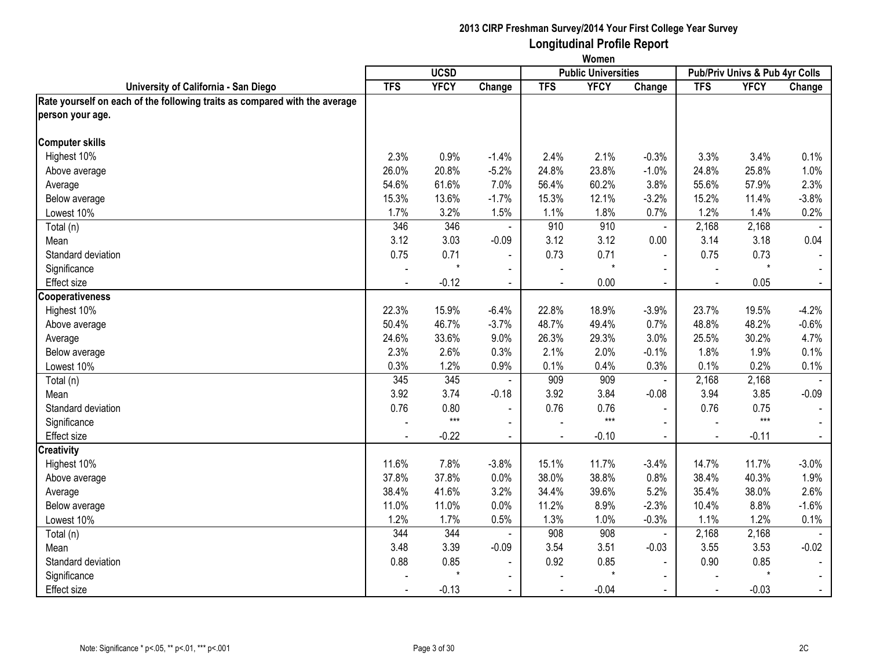|                                                                            | Women      |             |                |              |                            |                                |                |             |                |
|----------------------------------------------------------------------------|------------|-------------|----------------|--------------|----------------------------|--------------------------------|----------------|-------------|----------------|
|                                                                            |            | <b>UCSD</b> |                |              | <b>Public Universities</b> | Pub/Priv Univs & Pub 4yr Colls |                |             |                |
| University of California - San Diego                                       | <b>TFS</b> | <b>YFCY</b> | Change         | <b>TFS</b>   | <b>YFCY</b>                | Change                         | <b>TFS</b>     | <b>YFCY</b> | Change         |
| Rate yourself on each of the following traits as compared with the average |            |             |                |              |                            |                                |                |             |                |
| person your age.                                                           |            |             |                |              |                            |                                |                |             |                |
| <b>Computer skills</b>                                                     |            |             |                |              |                            |                                |                |             |                |
| Highest 10%                                                                | 2.3%       | 0.9%        | $-1.4%$        | 2.4%         | 2.1%                       | $-0.3%$                        | 3.3%           | 3.4%        | 0.1%           |
| Above average                                                              | 26.0%      | 20.8%       | $-5.2%$        | 24.8%        | 23.8%                      | $-1.0%$                        | 24.8%          | 25.8%       | 1.0%           |
| Average                                                                    | 54.6%      | 61.6%       | 7.0%           | 56.4%        | 60.2%                      | 3.8%                           | 55.6%          | 57.9%       | 2.3%           |
| Below average                                                              | 15.3%      | 13.6%       | $-1.7%$        | 15.3%        | 12.1%                      | $-3.2%$                        | 15.2%          | 11.4%       | $-3.8%$        |
| Lowest 10%                                                                 | 1.7%       | 3.2%        | 1.5%           | 1.1%         | 1.8%                       | 0.7%                           | 1.2%           | 1.4%        | 0.2%           |
| Total (n)                                                                  | 346        | 346         |                | 910          | 910                        | $\blacksquare$                 | 2,168          | 2,168       |                |
| Mean                                                                       | 3.12       | 3.03        | $-0.09$        | 3.12         | 3.12                       | 0.00                           | 3.14           | 3.18        | 0.04           |
| Standard deviation                                                         | 0.75       | 0.71        | $\blacksquare$ | 0.73         | 0.71                       | $\overline{a}$                 | 0.75           | 0.73        |                |
| Significance                                                               |            | $\star$     | $\blacksquare$ |              | $\star$                    | $\sim$                         |                | $\star$     | $\sim$         |
| <b>Effect size</b>                                                         |            | $-0.12$     | $\blacksquare$ | $\mathbf{r}$ | 0.00                       | $\blacksquare$                 | $\sim$         | 0.05        | $\blacksquare$ |
| <b>Cooperativeness</b>                                                     |            |             |                |              |                            |                                |                |             |                |
| Highest 10%                                                                | 22.3%      | 15.9%       | $-6.4%$        | 22.8%        | 18.9%                      | $-3.9%$                        | 23.7%          | 19.5%       | $-4.2%$        |
| Above average                                                              | 50.4%      | 46.7%       | $-3.7%$        | 48.7%        | 49.4%                      | 0.7%                           | 48.8%          | 48.2%       | $-0.6%$        |
| Average                                                                    | 24.6%      | 33.6%       | 9.0%           | 26.3%        | 29.3%                      | 3.0%                           | 25.5%          | 30.2%       | 4.7%           |
| Below average                                                              | 2.3%       | 2.6%        | 0.3%           | 2.1%         | 2.0%                       | $-0.1%$                        | 1.8%           | 1.9%        | 0.1%           |
| Lowest 10%                                                                 | 0.3%       | 1.2%        | 0.9%           | 0.1%         | 0.4%                       | 0.3%                           | 0.1%           | 0.2%        | 0.1%           |
| Total (n)                                                                  | 345        | 345         |                | 909          | 909                        | $\blacksquare$                 | 2,168          | 2,168       |                |
| Mean                                                                       | 3.92       | 3.74        | $-0.18$        | 3.92         | 3.84                       | $-0.08$                        | 3.94           | 3.85        | $-0.09$        |
| Standard deviation                                                         | 0.76       | 0.80        | $\blacksquare$ | 0.76         | 0.76                       | $\blacksquare$                 | 0.76           | 0.75        | $\blacksquare$ |
| Significance                                                               |            | $***$       | $\blacksquare$ |              | $***$                      |                                |                | $***$       |                |
| <b>Effect size</b>                                                         |            | $-0.22$     | $\overline{a}$ |              | $-0.10$                    | $\blacksquare$                 | $\overline{a}$ | $-0.11$     | $\blacksquare$ |
| <b>Creativity</b>                                                          |            |             |                |              |                            |                                |                |             |                |
| Highest 10%                                                                | 11.6%      | 7.8%        | $-3.8%$        | 15.1%        | 11.7%                      | $-3.4%$                        | 14.7%          | 11.7%       | $-3.0%$        |
| Above average                                                              | 37.8%      | 37.8%       | 0.0%           | 38.0%        | 38.8%                      | 0.8%                           | 38.4%          | 40.3%       | 1.9%           |
| Average                                                                    | 38.4%      | 41.6%       | 3.2%           | 34.4%        | 39.6%                      | 5.2%                           | 35.4%          | 38.0%       | 2.6%           |
| Below average                                                              | 11.0%      | 11.0%       | 0.0%           | 11.2%        | 8.9%                       | $-2.3%$                        | 10.4%          | 8.8%        | $-1.6%$        |
| Lowest 10%                                                                 | 1.2%       | 1.7%        | 0.5%           | 1.3%         | 1.0%                       | $-0.3%$                        | 1.1%           | 1.2%        | 0.1%           |
| Total (n)                                                                  | 344        | 344         |                | 908          | 908                        | $\blacksquare$                 | 2,168          | 2,168       |                |
| Mean                                                                       | 3.48       | 3.39        | $-0.09$        | 3.54         | 3.51                       | $-0.03$                        | 3.55           | 3.53        | $-0.02$        |
| Standard deviation                                                         | 0.88       | 0.85        | $\blacksquare$ | 0.92         | 0.85                       | $\blacksquare$                 | 0.90           | 0.85        | $\blacksquare$ |
| Significance                                                               |            |             | $\blacksquare$ |              | $\star$                    |                                |                |             |                |
| Effect size                                                                |            | $-0.13$     | $\blacksquare$ |              | $-0.04$                    |                                |                | $-0.03$     | $\blacksquare$ |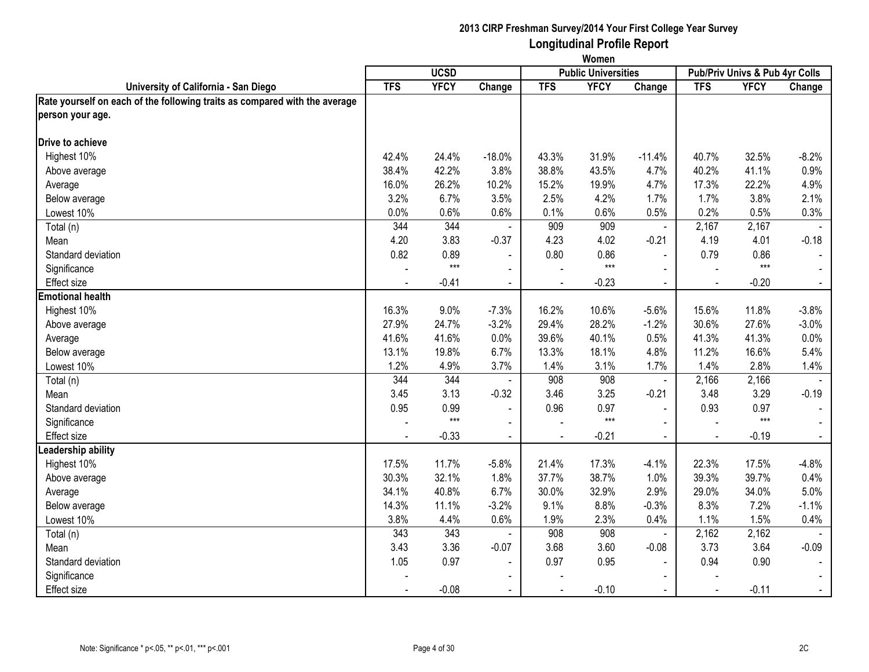|                                                                            | Women          |             |                          |                |                            |                |                                |             |                |
|----------------------------------------------------------------------------|----------------|-------------|--------------------------|----------------|----------------------------|----------------|--------------------------------|-------------|----------------|
|                                                                            |                | <b>UCSD</b> |                          |                | <b>Public Universities</b> |                | Pub/Priv Univs & Pub 4yr Colls |             |                |
| University of California - San Diego                                       | <b>TFS</b>     | <b>YFCY</b> | Change                   | <b>TFS</b>     | <b>YFCY</b>                | Change         | <b>TFS</b>                     | <b>YFCY</b> | Change         |
| Rate yourself on each of the following traits as compared with the average |                |             |                          |                |                            |                |                                |             |                |
| person your age.                                                           |                |             |                          |                |                            |                |                                |             |                |
| <b>Drive to achieve</b>                                                    |                |             |                          |                |                            |                |                                |             |                |
| Highest 10%                                                                | 42.4%          | 24.4%       | $-18.0%$                 | 43.3%          | 31.9%                      | $-11.4%$       | 40.7%                          | 32.5%       | $-8.2%$        |
| Above average                                                              | 38.4%          | 42.2%       | 3.8%                     | 38.8%          | 43.5%                      | 4.7%           | 40.2%                          | 41.1%       | 0.9%           |
| Average                                                                    | 16.0%          | 26.2%       | 10.2%                    | 15.2%          | 19.9%                      | 4.7%           | 17.3%                          | 22.2%       | 4.9%           |
| Below average                                                              | 3.2%           | 6.7%        | 3.5%                     | 2.5%           | 4.2%                       | 1.7%           | 1.7%                           | 3.8%        | 2.1%           |
| Lowest 10%                                                                 | 0.0%           | 0.6%        | 0.6%                     | 0.1%           | 0.6%                       | 0.5%           | 0.2%                           | 0.5%        | 0.3%           |
| Total (n)                                                                  | 344            | 344         |                          | 909            | 909                        | $\overline{a}$ | 2,167                          | 2,167       |                |
| Mean                                                                       | 4.20           | 3.83        | $-0.37$                  | 4.23           | 4.02                       | $-0.21$        | 4.19                           | 4.01        | $-0.18$        |
| Standard deviation                                                         | 0.82           | 0.89        | $\blacksquare$           | 0.80           | 0.86                       | $\blacksquare$ | 0.79                           | 0.86        |                |
| Significance                                                               |                | $***$       | $\sim$                   |                | $***$                      | $\sim$         |                                | $***$       | $\sim$         |
| <b>Effect size</b>                                                         | $\blacksquare$ | $-0.41$     | $\blacksquare$           | $\overline{a}$ | $-0.23$                    | $\blacksquare$ | $\sim$                         | $-0.20$     | $\sim$         |
| <b>Emotional health</b>                                                    |                |             |                          |                |                            |                |                                |             |                |
| Highest 10%                                                                | 16.3%          | 9.0%        | $-7.3%$                  | 16.2%          | 10.6%                      | $-5.6%$        | 15.6%                          | 11.8%       | $-3.8%$        |
| Above average                                                              | 27.9%          | 24.7%       | $-3.2%$                  | 29.4%          | 28.2%                      | $-1.2%$        | 30.6%                          | 27.6%       | $-3.0%$        |
| Average                                                                    | 41.6%          | 41.6%       | 0.0%                     | 39.6%          | 40.1%                      | 0.5%           | 41.3%                          | 41.3%       | 0.0%           |
| Below average                                                              | 13.1%          | 19.8%       | 6.7%                     | 13.3%          | 18.1%                      | 4.8%           | 11.2%                          | 16.6%       | 5.4%           |
| Lowest 10%                                                                 | 1.2%           | 4.9%        | 3.7%                     | 1.4%           | 3.1%                       | 1.7%           | 1.4%                           | 2.8%        | 1.4%           |
| Total (n)                                                                  | 344            | 344         |                          | 908            | 908                        | $\blacksquare$ | 2,166                          | 2,166       |                |
| Mean                                                                       | 3.45           | 3.13        | $-0.32$                  | 3.46           | 3.25                       | $-0.21$        | 3.48                           | 3.29        | $-0.19$        |
| Standard deviation                                                         | 0.95           | 0.99        | $\blacksquare$           | 0.96           | 0.97                       | $\blacksquare$ | 0.93                           | 0.97        | $\blacksquare$ |
| Significance                                                               |                | $***$       | $\blacksquare$           |                | $***$                      |                |                                | $***$       |                |
| <b>Effect size</b>                                                         |                | $-0.33$     | $\blacksquare$           |                | $-0.21$                    |                |                                | $-0.19$     | $\sim$         |
| Leadership ability                                                         |                |             |                          |                |                            |                |                                |             |                |
| Highest 10%                                                                | 17.5%          | 11.7%       | $-5.8%$                  | 21.4%          | 17.3%                      | $-4.1%$        | 22.3%                          | 17.5%       | $-4.8%$        |
| Above average                                                              | 30.3%          | 32.1%       | 1.8%                     | 37.7%          | 38.7%                      | 1.0%           | 39.3%                          | 39.7%       | 0.4%           |
| Average                                                                    | 34.1%          | 40.8%       | 6.7%                     | 30.0%          | 32.9%                      | 2.9%           | 29.0%                          | 34.0%       | 5.0%           |
| Below average                                                              | 14.3%          | 11.1%       | $-3.2%$                  | 9.1%           | 8.8%                       | $-0.3%$        | 8.3%                           | 7.2%        | $-1.1%$        |
| Lowest 10%                                                                 | 3.8%           | 4.4%        | 0.6%                     | 1.9%           | 2.3%                       | 0.4%           | 1.1%                           | 1.5%        | 0.4%           |
| Total (n)                                                                  | 343            | 343         | $\sim$                   | 908            | 908                        | $\blacksquare$ | 2,162                          | 2,162       |                |
| Mean                                                                       | 3.43           | 3.36        | $-0.07$                  | 3.68           | 3.60                       | $-0.08$        | 3.73                           | 3.64        | $-0.09$        |
| Standard deviation                                                         | 1.05           | 0.97        | $\overline{\phantom{a}}$ | 0.97           | 0.95                       | $\sim$         | 0.94                           | 0.90        | $\sim$         |
| Significance                                                               |                |             | $\blacksquare$           |                |                            | $\blacksquare$ |                                |             |                |
| <b>Effect size</b>                                                         |                | $-0.08$     |                          |                | $-0.10$                    |                |                                | $-0.11$     | $\blacksquare$ |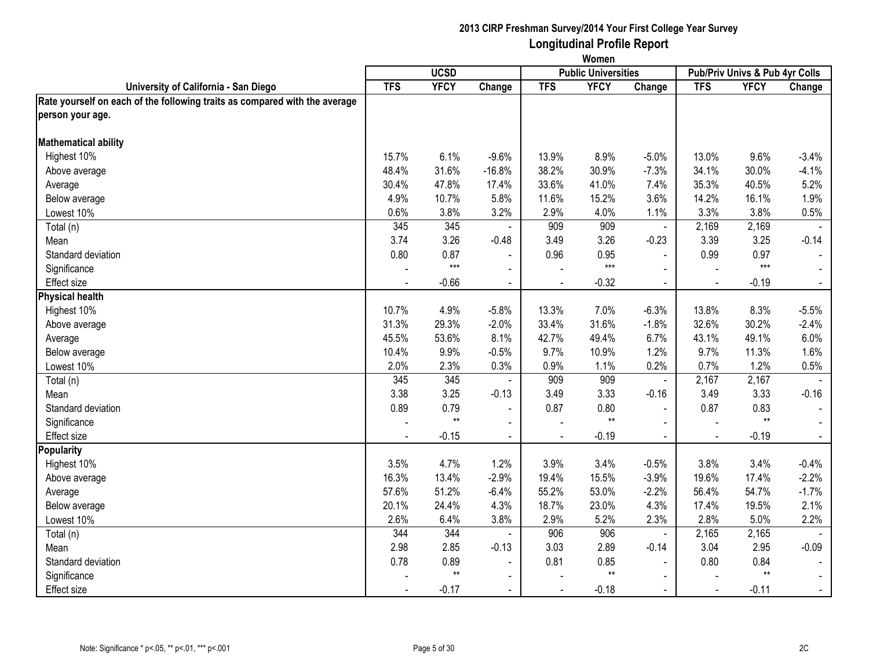|                                                                            | Women          |                 |                |                |                            |                |                                |             |                |
|----------------------------------------------------------------------------|----------------|-----------------|----------------|----------------|----------------------------|----------------|--------------------------------|-------------|----------------|
|                                                                            |                | <b>UCSD</b>     |                |                | <b>Public Universities</b> |                | Pub/Priv Univs & Pub 4yr Colls |             |                |
| University of California - San Diego                                       | <b>TFS</b>     | <b>YFCY</b>     | Change         | <b>TFS</b>     | <b>YFCY</b>                | Change         | <b>TFS</b>                     | <b>YFCY</b> | Change         |
| Rate yourself on each of the following traits as compared with the average |                |                 |                |                |                            |                |                                |             |                |
| person your age.                                                           |                |                 |                |                |                            |                |                                |             |                |
| <b>Mathematical ability</b>                                                |                |                 |                |                |                            |                |                                |             |                |
| Highest 10%                                                                | 15.7%          | 6.1%            | $-9.6%$        | 13.9%          | 8.9%                       | $-5.0%$        | 13.0%                          | 9.6%        | $-3.4%$        |
| Above average                                                              | 48.4%          | 31.6%           | $-16.8%$       | 38.2%          | 30.9%                      | $-7.3%$        | 34.1%                          | 30.0%       | $-4.1%$        |
| Average                                                                    | 30.4%          | 47.8%           | 17.4%          | 33.6%          | 41.0%                      | 7.4%           | 35.3%                          | 40.5%       | 5.2%           |
| Below average                                                              | 4.9%           | 10.7%           | 5.8%           | 11.6%          | 15.2%                      | 3.6%           | 14.2%                          | 16.1%       | 1.9%           |
| Lowest 10%                                                                 | 0.6%           | 3.8%            | 3.2%           | 2.9%           | 4.0%                       | 1.1%           | 3.3%                           | 3.8%        | 0.5%           |
| Total (n)                                                                  | 345            | 345             |                | 909            | 909                        | $\blacksquare$ | 2,169                          | 2,169       |                |
| Mean                                                                       | 3.74           | 3.26            | $-0.48$        | 3.49           | 3.26                       | $-0.23$        | 3.39                           | 3.25        | $-0.14$        |
| Standard deviation                                                         | 0.80           | 0.87            |                | 0.96           | 0.95                       | $\blacksquare$ | 0.99                           | 0.97        |                |
| Significance                                                               |                | $***$           | $\sim$         |                | $***$                      | $\overline{a}$ |                                | $***$       | $\sim$         |
| <b>Effect size</b>                                                         | $\blacksquare$ | $-0.66$         | $\blacksquare$ | $\blacksquare$ | $-0.32$                    | $\blacksquare$ | $\sim$                         | $-0.19$     | $\sim$         |
| <b>Physical health</b>                                                     |                |                 |                |                |                            |                |                                |             |                |
| Highest 10%                                                                | 10.7%          | 4.9%            | $-5.8%$        | 13.3%          | 7.0%                       | $-6.3%$        | 13.8%                          | 8.3%        | $-5.5%$        |
| Above average                                                              | 31.3%          | 29.3%           | $-2.0%$        | 33.4%          | 31.6%                      | $-1.8%$        | 32.6%                          | 30.2%       | $-2.4%$        |
| Average                                                                    | 45.5%          | 53.6%           | 8.1%           | 42.7%          | 49.4%                      | 6.7%           | 43.1%                          | 49.1%       | 6.0%           |
| Below average                                                              | 10.4%          | 9.9%            | $-0.5%$        | 9.7%           | 10.9%                      | 1.2%           | 9.7%                           | 11.3%       | 1.6%           |
| Lowest 10%                                                                 | 2.0%           | 2.3%            | 0.3%           | 0.9%           | 1.1%                       | 0.2%           | 0.7%                           | 1.2%        | 0.5%           |
| Total (n)                                                                  | 345            | 345             |                | 909            | 909                        | $\blacksquare$ | 2,167                          | 2,167       |                |
| Mean                                                                       | 3.38           | 3.25            | $-0.13$        | 3.49           | 3.33                       | $-0.16$        | 3.49                           | 3.33        | $-0.16$        |
| Standard deviation                                                         | 0.89           | 0.79            | $\blacksquare$ | 0.87           | 0.80                       | $\blacksquare$ | 0.87                           | 0.83        | $\blacksquare$ |
| Significance                                                               |                | $^{\star\star}$ | $\blacksquare$ |                | $**$                       |                |                                | $**$        |                |
| <b>Effect size</b>                                                         |                | $-0.15$         | $\blacksquare$ |                | $-0.19$                    |                |                                | $-0.19$     | $\sim$         |
| <b>Popularity</b>                                                          |                |                 |                |                |                            |                |                                |             |                |
| Highest 10%                                                                | 3.5%           | 4.7%            | 1.2%           | 3.9%           | 3.4%                       | $-0.5%$        | 3.8%                           | 3.4%        | $-0.4%$        |
| Above average                                                              | 16.3%          | 13.4%           | $-2.9%$        | 19.4%          | 15.5%                      | $-3.9%$        | 19.6%                          | 17.4%       | $-2.2%$        |
| Average                                                                    | 57.6%          | 51.2%           | $-6.4%$        | 55.2%          | 53.0%                      | $-2.2%$        | 56.4%                          | 54.7%       | $-1.7%$        |
| Below average                                                              | 20.1%          | 24.4%           | 4.3%           | 18.7%          | 23.0%                      | 4.3%           | 17.4%                          | 19.5%       | 2.1%           |
| Lowest 10%                                                                 | 2.6%           | 6.4%            | 3.8%           | 2.9%           | 5.2%                       | 2.3%           | 2.8%                           | 5.0%        | 2.2%           |
| Total (n)                                                                  | 344            | 344             | $\sim$         | 906            | 906                        | $\blacksquare$ | 2,165                          | 2,165       |                |
| Mean                                                                       | 2.98           | 2.85            | $-0.13$        | 3.03           | 2.89                       | $-0.14$        | 3.04                           | 2.95        | $-0.09$        |
| Standard deviation                                                         | 0.78           | 0.89            | $\blacksquare$ | 0.81           | 0.85                       | $\sim$         | 0.80                           | 0.84        | $\blacksquare$ |
| Significance                                                               |                | $**$            | $\sim$         |                | $**$                       | $\blacksquare$ |                                | $***$       | $\sim$         |
| <b>Effect size</b>                                                         |                | $-0.17$         |                |                | $-0.18$                    |                |                                | $-0.11$     | $\blacksquare$ |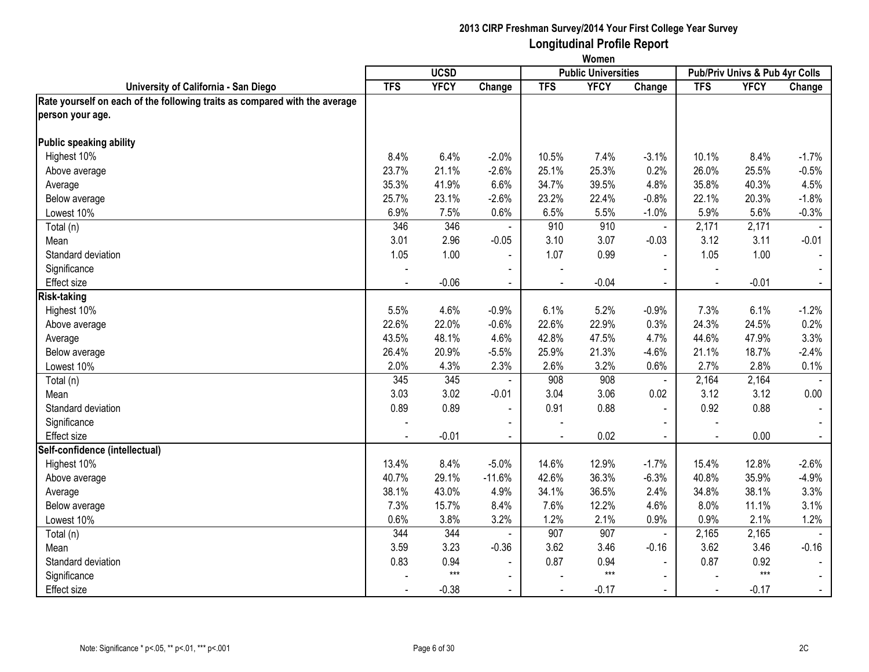|                                                                            | Women      |             |                          |                |                            |                |                                |             |                       |
|----------------------------------------------------------------------------|------------|-------------|--------------------------|----------------|----------------------------|----------------|--------------------------------|-------------|-----------------------|
|                                                                            |            | <b>UCSD</b> |                          |                | <b>Public Universities</b> |                | Pub/Priv Univs & Pub 4yr Colls |             |                       |
| University of California - San Diego                                       | <b>TFS</b> | <b>YFCY</b> | Change                   | <b>TFS</b>     | <b>YFCY</b>                | Change         | <b>TFS</b>                     | <b>YFCY</b> | Change                |
| Rate yourself on each of the following traits as compared with the average |            |             |                          |                |                            |                |                                |             |                       |
| person your age.                                                           |            |             |                          |                |                            |                |                                |             |                       |
| Public speaking ability                                                    |            |             |                          |                |                            |                |                                |             |                       |
| Highest 10%                                                                | 8.4%       | 6.4%        | $-2.0%$                  | 10.5%          | 7.4%                       | $-3.1%$        | 10.1%                          | 8.4%        | $-1.7%$               |
| Above average                                                              | 23.7%      | 21.1%       | $-2.6%$                  | 25.1%          | 25.3%                      | 0.2%           | 26.0%                          | 25.5%       | $-0.5%$               |
| Average                                                                    | 35.3%      | 41.9%       | 6.6%                     | 34.7%          | 39.5%                      | 4.8%           | 35.8%                          | 40.3%       | 4.5%                  |
| Below average                                                              | 25.7%      | 23.1%       | $-2.6%$                  | 23.2%          | 22.4%                      | $-0.8%$        | 22.1%                          | 20.3%       | $-1.8%$               |
| Lowest 10%                                                                 | 6.9%       | 7.5%        | 0.6%                     | 6.5%           | 5.5%                       | $-1.0%$        | 5.9%                           | 5.6%        | $-0.3%$               |
| Total (n)                                                                  | 346        | 346         |                          | 910            | 910                        | $\omega$       | 2,171                          | 2,171       |                       |
| Mean                                                                       | 3.01       | 2.96        | $-0.05$                  | 3.10           | 3.07                       | $-0.03$        | 3.12                           | 3.11        | $-0.01$               |
| Standard deviation                                                         | 1.05       | 1.00        | $\sim$                   | 1.07           | 0.99                       | $\mathbf{r}$   | 1.05                           | 1.00        | $\blacksquare$        |
| Significance                                                               |            |             | $\sim$                   |                |                            | $\sim$         |                                |             |                       |
| Effect size                                                                | $\sim$     | $-0.06$     | $\blacksquare$           | $\sim$         | $-0.04$                    | $\sim$         | $\overline{\phantom{a}}$       | $-0.01$     | $\sim$                |
| <b>Risk-taking</b>                                                         |            |             |                          |                |                            |                |                                |             |                       |
| Highest 10%                                                                | 5.5%       | 4.6%        | $-0.9%$                  | 6.1%           | 5.2%                       | $-0.9%$        | 7.3%                           | 6.1%        | $-1.2%$               |
| Above average                                                              | 22.6%      | 22.0%       | $-0.6%$                  | 22.6%          | 22.9%                      | 0.3%           | 24.3%                          | 24.5%       | 0.2%                  |
| Average                                                                    | 43.5%      | 48.1%       | 4.6%                     | 42.8%          | 47.5%                      | 4.7%           | 44.6%                          | 47.9%       | 3.3%                  |
| Below average                                                              | 26.4%      | 20.9%       | $-5.5%$                  | 25.9%          | 21.3%                      | $-4.6%$        | 21.1%                          | 18.7%       | $-2.4%$               |
| Lowest 10%                                                                 | 2.0%       | 4.3%        | 2.3%                     | 2.6%           | 3.2%                       | 0.6%           | 2.7%                           | 2.8%        | 0.1%                  |
| Total (n)                                                                  | 345        | 345         |                          | 908            | 908                        | $\blacksquare$ | 2,164                          | 2,164       |                       |
| Mean                                                                       | 3.03       | 3.02        | $-0.01$                  | 3.04           | 3.06                       | 0.02           | 3.12                           | 3.12        | 0.00                  |
| Standard deviation                                                         | 0.89       | 0.89        | $\blacksquare$           | 0.91           | 0.88                       | $\blacksquare$ | 0.92                           | 0.88        | $\sim$                |
| Significance                                                               |            |             |                          |                |                            |                |                                |             |                       |
| Effect size                                                                |            | $-0.01$     | $\sim$                   | $\overline{a}$ | 0.02                       | $\blacksquare$ |                                | 0.00        | $\mathbb{Z}^{\times}$ |
| Self-confidence (intellectual)                                             |            |             |                          |                |                            |                |                                |             |                       |
| Highest 10%                                                                | 13.4%      | 8.4%        | $-5.0%$                  | 14.6%          | 12.9%                      | $-1.7%$        | 15.4%                          | 12.8%       | $-2.6%$               |
| Above average                                                              | 40.7%      | 29.1%       | $-11.6%$                 | 42.6%          | 36.3%                      | $-6.3%$        | 40.8%                          | 35.9%       | $-4.9%$               |
| Average                                                                    | 38.1%      | 43.0%       | 4.9%                     | 34.1%          | 36.5%                      | 2.4%           | 34.8%                          | 38.1%       | 3.3%                  |
| Below average                                                              | 7.3%       | 15.7%       | 8.4%                     | 7.6%           | 12.2%                      | 4.6%           | 8.0%                           | 11.1%       | 3.1%                  |
| Lowest 10%                                                                 | 0.6%       | 3.8%        | 3.2%                     | 1.2%           | 2.1%                       | 0.9%           | 0.9%                           | 2.1%        | 1.2%                  |
| Total (n)                                                                  | 344        | 344         |                          | 907            | 907                        | $\sim$         | 2,165                          | 2,165       |                       |
| Mean                                                                       | 3.59       | 3.23        | $-0.36$                  | 3.62           | 3.46                       | $-0.16$        | 3.62                           | 3.46        | $-0.16$               |
| Standard deviation                                                         | 0.83       | 0.94        | $\overline{\phantom{a}}$ | 0.87           | 0.94                       | $\blacksquare$ | 0.87                           | 0.92        | $\sim$                |
| Significance                                                               |            | $***$       | $\sim$                   |                | $***$                      | $\blacksquare$ |                                | $***$       |                       |
| Effect size                                                                |            | $-0.38$     | $\blacksquare$           |                | $-0.17$                    |                |                                | $-0.17$     | $\blacksquare$        |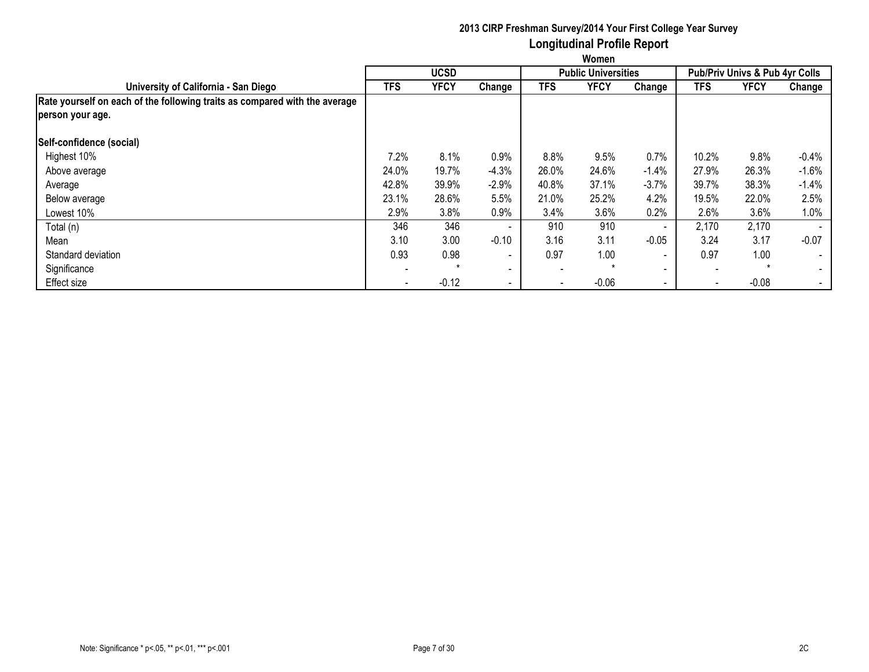|                                                                            | Women      |             |                          |                          |                            |                          |            |                                |         |  |  |
|----------------------------------------------------------------------------|------------|-------------|--------------------------|--------------------------|----------------------------|--------------------------|------------|--------------------------------|---------|--|--|
|                                                                            |            | <b>UCSD</b> |                          |                          | <b>Public Universities</b> |                          |            | Pub/Priv Univs & Pub 4yr Colls |         |  |  |
| University of California - San Diego                                       | <b>TFS</b> | <b>YFCY</b> | Change                   | TFS                      | <b>YFCY</b>                | Change                   | <b>TFS</b> | <b>YFCY</b>                    | Change  |  |  |
| Rate yourself on each of the following traits as compared with the average |            |             |                          |                          |                            |                          |            |                                |         |  |  |
| person your age.                                                           |            |             |                          |                          |                            |                          |            |                                |         |  |  |
| Self-confidence (social)                                                   |            |             |                          |                          |                            |                          |            |                                |         |  |  |
| Highest 10%                                                                | 7.2%       | 8.1%        | 0.9%                     | 8.8%                     | 9.5%                       | 0.7%                     | 10.2%      | 9.8%                           | $-0.4%$ |  |  |
| Above average                                                              | 24.0%      | 19.7%       | $-4.3%$                  | 26.0%                    | 24.6%                      | $-1.4%$                  | 27.9%      | 26.3%                          | $-1.6%$ |  |  |
| Average                                                                    | 42.8%      | 39.9%       | $-2.9%$                  | 40.8%                    | 37.1%                      | $-3.7%$                  | 39.7%      | 38.3%                          | $-1.4%$ |  |  |
| Below average                                                              | 23.1%      | 28.6%       | 5.5%                     | 21.0%                    | 25.2%                      | 4.2%                     | 19.5%      | 22.0%                          | 2.5%    |  |  |
| Lowest 10%                                                                 | 2.9%       | 3.8%        | 0.9%                     | 3.4%                     | 3.6%                       | 0.2%                     | 2.6%       | 3.6%                           | 1.0%    |  |  |
| Total (n)                                                                  | 346        | 346         | $\overline{\phantom{a}}$ | 910                      | 910                        | $\sim$                   | 2,170      | 2,170                          |         |  |  |
| Mean                                                                       | 3.10       | 3.00        | $-0.10$                  | 3.16                     | 3.11                       | $-0.05$                  | 3.24       | 3.17                           | $-0.07$ |  |  |
| Standard deviation                                                         | 0.93       | 0.98        | $\overline{\phantom{a}}$ | 0.97                     | 1.00                       | $\overline{\phantom{a}}$ | 0.97       | 1.00                           | $\sim$  |  |  |
| Significance                                                               |            |             | $\blacksquare$           | $\overline{\phantom{a}}$ |                            | $\sim$                   |            | $\star$                        | $\sim$  |  |  |
| <b>Effect size</b>                                                         |            | $-0.12$     | $\overline{\phantom{a}}$ | $\overline{\phantom{a}}$ | $-0.06$                    | $\blacksquare$           | $\sim$     | $-0.08$                        | $\sim$  |  |  |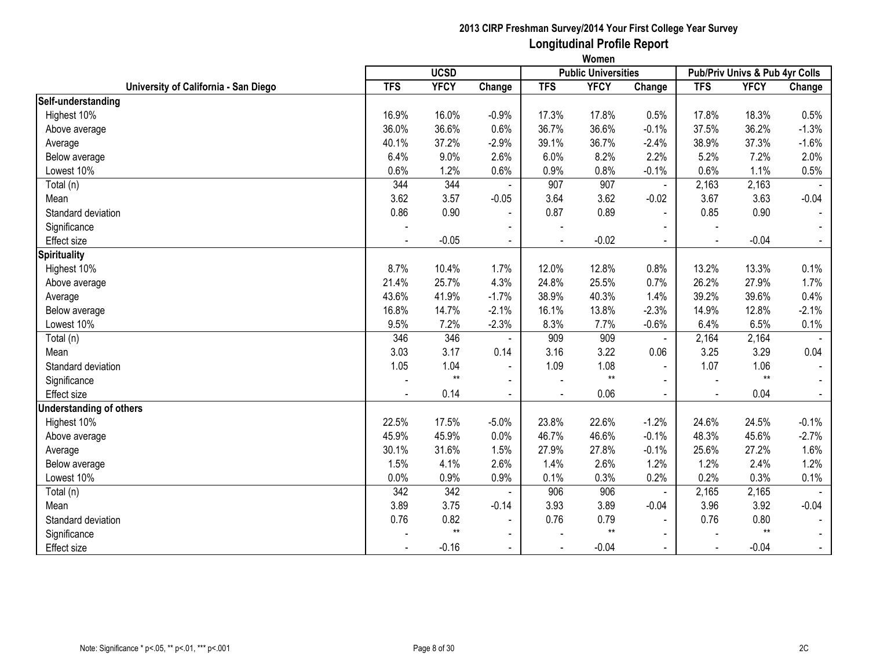|                                      |            | <b>UCSD</b> |                          |                          | <br><b>Public Universities</b> |                |                | Pub/Priv Univs & Pub 4yr Colls |                |
|--------------------------------------|------------|-------------|--------------------------|--------------------------|--------------------------------|----------------|----------------|--------------------------------|----------------|
| University of California - San Diego | <b>TFS</b> | <b>YFCY</b> | Change                   | <b>TFS</b>               | <b>YFCY</b>                    | Change         | <b>TFS</b>     | <b>YFCY</b>                    | Change         |
| Self-understanding                   |            |             |                          |                          |                                |                |                |                                |                |
| Highest 10%                          | 16.9%      | 16.0%       | $-0.9%$                  | 17.3%                    | 17.8%                          | 0.5%           | 17.8%          | 18.3%                          | 0.5%           |
| Above average                        | 36.0%      | 36.6%       | 0.6%                     | 36.7%                    | 36.6%                          | $-0.1%$        | 37.5%          | 36.2%                          | $-1.3%$        |
| Average                              | 40.1%      | 37.2%       | $-2.9%$                  | 39.1%                    | 36.7%                          | $-2.4%$        | 38.9%          | 37.3%                          | $-1.6%$        |
| Below average                        | 6.4%       | 9.0%        | 2.6%                     | 6.0%                     | 8.2%                           | 2.2%           | 5.2%           | 7.2%                           | 2.0%           |
| Lowest 10%                           | 0.6%       | 1.2%        | 0.6%                     | 0.9%                     | 0.8%                           | $-0.1%$        | 0.6%           | 1.1%                           | 0.5%           |
| Total (n)                            | 344        | 344         |                          | 907                      | 907                            | $\blacksquare$ | 2,163          | 2,163                          |                |
| Mean                                 | 3.62       | 3.57        | $-0.05$                  | 3.64                     | 3.62                           | $-0.02$        | 3.67           | 3.63                           | $-0.04$        |
| Standard deviation                   | 0.86       | 0.90        | $\overline{\phantom{a}}$ | 0.87                     | 0.89                           | $\blacksquare$ | 0.85           | 0.90                           | $\sim$         |
| Significance                         |            |             |                          |                          |                                |                |                |                                |                |
| Effect size                          |            | $-0.05$     | $\blacksquare$           |                          | $-0.02$                        |                |                | $-0.04$                        |                |
| <b>Spirituality</b>                  |            |             |                          |                          |                                |                |                |                                |                |
| Highest 10%                          | 8.7%       | 10.4%       | 1.7%                     | 12.0%                    | 12.8%                          | 0.8%           | 13.2%          | 13.3%                          | 0.1%           |
| Above average                        | 21.4%      | 25.7%       | 4.3%                     | 24.8%                    | 25.5%                          | 0.7%           | 26.2%          | 27.9%                          | 1.7%           |
| Average                              | 43.6%      | 41.9%       | $-1.7%$                  | 38.9%                    | 40.3%                          | 1.4%           | 39.2%          | 39.6%                          | 0.4%           |
| Below average                        | 16.8%      | 14.7%       | $-2.1%$                  | 16.1%                    | 13.8%                          | $-2.3%$        | 14.9%          | 12.8%                          | $-2.1%$        |
| Lowest 10%                           | 9.5%       | 7.2%        | $-2.3%$                  | 8.3%                     | 7.7%                           | $-0.6%$        | 6.4%           | 6.5%                           | 0.1%           |
| Total (n)                            | 346        | 346         |                          | 909                      | 909                            |                | 2,164          | 2,164                          |                |
| Mean                                 | 3.03       | 3.17        | 0.14                     | 3.16                     | 3.22                           | 0.06           | 3.25           | 3.29                           | 0.04           |
| Standard deviation                   | 1.05       | 1.04        | $\blacksquare$           | 1.09                     | 1.08                           |                | 1.07           | 1.06                           | $\sim$         |
| Significance                         |            | $**$        | $\blacksquare$           |                          | $**$                           | $\blacksquare$ |                | $**$                           | $\sim$         |
| <b>Effect size</b>                   | $\sim$     | 0.14        | $\sim$                   | $\overline{\phantom{a}}$ | 0.06                           | $\sim$         | $\overline{a}$ | 0.04                           | $\sim$         |
| <b>Understanding of others</b>       |            |             |                          |                          |                                |                |                |                                |                |
| Highest 10%                          | 22.5%      | 17.5%       | $-5.0%$                  | 23.8%                    | 22.6%                          | $-1.2%$        | 24.6%          | 24.5%                          | $-0.1%$        |
| Above average                        | 45.9%      | 45.9%       | 0.0%                     | 46.7%                    | 46.6%                          | $-0.1%$        | 48.3%          | 45.6%                          | $-2.7%$        |
| Average                              | 30.1%      | 31.6%       | 1.5%                     | 27.9%                    | 27.8%                          | $-0.1%$        | 25.6%          | 27.2%                          | 1.6%           |
| Below average                        | 1.5%       | 4.1%        | 2.6%                     | 1.4%                     | 2.6%                           | 1.2%           | 1.2%           | 2.4%                           | 1.2%           |
| Lowest 10%                           | 0.0%       | $0.9\%$     | 0.9%                     | 0.1%                     | 0.3%                           | 0.2%           | 0.2%           | 0.3%                           | 0.1%           |
| Total (n)                            | 342        | 342         |                          | 906                      | 906                            |                | 2,165          | 2,165                          |                |
| Mean                                 | 3.89       | 3.75        | $-0.14$                  | 3.93                     | 3.89                           | $-0.04$        | 3.96           | 3.92                           | $-0.04$        |
| Standard deviation                   | 0.76       | 0.82        | $\sim$                   | 0.76                     | 0.79                           | $\mathbf{r}$   | 0.76           | 0.80                           | $\blacksquare$ |
| Significance                         |            | $**$        | $\blacksquare$           |                          | $^{\star\star}$                |                |                | $**$                           | $\sim$         |
| Effect size                          |            | $-0.16$     | $\blacksquare$           |                          | $-0.04$                        |                |                | $-0.04$                        | $\blacksquare$ |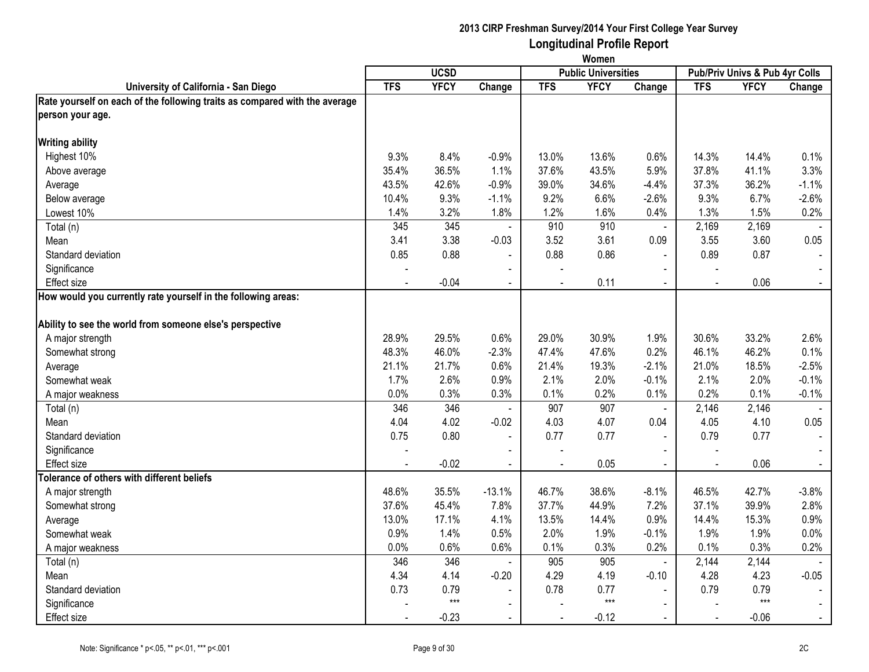|                                                                            | Women      |             |                |            |                            |                |                                |                    |                |
|----------------------------------------------------------------------------|------------|-------------|----------------|------------|----------------------------|----------------|--------------------------------|--------------------|----------------|
|                                                                            |            | <b>UCSD</b> |                |            | <b>Public Universities</b> |                | Pub/Priv Univs & Pub 4yr Colls |                    |                |
| University of California - San Diego                                       | <b>TFS</b> | <b>YFCY</b> | Change         | <b>TFS</b> | <b>YFCY</b>                | Change         | <b>TFS</b>                     | <b>YFCY</b>        | Change         |
| Rate yourself on each of the following traits as compared with the average |            |             |                |            |                            |                |                                |                    |                |
| person your age.                                                           |            |             |                |            |                            |                |                                |                    |                |
| <b>Writing ability</b>                                                     |            |             |                |            |                            |                |                                |                    |                |
| Highest 10%                                                                | 9.3%       | 8.4%        | $-0.9%$        | 13.0%      | 13.6%                      | 0.6%           | 14.3%                          | 14.4%              | 0.1%           |
| Above average                                                              | 35.4%      | 36.5%       | 1.1%           | 37.6%      | 43.5%                      | 5.9%           | 37.8%                          | 41.1%              | 3.3%           |
| Average                                                                    | 43.5%      | 42.6%       | $-0.9%$        | 39.0%      | 34.6%                      | $-4.4%$        | 37.3%                          | 36.2%              | $-1.1%$        |
| Below average                                                              | 10.4%      | 9.3%        | $-1.1%$        | 9.2%       | 6.6%                       | $-2.6%$        | 9.3%                           | 6.7%               | $-2.6%$        |
| Lowest 10%                                                                 | 1.4%       | 3.2%        | 1.8%           | 1.2%       | 1.6%                       | 0.4%           | 1.3%                           | 1.5%               | 0.2%           |
| Total (n)                                                                  | 345        | 345         | $\blacksquare$ | 910        | 910                        | $\omega$       | 2,169                          | 2,169              |                |
| Mean                                                                       | 3.41       | 3.38        | $-0.03$        | 3.52       | 3.61                       | 0.09           | 3.55                           | 3.60               | 0.05           |
| Standard deviation                                                         | 0.85       | 0.88        | $\blacksquare$ | 0.88       | 0.86                       |                | 0.89                           | 0.87               |                |
| Significance                                                               |            |             | $\blacksquare$ |            |                            | $\sim$         |                                |                    |                |
| <b>Effect size</b>                                                         |            | $-0.04$     | $\blacksquare$ |            | 0.11                       | $\sim$         | $\mathbf{r}$                   | 0.06               | $\blacksquare$ |
| How would you currently rate yourself in the following areas:              |            |             |                |            |                            |                |                                |                    |                |
| Ability to see the world from someone else's perspective                   |            |             |                |            |                            |                |                                |                    |                |
| A major strength                                                           | 28.9%      | 29.5%       | 0.6%           | 29.0%      | 30.9%                      | 1.9%           | 30.6%                          | 33.2%              | 2.6%           |
| Somewhat strong                                                            | 48.3%      | 46.0%       | $-2.3%$        | 47.4%      | 47.6%                      | 0.2%           | 46.1%                          | 46.2%              | 0.1%           |
| Average                                                                    | 21.1%      | 21.7%       | 0.6%           | 21.4%      | 19.3%                      | $-2.1%$        | 21.0%                          | 18.5%              | $-2.5%$        |
| Somewhat weak                                                              | 1.7%       | 2.6%        | 0.9%           | 2.1%       | 2.0%                       | $-0.1%$        | 2.1%                           | 2.0%               | $-0.1%$        |
| A major weakness                                                           | 0.0%       | 0.3%        | 0.3%           | 0.1%       | 0.2%                       | 0.1%           | 0.2%                           | 0.1%               | $-0.1%$        |
| Total (n)                                                                  | 346        | 346         | $\blacksquare$ | 907        | 907                        | $\blacksquare$ | 2,146                          | 2,146              |                |
| Mean                                                                       | 4.04       | 4.02        | $-0.02$        | 4.03       | 4.07                       | 0.04           | 4.05                           | 4.10               | 0.05           |
| Standard deviation                                                         | 0.75       | 0.80        | $\blacksquare$ | 0.77       | 0.77                       | $\blacksquare$ | 0.79                           | 0.77               | $\blacksquare$ |
| Significance                                                               |            |             |                |            |                            | $\blacksquare$ |                                |                    |                |
| <b>Effect size</b>                                                         |            | $-0.02$     | $\omega$       | ÷,         | 0.05                       | $\blacksquare$ | $\sim$                         | 0.06               | $\omega$       |
| Tolerance of others with different beliefs                                 |            |             |                |            |                            |                |                                |                    |                |
| A major strength                                                           | 48.6%      | 35.5%       | $-13.1%$       | 46.7%      | 38.6%                      | $-8.1%$        | 46.5%                          | 42.7%              | $-3.8%$        |
| Somewhat strong                                                            | 37.6%      | 45.4%       | 7.8%           | 37.7%      | 44.9%                      | 7.2%           | 37.1%                          | 39.9%              | 2.8%           |
| Average                                                                    | 13.0%      | 17.1%       | 4.1%           | 13.5%      | 14.4%                      | 0.9%           | 14.4%                          | 15.3%              | 0.9%           |
| Somewhat weak                                                              | 0.9%       | 1.4%        | 0.5%           | 2.0%       | 1.9%                       | $-0.1%$        | 1.9%                           | 1.9%               | 0.0%           |
| A major weakness                                                           | 0.0%       | 0.6%        | 0.6%           | 0.1%       | 0.3%                       | 0.2%           | 0.1%                           | 0.3%               | 0.2%           |
| Total (n)                                                                  | 346        | 346         | $\blacksquare$ | 905        | 905                        | $\omega$       | 2,144                          | $\overline{2,}144$ |                |
| Mean                                                                       | 4.34       | 4.14        | $-0.20$        | 4.29       | 4.19                       | $-0.10$        | 4.28                           | 4.23               | $-0.05$        |
| Standard deviation                                                         | 0.73       | 0.79        | $\blacksquare$ | 0.78       | 0.77                       |                | 0.79                           | 0.79               |                |
| Significance                                                               |            | $***$       | $\blacksquare$ |            | $***$                      | $\blacksquare$ |                                | $***$              | $\blacksquare$ |
| Effect size                                                                |            | $-0.23$     | $\blacksquare$ |            | $-0.12$                    | $\sim$         |                                | $-0.06$            | $\blacksquare$ |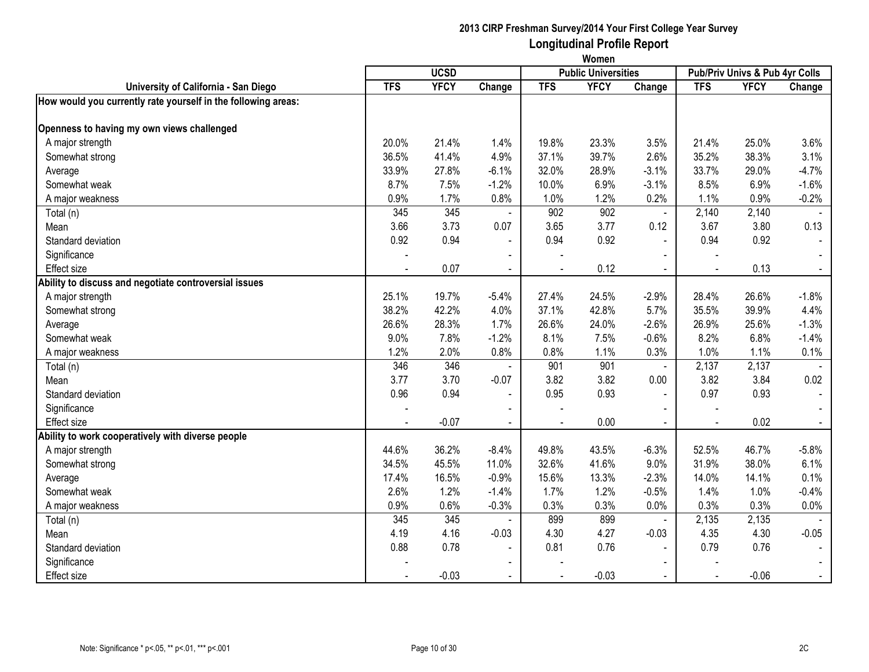|                                                               | Women      |             |                |                |                            |                |                                |             |                |
|---------------------------------------------------------------|------------|-------------|----------------|----------------|----------------------------|----------------|--------------------------------|-------------|----------------|
|                                                               |            | <b>UCSD</b> |                |                | <b>Public Universities</b> |                | Pub/Priv Univs & Pub 4yr Colls |             |                |
| University of California - San Diego                          | <b>TFS</b> | <b>YFCY</b> | Change         | <b>TFS</b>     | <b>YFCY</b>                | Change         | <b>TFS</b>                     | <b>YFCY</b> | Change         |
| How would you currently rate yourself in the following areas: |            |             |                |                |                            |                |                                |             |                |
| Openness to having my own views challenged                    |            |             |                |                |                            |                |                                |             |                |
| A major strength                                              | 20.0%      | 21.4%       | 1.4%           | 19.8%          | 23.3%                      | 3.5%           | 21.4%                          | 25.0%       | 3.6%           |
| Somewhat strong                                               | 36.5%      | 41.4%       | 4.9%           | 37.1%          | 39.7%                      | 2.6%           | 35.2%                          | 38.3%       | 3.1%           |
| Average                                                       | 33.9%      | 27.8%       | $-6.1%$        | 32.0%          | 28.9%                      | $-3.1%$        | 33.7%                          | 29.0%       | $-4.7%$        |
| Somewhat weak                                                 | 8.7%       | 7.5%        | $-1.2%$        | 10.0%          | 6.9%                       | $-3.1%$        | 8.5%                           | 6.9%        | $-1.6%$        |
| A major weakness                                              | 0.9%       | 1.7%        | 0.8%           | 1.0%           | 1.2%                       | 0.2%           | 1.1%                           | 0.9%        | $-0.2%$        |
| Total (n)                                                     | 345        | 345         | $\blacksquare$ | 902            | 902                        | $\sim$         | 2,140                          | 2,140       |                |
| Mean                                                          | 3.66       | 3.73        | 0.07           | 3.65           | 3.77                       | 0.12           | 3.67                           | 3.80        | 0.13           |
| Standard deviation                                            | 0.92       | 0.94        | $\blacksquare$ | 0.94           | 0.92                       | $\sim$         | 0.94                           | 0.92        |                |
| Significance                                                  |            |             | $\blacksquare$ |                |                            | $\blacksquare$ |                                |             |                |
| <b>Effect size</b>                                            |            | 0.07        | $\blacksquare$ |                | 0.12                       |                |                                | 0.13        | $\blacksquare$ |
| Ability to discuss and negotiate controversial issues         |            |             |                |                |                            |                |                                |             |                |
| A major strength                                              | 25.1%      | 19.7%       | $-5.4%$        | 27.4%          | 24.5%                      | $-2.9%$        | 28.4%                          | 26.6%       | $-1.8%$        |
| Somewhat strong                                               | 38.2%      | 42.2%       | 4.0%           | 37.1%          | 42.8%                      | 5.7%           | 35.5%                          | 39.9%       | 4.4%           |
| Average                                                       | 26.6%      | 28.3%       | 1.7%           | 26.6%          | 24.0%                      | $-2.6%$        | 26.9%                          | 25.6%       | $-1.3%$        |
| Somewhat weak                                                 | 9.0%       | 7.8%        | $-1.2%$        | 8.1%           | 7.5%                       | $-0.6%$        | 8.2%                           | 6.8%        | $-1.4%$        |
| A major weakness                                              | 1.2%       | 2.0%        | 0.8%           | 0.8%           | 1.1%                       | 0.3%           | 1.0%                           | 1.1%        | 0.1%           |
| Total (n)                                                     | 346        | 346         | $\sim$         | 901            | 901                        | $\blacksquare$ | 2,137                          | 2,137       |                |
| Mean                                                          | 3.77       | 3.70        | $-0.07$        | 3.82           | 3.82                       | 0.00           | 3.82                           | 3.84        | 0.02           |
| Standard deviation                                            | 0.96       | 0.94        | $\blacksquare$ | 0.95           | 0.93                       | $\blacksquare$ | 0.97                           | 0.93        | $\blacksquare$ |
| Significance                                                  |            |             |                |                |                            |                |                                |             |                |
| <b>Effect size</b>                                            |            | $-0.07$     | $\sim$         | $\overline{a}$ | 0.00                       | $\sim$         | $\sim$                         | 0.02        | $\sim$         |
| Ability to work cooperatively with diverse people             |            |             |                |                |                            |                |                                |             |                |
| A major strength                                              | 44.6%      | 36.2%       | $-8.4%$        | 49.8%          | 43.5%                      | $-6.3%$        | 52.5%                          | 46.7%       | $-5.8%$        |
| Somewhat strong                                               | 34.5%      | 45.5%       | 11.0%          | 32.6%          | 41.6%                      | 9.0%           | 31.9%                          | 38.0%       | 6.1%           |
| Average                                                       | 17.4%      | 16.5%       | $-0.9%$        | 15.6%          | 13.3%                      | $-2.3%$        | 14.0%                          | 14.1%       | 0.1%           |
| Somewhat weak                                                 | 2.6%       | 1.2%        | $-1.4%$        | 1.7%           | 1.2%                       | $-0.5%$        | 1.4%                           | 1.0%        | $-0.4%$        |
| A major weakness                                              | 0.9%       | 0.6%        | $-0.3%$        | 0.3%           | 0.3%                       | 0.0%           | 0.3%                           | 0.3%        | 0.0%           |
| Total (n)                                                     | 345        | 345         |                | 899            | 899                        | $\blacksquare$ | 2,135                          | 2,135       |                |
| Mean                                                          | 4.19       | 4.16        | $-0.03$        | 4.30           | 4.27                       | $-0.03$        | 4.35                           | 4.30        | $-0.05$        |
| Standard deviation                                            | 0.88       | 0.78        | $\blacksquare$ | 0.81           | 0.76                       | $\blacksquare$ | 0.79                           | 0.76        | $\blacksquare$ |
| Significance                                                  |            |             |                |                |                            |                |                                |             |                |
| Effect size                                                   |            | $-0.03$     |                |                | $-0.03$                    |                |                                | $-0.06$     | $\blacksquare$ |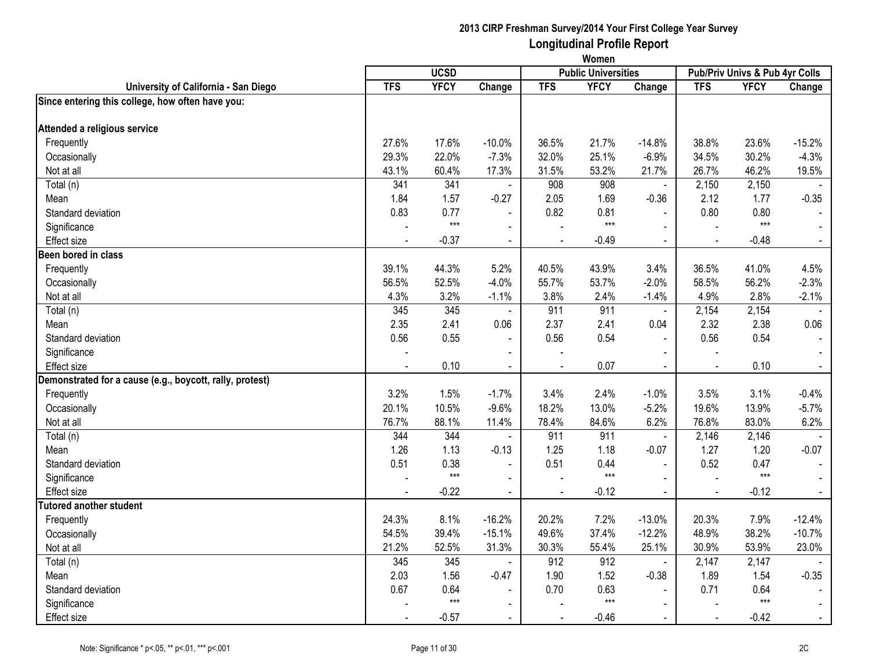|                                                          | Women      |             |                          |            |                            |                |                |                                |                |
|----------------------------------------------------------|------------|-------------|--------------------------|------------|----------------------------|----------------|----------------|--------------------------------|----------------|
|                                                          |            | <b>UCSD</b> |                          |            | <b>Public Universities</b> |                |                | Pub/Priv Univs & Pub 4yr Colls |                |
| University of California - San Diego                     | <b>TFS</b> | <b>YFCY</b> | Change                   | <b>TFS</b> | <b>YFCY</b>                | Change         | <b>TFS</b>     | <b>YFCY</b>                    | Change         |
| Since entering this college, how often have you:         |            |             |                          |            |                            |                |                |                                |                |
| Attended a religious service                             |            |             |                          |            |                            |                |                |                                |                |
| Frequently                                               | 27.6%      | 17.6%       | $-10.0%$                 | 36.5%      | 21.7%                      | $-14.8%$       | 38.8%          | 23.6%                          | $-15.2%$       |
| Occasionally                                             | 29.3%      | 22.0%       | $-7.3%$                  | 32.0%      | 25.1%                      | $-6.9%$        | 34.5%          | 30.2%                          | $-4.3%$        |
| Not at all                                               | 43.1%      | 60.4%       | 17.3%                    | 31.5%      | 53.2%                      | 21.7%          | 26.7%          | 46.2%                          | 19.5%          |
| Total (n)                                                | 341        | 341         |                          | 908        | 908                        | ä,             | 2,150          | 2,150                          |                |
| Mean                                                     | 1.84       | 1.57        | $-0.27$                  | 2.05       | 1.69                       | $-0.36$        | 2.12           | 1.77                           | $-0.35$        |
| Standard deviation                                       | 0.83       | 0.77        |                          | 0.82       | 0.81                       | $\mathbf{r}$   | 0.80           | 0.80                           |                |
| Significance                                             |            | $***$       | $\blacksquare$           |            | $***$                      | $\mathbf{r}$   |                | $***$                          |                |
| <b>Effect size</b>                                       |            | $-0.37$     | $\blacksquare$           |            | $-0.49$                    | $\blacksquare$ | $\blacksquare$ | $-0.48$                        | $\blacksquare$ |
| Been bored in class                                      |            |             |                          |            |                            |                |                |                                |                |
| Frequently                                               | 39.1%      | 44.3%       | 5.2%                     | 40.5%      | 43.9%                      | 3.4%           | 36.5%          | 41.0%                          | 4.5%           |
| Occasionally                                             | 56.5%      | 52.5%       | $-4.0%$                  | 55.7%      | 53.7%                      | $-2.0%$        | 58.5%          | 56.2%                          | $-2.3%$        |
| Not at all                                               | 4.3%       | 3.2%        | $-1.1%$                  | 3.8%       | 2.4%                       | $-1.4%$        | 4.9%           | 2.8%                           | $-2.1%$        |
| Total (n)                                                | 345        | 345         | $\blacksquare$           | 911        | 911                        | $\blacksquare$ | 2,154          | 2,154                          |                |
| Mean                                                     | 2.35       | 2.41        | 0.06                     | 2.37       | 2.41                       | 0.04           | 2.32           | 2.38                           | 0.06           |
| Standard deviation                                       | 0.56       | 0.55        | $\blacksquare$           | 0.56       | 0.54                       | $\blacksquare$ | 0.56           | 0.54                           |                |
| Significance                                             |            |             |                          |            |                            |                |                |                                |                |
| Effect size                                              |            | 0.10        | $\blacksquare$           |            | 0.07                       | $\blacksquare$ |                | 0.10                           | $\blacksquare$ |
| Demonstrated for a cause (e.g., boycott, rally, protest) |            |             |                          |            |                            |                |                |                                |                |
| Frequently                                               | 3.2%       | 1.5%        | $-1.7%$                  | 3.4%       | 2.4%                       | $-1.0%$        | 3.5%           | 3.1%                           | $-0.4%$        |
| Occasionally                                             | 20.1%      | 10.5%       | $-9.6%$                  | 18.2%      | 13.0%                      | $-5.2%$        | 19.6%          | 13.9%                          | $-5.7%$        |
| Not at all                                               | 76.7%      | 88.1%       | 11.4%                    | 78.4%      | 84.6%                      | 6.2%           | 76.8%          | 83.0%                          | 6.2%           |
| Total (n)                                                | 344        | 344         | $\blacksquare$           | 911        | 911                        | $\blacksquare$ | 2,146          | 2,146                          |                |
| Mean                                                     | 1.26       | 1.13        | $-0.13$                  | 1.25       | 1.18                       | $-0.07$        | 1.27           | 1.20                           | $-0.07$        |
| Standard deviation                                       | 0.51       | 0.38        | $\sim$                   | 0.51       | 0.44                       | $\overline{a}$ | 0.52           | 0.47                           |                |
| Significance                                             |            | $***$       | $\blacksquare$           |            | $***$                      | $\mathbf{r}$   | $\overline{a}$ | $***$                          | $\blacksquare$ |
| <b>Effect size</b>                                       |            | $-0.22$     | $\blacksquare$           |            | $-0.12$                    | $\blacksquare$ | $\sim$         | $-0.12$                        | $\blacksquare$ |
| <b>Tutored another student</b>                           |            |             |                          |            |                            |                |                |                                |                |
| Frequently                                               | 24.3%      | 8.1%        | $-16.2%$                 | 20.2%      | 7.2%                       | $-13.0%$       | 20.3%          | 7.9%                           | $-12.4%$       |
| Occasionally                                             | 54.5%      | 39.4%       | $-15.1%$                 | 49.6%      | 37.4%                      | $-12.2%$       | 48.9%          | 38.2%                          | $-10.7%$       |
| Not at all                                               | 21.2%      | 52.5%       | 31.3%                    | 30.3%      | 55.4%                      | 25.1%          | 30.9%          | 53.9%                          | 23.0%          |
| Total (n)                                                | 345        | 345         | $\blacksquare$           | 912        | 912                        | $\omega$       | 2,147          | $\overline{2,}147$             |                |
| Mean                                                     | 2.03       | 1.56        | $-0.47$                  | 1.90       | 1.52                       | $-0.38$        | 1.89           | 1.54                           | $-0.35$        |
| Standard deviation                                       | 0.67       | 0.64        |                          | 0.70       | 0.63                       |                | 0.71           | 0.64                           |                |
| Significance                                             |            | $***$       | $\overline{\phantom{0}}$ |            | $***$                      | $\blacksquare$ |                | $***$                          | $\sim$         |
| <b>Effect size</b>                                       |            | $-0.57$     | $\blacksquare$           |            | $-0.46$                    | $\sim$         |                | $-0.42$                        | $\blacksquare$ |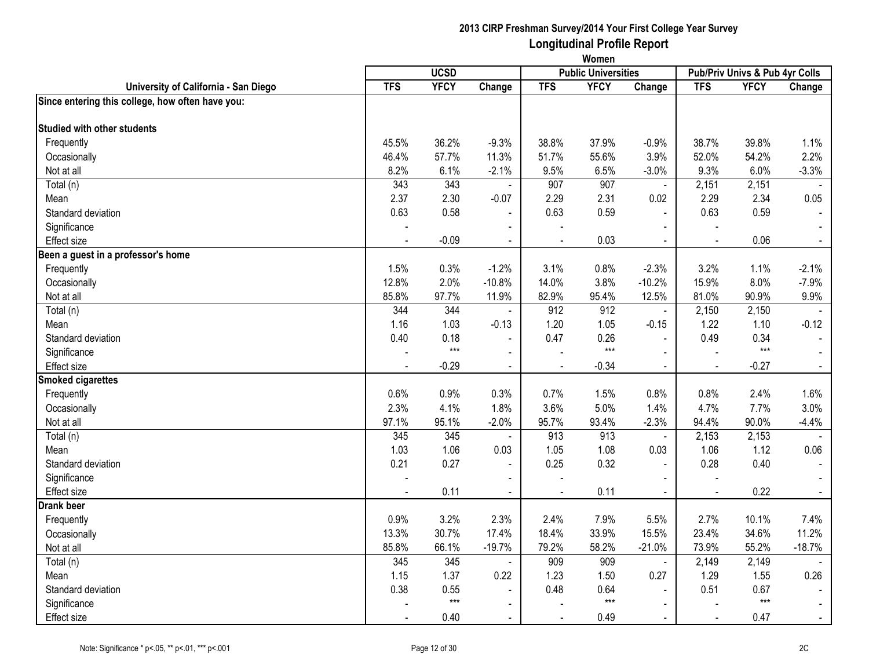|                                                  | Women          |             |                          |            |                            |                |                          |                                |                |
|--------------------------------------------------|----------------|-------------|--------------------------|------------|----------------------------|----------------|--------------------------|--------------------------------|----------------|
|                                                  |                | <b>UCSD</b> |                          |            | <b>Public Universities</b> |                |                          | Pub/Priv Univs & Pub 4yr Colls |                |
| University of California - San Diego             | <b>TFS</b>     | <b>YFCY</b> | Change                   | <b>TFS</b> | <b>YFCY</b>                | Change         | <b>TFS</b>               | <b>YFCY</b>                    | Change         |
| Since entering this college, how often have you: |                |             |                          |            |                            |                |                          |                                |                |
| Studied with other students                      |                |             |                          |            |                            |                |                          |                                |                |
| Frequently                                       | 45.5%          | 36.2%       | $-9.3%$                  | 38.8%      | 37.9%                      | $-0.9%$        | 38.7%                    | 39.8%                          | 1.1%           |
| Occasionally                                     | 46.4%          | 57.7%       | 11.3%                    | 51.7%      | 55.6%                      | 3.9%           | 52.0%                    | 54.2%                          | 2.2%           |
| Not at all                                       | 8.2%           | 6.1%        | $-2.1%$                  | 9.5%       | 6.5%                       | $-3.0%$        | 9.3%                     | 6.0%                           | $-3.3%$        |
| Total (n)                                        | 343            | 343         | $\blacksquare$           | 907        | 907                        | $\blacksquare$ | 2,151                    | 2,151                          |                |
| Mean                                             | 2.37           | 2.30        | $-0.07$                  | 2.29       | 2.31                       | 0.02           | 2.29                     | 2.34                           | 0.05           |
| Standard deviation                               | 0.63           | 0.58        | $\blacksquare$           | 0.63       | 0.59                       | $\blacksquare$ | 0.63                     | 0.59                           |                |
| Significance                                     |                |             | $\blacksquare$           |            |                            | $\sim$         | $\blacksquare$           |                                |                |
| <b>Effect size</b>                               |                | $-0.09$     | $\blacksquare$           | $\sim$     | 0.03                       | $\blacksquare$ | $\blacksquare$           | 0.06                           | $\blacksquare$ |
| Been a guest in a professor's home               |                |             |                          |            |                            |                |                          |                                |                |
| Frequently                                       | 1.5%           | 0.3%        | $-1.2%$                  | 3.1%       | 0.8%                       | $-2.3%$        | 3.2%                     | 1.1%                           | $-2.1%$        |
| Occasionally                                     | 12.8%          | 2.0%        | $-10.8%$                 | 14.0%      | 3.8%                       | $-10.2%$       | 15.9%                    | 8.0%                           | $-7.9%$        |
| Not at all                                       | 85.8%          | 97.7%       | 11.9%                    | 82.9%      | 95.4%                      | 12.5%          | 81.0%                    | 90.9%                          | 9.9%           |
| Total (n)                                        | 344            | 344         | $\blacksquare$           | 912        | 912                        | $\blacksquare$ | 2,150                    | 2,150                          |                |
| Mean                                             | 1.16           | 1.03        | $-0.13$                  | 1.20       | 1.05                       | $-0.15$        | 1.22                     | 1.10                           | $-0.12$        |
| Standard deviation                               | 0.40           | 0.18        | $\blacksquare$           | 0.47       | 0.26                       | $\Delta$       | 0.49                     | 0.34                           |                |
| Significance                                     |                | $***$       | $\sim$                   |            | $***$                      | $\sim$         | $\sim$                   | $***$                          |                |
| <b>Effect size</b>                               |                | $-0.29$     | $\blacksquare$           |            | $-0.34$                    | $\blacksquare$ |                          | $-0.27$                        |                |
| <b>Smoked cigarettes</b>                         |                |             |                          |            |                            |                |                          |                                |                |
| Frequently                                       | 0.6%           | 0.9%        | 0.3%                     | 0.7%       | 1.5%                       | 0.8%           | 0.8%                     | 2.4%                           | 1.6%           |
| Occasionally                                     | 2.3%           | 4.1%        | 1.8%                     | 3.6%       | 5.0%                       | 1.4%           | 4.7%                     | 7.7%                           | 3.0%           |
| Not at all                                       | 97.1%          | 95.1%       | $-2.0%$                  | 95.7%      | 93.4%                      | $-2.3%$        | 94.4%                    | 90.0%                          | $-4.4%$        |
| Total (n)                                        | 345            | 345         | $\blacksquare$           | 913        | 913                        | $\blacksquare$ | 2,153                    | 2,153                          |                |
| Mean                                             | 1.03           | 1.06        | 0.03                     | 1.05       | 1.08                       | 0.03           | 1.06                     | 1.12                           | 0.06           |
| Standard deviation                               | 0.21           | 0.27        | $\blacksquare$           | 0.25       | 0.32                       |                | 0.28                     | 0.40                           |                |
| Significance                                     | $\overline{a}$ |             | $\blacksquare$           |            |                            | $\blacksquare$ | $\overline{\phantom{a}}$ |                                |                |
| <b>Effect size</b>                               |                | 0.11        | $\blacksquare$           | $\sim$     | 0.11                       | $\blacksquare$ | $\sim$                   | 0.22                           | $\blacksquare$ |
| <b>Drank beer</b>                                |                |             |                          |            |                            |                |                          |                                |                |
| Frequently                                       | 0.9%           | 3.2%        | 2.3%                     | 2.4%       | 7.9%                       | 5.5%           | 2.7%                     | 10.1%                          | 7.4%           |
| Occasionally                                     | 13.3%          | 30.7%       | 17.4%                    | 18.4%      | 33.9%                      | 15.5%          | 23.4%                    | 34.6%                          | 11.2%          |
| Not at all                                       | 85.8%          | 66.1%       | $-19.7%$                 | 79.2%      | 58.2%                      | $-21.0%$       | 73.9%                    | 55.2%                          | $-18.7%$       |
| Total (n)                                        | 345            | 345         | $\blacksquare$           | 909        | 909                        | $\blacksquare$ | 2,149                    | 2,149                          |                |
| Mean                                             | 1.15           | 1.37        | 0.22                     | 1.23       | 1.50                       | 0.27           | 1.29                     | 1.55                           | 0.26           |
| Standard deviation                               | 0.38           | 0.55        | $\blacksquare$           | 0.48       | 0.64                       |                | 0.51                     | 0.67                           |                |
| Significance                                     |                | $***$       | $\overline{\phantom{0}}$ |            | $***$                      | $\blacksquare$ |                          | $***$                          |                |
| <b>Effect size</b>                               |                | 0.40        | $\blacksquare$           |            | 0.49                       | $\sim$         | $\sim$                   | 0.47                           |                |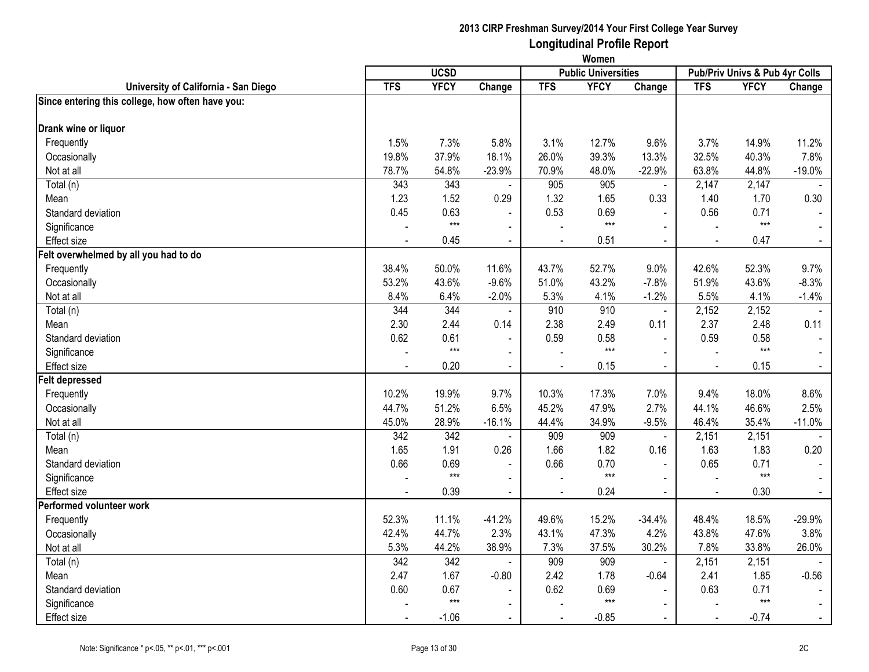|                                                  | Women      |             |                          |            |                            |                |                |                                |                |
|--------------------------------------------------|------------|-------------|--------------------------|------------|----------------------------|----------------|----------------|--------------------------------|----------------|
|                                                  |            | <b>UCSD</b> |                          |            | <b>Public Universities</b> |                |                | Pub/Priv Univs & Pub 4yr Colls |                |
| University of California - San Diego             | <b>TFS</b> | <b>YFCY</b> | Change                   | <b>TFS</b> | <b>YFCY</b>                | Change         | <b>TFS</b>     | <b>YFCY</b>                    | Change         |
| Since entering this college, how often have you: |            |             |                          |            |                            |                |                |                                |                |
| Drank wine or liquor                             |            |             |                          |            |                            |                |                |                                |                |
| Frequently                                       | 1.5%       | 7.3%        | 5.8%                     | 3.1%       | 12.7%                      | 9.6%           | 3.7%           | 14.9%                          | 11.2%          |
| Occasionally                                     | 19.8%      | 37.9%       | 18.1%                    | 26.0%      | 39.3%                      | 13.3%          | 32.5%          | 40.3%                          | 7.8%           |
| Not at all                                       | 78.7%      | 54.8%       | $-23.9%$                 | 70.9%      | 48.0%                      | $-22.9%$       | 63.8%          | 44.8%                          | $-19.0%$       |
| Total (n)                                        | 343        | 343         |                          | 905        | 905                        | ä,             | 2,147          | 2,147                          |                |
| Mean                                             | 1.23       | 1.52        | 0.29                     | 1.32       | 1.65                       | 0.33           | 1.40           | 1.70                           | 0.30           |
| Standard deviation                               | 0.45       | 0.63        |                          | 0.53       | 0.69                       | $\blacksquare$ | 0.56           | 0.71                           |                |
| Significance                                     |            | $***$       | $\blacksquare$           |            | $***$                      | $\mathbf{r}$   |                | $***$                          |                |
| <b>Effect size</b>                               |            | 0.45        | $\blacksquare$           |            | 0.51                       | $\blacksquare$ | $\blacksquare$ | 0.47                           | $\blacksquare$ |
| Felt overwhelmed by all you had to do            |            |             |                          |            |                            |                |                |                                |                |
| Frequently                                       | 38.4%      | 50.0%       | 11.6%                    | 43.7%      | 52.7%                      | 9.0%           | 42.6%          | 52.3%                          | 9.7%           |
| Occasionally                                     | 53.2%      | 43.6%       | $-9.6%$                  | 51.0%      | 43.2%                      | $-7.8%$        | 51.9%          | 43.6%                          | $-8.3%$        |
| Not at all                                       | 8.4%       | 6.4%        | $-2.0%$                  | 5.3%       | 4.1%                       | $-1.2%$        | 5.5%           | 4.1%                           | $-1.4%$        |
| Total (n)                                        | 344        | 344         |                          | 910        | 910                        | $\blacksquare$ | 2,152          | 2,152                          |                |
| Mean                                             | 2.30       | 2.44        | 0.14                     | 2.38       | 2.49                       | 0.11           | 2.37           | 2.48                           | 0.11           |
| Standard deviation                               | 0.62       | 0.61        |                          | 0.59       | 0.58                       | $\blacksquare$ | 0.59           | 0.58                           |                |
| Significance                                     |            | $***$       | $\sim$                   |            | $***$                      | $\sim$         | $\overline{a}$ | $***$                          |                |
| <b>Effect size</b>                               |            | 0.20        | $\blacksquare$           |            | 0.15                       | $\blacksquare$ |                | 0.15                           | $\blacksquare$ |
| <b>Felt depressed</b>                            |            |             |                          |            |                            |                |                |                                |                |
| Frequently                                       | 10.2%      | 19.9%       | 9.7%                     | 10.3%      | 17.3%                      | 7.0%           | 9.4%           | 18.0%                          | 8.6%           |
| Occasionally                                     | 44.7%      | 51.2%       | 6.5%                     | 45.2%      | 47.9%                      | 2.7%           | 44.1%          | 46.6%                          | 2.5%           |
| Not at all                                       | 45.0%      | 28.9%       | $-16.1%$                 | 44.4%      | 34.9%                      | $-9.5%$        | 46.4%          | 35.4%                          | $-11.0%$       |
| Total (n)                                        | 342        | 342         | $\blacksquare$           | 909        | 909                        | $\blacksquare$ | 2,151          | 2,151                          |                |
| Mean                                             | 1.65       | 1.91        | 0.26                     | 1.66       | 1.82                       | 0.16           | 1.63           | 1.83                           | 0.20           |
| Standard deviation                               | 0.66       | 0.69        |                          | 0.66       | 0.70                       | $\overline{a}$ | 0.65           | 0.71                           |                |
| Significance                                     |            | $***$       | $\blacksquare$           |            | $***$                      | $\mathbf{r}$   |                | $***$                          | $\blacksquare$ |
| <b>Effect size</b>                               |            | 0.39        | $\blacksquare$           |            | 0.24                       | $\blacksquare$ | $\sim$         | 0.30                           | $\blacksquare$ |
| Performed volunteer work                         |            |             |                          |            |                            |                |                |                                |                |
| Frequently                                       | 52.3%      | 11.1%       | $-41.2%$                 | 49.6%      | 15.2%                      | $-34.4%$       | 48.4%          | 18.5%                          | $-29.9%$       |
| Occasionally                                     | 42.4%      | 44.7%       | 2.3%                     | 43.1%      | 47.3%                      | 4.2%           | 43.8%          | 47.6%                          | 3.8%           |
| Not at all                                       | 5.3%       | 44.2%       | 38.9%                    | 7.3%       | 37.5%                      | 30.2%          | 7.8%           | 33.8%                          | 26.0%          |
| Total (n)                                        | 342        | 342         | $\blacksquare$           | 909        | 909                        | L.             | 2,151          | 2,151                          |                |
| Mean                                             | 2.47       | 1.67        | $-0.80$                  | 2.42       | 1.78                       | $-0.64$        | 2.41           | 1.85                           | $-0.56$        |
| Standard deviation                               | 0.60       | 0.67        |                          | 0.62       | 0.69                       |                | 0.63           | 0.71                           |                |
| Significance                                     |            | $***$       | $\overline{\phantom{0}}$ |            | $***$                      | $\blacksquare$ |                | $***$                          | $\sim$         |
| <b>Effect size</b>                               |            | $-1.06$     | $\blacksquare$           |            | $-0.85$                    | $\sim$         |                | $-0.74$                        | $\blacksquare$ |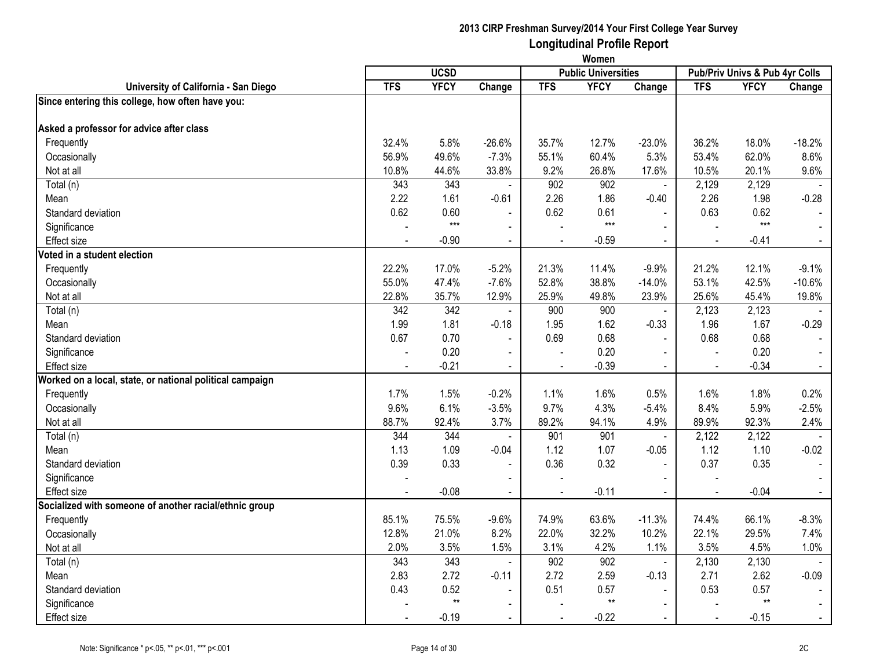|                                                          | Women          |                  |                |            |                            |                |                          |                                |                |
|----------------------------------------------------------|----------------|------------------|----------------|------------|----------------------------|----------------|--------------------------|--------------------------------|----------------|
|                                                          |                | <b>UCSD</b>      |                |            | <b>Public Universities</b> |                |                          | Pub/Priv Univs & Pub 4yr Colls |                |
| University of California - San Diego                     | <b>TFS</b>     | <b>YFCY</b>      | Change         | <b>TFS</b> | <b>YFCY</b>                | Change         | <b>TFS</b>               | <b>YFCY</b>                    | Change         |
| Since entering this college, how often have you:         |                |                  |                |            |                            |                |                          |                                |                |
| Asked a professor for advice after class                 |                |                  |                |            |                            |                |                          |                                |                |
| Frequently                                               | 32.4%          | 5.8%             | $-26.6%$       | 35.7%      | 12.7%                      | $-23.0%$       | 36.2%                    | 18.0%                          | $-18.2%$       |
| Occasionally                                             | 56.9%          | 49.6%            | $-7.3%$        | 55.1%      | 60.4%                      | 5.3%           | 53.4%                    | 62.0%                          | 8.6%           |
| Not at all                                               | 10.8%          | 44.6%            | 33.8%          | 9.2%       | 26.8%                      | 17.6%          | 10.5%                    | 20.1%                          | 9.6%           |
| Total (n)                                                | 343            | $\overline{343}$ | $\blacksquare$ | 902        | 902                        | $\blacksquare$ | 2,129                    | 2,129                          |                |
| Mean                                                     | 2.22           | 1.61             | $-0.61$        | 2.26       | 1.86                       | $-0.40$        | 2.26                     | 1.98                           | $-0.28$        |
| Standard deviation                                       | 0.62           | 0.60             |                | 0.62       | 0.61                       |                | 0.63                     | 0.62                           |                |
| Significance                                             |                | $***$            | $\blacksquare$ |            | $***$                      | $\Delta$       | $\overline{\phantom{a}}$ | $***$                          |                |
| <b>Effect size</b>                                       |                | $-0.90$          | $\blacksquare$ |            | $-0.59$                    | $\blacksquare$ | $\sim$                   | $-0.41$                        | $\blacksquare$ |
| Voted in a student election                              |                |                  |                |            |                            |                |                          |                                |                |
| Frequently                                               | 22.2%          | 17.0%            | $-5.2%$        | 21.3%      | 11.4%                      | $-9.9%$        | 21.2%                    | 12.1%                          | $-9.1%$        |
| Occasionally                                             | 55.0%          | 47.4%            | $-7.6%$        | 52.8%      | 38.8%                      | $-14.0%$       | 53.1%                    | 42.5%                          | $-10.6%$       |
| Not at all                                               | 22.8%          | 35.7%            | 12.9%          | 25.9%      | 49.8%                      | 23.9%          | 25.6%                    | 45.4%                          | 19.8%          |
| Total (n)                                                | 342            | 342              | $\blacksquare$ | 900        | 900                        | $\blacksquare$ | 2,123                    | 2,123                          |                |
| Mean                                                     | 1.99           | 1.81             | $-0.18$        | 1.95       | 1.62                       | $-0.33$        | 1.96                     | 1.67                           | $-0.29$        |
| Standard deviation                                       | 0.67           | 0.70             | $\overline{a}$ | 0.69       | 0.68                       | $\mathbf{r}$   | 0.68                     | 0.68                           |                |
| Significance                                             | $\blacksquare$ | 0.20             | $\blacksquare$ |            | 0.20                       |                | $\sim$                   | 0.20                           |                |
| <b>Effect size</b>                                       |                | $-0.21$          | $\blacksquare$ |            | $-0.39$                    | $\blacksquare$ |                          | $-0.34$                        |                |
| Worked on a local, state, or national political campaign |                |                  |                |            |                            |                |                          |                                |                |
| Frequently                                               | 1.7%           | 1.5%             | $-0.2%$        | 1.1%       | 1.6%                       | 0.5%           | 1.6%                     | 1.8%                           | 0.2%           |
| Occasionally                                             | 9.6%           | 6.1%             | $-3.5%$        | 9.7%       | 4.3%                       | $-5.4%$        | 8.4%                     | 5.9%                           | $-2.5%$        |
| Not at all                                               | 88.7%          | 92.4%            | 3.7%           | 89.2%      | 94.1%                      | 4.9%           | 89.9%                    | 92.3%                          | 2.4%           |
| Total (n)                                                | 344            | 344              | $\blacksquare$ | 901        | 901                        | $\blacksquare$ | 2,122                    | 2,122                          |                |
| Mean                                                     | 1.13           | 1.09             | $-0.04$        | 1.12       | 1.07                       | $-0.05$        | 1.12                     | 1.10                           | $-0.02$        |
| Standard deviation                                       | 0.39           | 0.33             | $\blacksquare$ | 0.36       | 0.32                       |                | 0.37                     | 0.35                           |                |
| Significance                                             |                |                  |                |            |                            |                |                          |                                |                |
| <b>Effect size</b>                                       | $\blacksquare$ | $-0.08$          | $\blacksquare$ | $\sim$     | $-0.11$                    | $\blacksquare$ | $\blacksquare$           | $-0.04$                        | $\sim$         |
| Socialized with someone of another racial/ethnic group   |                |                  |                |            |                            |                |                          |                                |                |
| Frequently                                               | 85.1%          | 75.5%            | $-9.6%$        | 74.9%      | 63.6%                      | $-11.3%$       | 74.4%                    | 66.1%                          | $-8.3%$        |
| Occasionally                                             | 12.8%          | 21.0%            | 8.2%           | 22.0%      | 32.2%                      | 10.2%          | 22.1%                    | 29.5%                          | 7.4%           |
| Not at all                                               | 2.0%           | 3.5%             | 1.5%           | 3.1%       | 4.2%                       | 1.1%           | 3.5%                     | 4.5%                           | 1.0%           |
| Total (n)                                                | 343            | 343              | $\blacksquare$ | 902        | 902                        | $\blacksquare$ | 2,130                    | 2,130                          |                |
| Mean                                                     | 2.83           | 2.72             | $-0.11$        | 2.72       | 2.59                       | $-0.13$        | 2.71                     | 2.62                           | $-0.09$        |
| Standard deviation                                       | 0.43           | 0.52             | $\blacksquare$ | 0.51       | 0.57                       | $\blacksquare$ | 0.53                     | 0.57                           |                |
| Significance                                             |                | $**$             |                |            | $**$                       | $\blacksquare$ |                          | $**$                           |                |
| Effect size                                              |                | $-0.19$          | $\blacksquare$ |            | $-0.22$                    | $\sim$         | $\sim$                   | $-0.15$                        | $\blacksquare$ |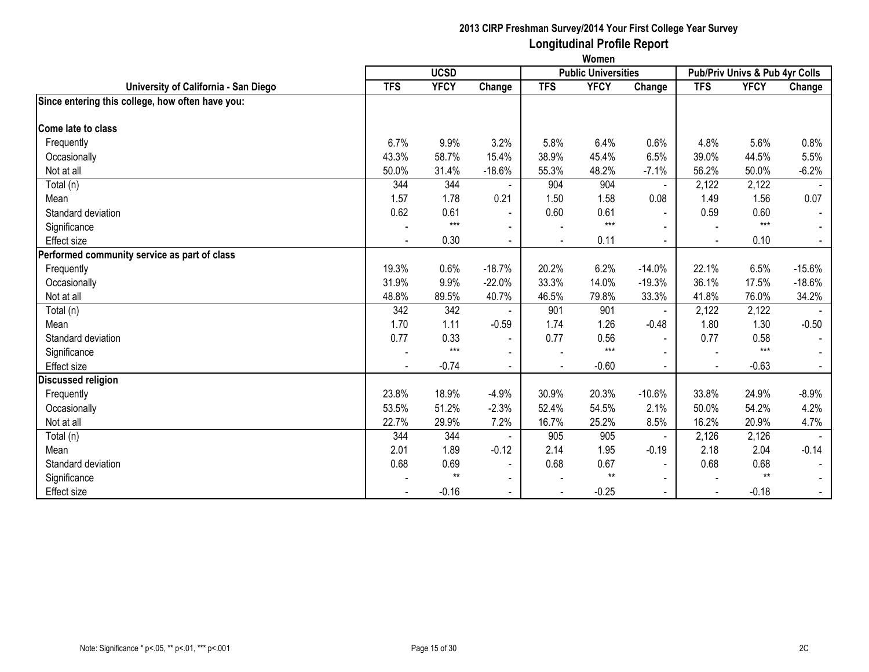|                                                  | Women          |             |                          |                |                            |                |            |                                |                |
|--------------------------------------------------|----------------|-------------|--------------------------|----------------|----------------------------|----------------|------------|--------------------------------|----------------|
|                                                  |                | <b>UCSD</b> |                          |                | <b>Public Universities</b> |                |            | Pub/Priv Univs & Pub 4yr Colls |                |
| University of California - San Diego             | <b>TFS</b>     | <b>YFCY</b> | Change                   | <b>TFS</b>     | <b>YFCY</b>                | Change         | <b>TFS</b> | <b>YFCY</b>                    | Change         |
| Since entering this college, how often have you: |                |             |                          |                |                            |                |            |                                |                |
| Come late to class                               |                |             |                          |                |                            |                |            |                                |                |
| Frequently                                       | 6.7%           | 9.9%        | 3.2%                     | 5.8%           | 6.4%                       | 0.6%           | 4.8%       | 5.6%                           | 0.8%           |
| Occasionally                                     | 43.3%          | 58.7%       | 15.4%                    | 38.9%          | 45.4%                      | 6.5%           | 39.0%      | 44.5%                          | 5.5%           |
| Not at all                                       | 50.0%          | 31.4%       | $-18.6%$                 | 55.3%          | 48.2%                      | $-7.1%$        | 56.2%      | 50.0%                          | $-6.2%$        |
| Total (n)                                        | 344            | 344         |                          | 904            | 904                        | $\blacksquare$ | 2,122      | 2,122                          |                |
| Mean                                             | 1.57           | 1.78        | 0.21                     | 1.50           | 1.58                       | 0.08           | 1.49       | 1.56                           | 0.07           |
| Standard deviation                               | 0.62           | 0.61        | $\blacksquare$           | 0.60           | 0.61                       | $\blacksquare$ | 0.59       | 0.60                           | $\blacksquare$ |
| Significance                                     |                | $***$       |                          |                | $***$                      |                |            | $***$                          |                |
| <b>Effect size</b>                               |                | 0.30        | $\blacksquare$           |                | 0.11                       | $\sim$         |            | 0.10                           | $\blacksquare$ |
| Performed community service as part of class     |                |             |                          |                |                            |                |            |                                |                |
| Frequently                                       | 19.3%          | 0.6%        | $-18.7%$                 | 20.2%          | 6.2%                       | $-14.0%$       | 22.1%      | 6.5%                           | $-15.6%$       |
| Occasionally                                     | 31.9%          | 9.9%        | $-22.0%$                 | 33.3%          | 14.0%                      | $-19.3%$       | 36.1%      | 17.5%                          | $-18.6%$       |
| Not at all                                       | 48.8%          | 89.5%       | 40.7%                    | 46.5%          | 79.8%                      | 33.3%          | 41.8%      | 76.0%                          | 34.2%          |
| Total (n)                                        | 342            | 342         |                          | 901            | 901                        | $\blacksquare$ | 2,122      | 2,122                          |                |
| Mean                                             | 1.70           | 1.11        | $-0.59$                  | 1.74           | 1.26                       | $-0.48$        | 1.80       | 1.30                           | $-0.50$        |
| Standard deviation                               | 0.77           | 0.33        | $\blacksquare$           | 0.77           | 0.56                       | $\sim$         | 0.77       | 0.58                           |                |
| Significance                                     |                | $***$       | $\overline{\phantom{a}}$ |                | $***$                      | $\blacksquare$ |            | $***$                          |                |
| <b>Effect size</b>                               | $\blacksquare$ | $-0.74$     | $\blacksquare$           | $\blacksquare$ | $-0.60$                    | $\blacksquare$ |            | $-0.63$                        | $\blacksquare$ |
| <b>Discussed religion</b>                        |                |             |                          |                |                            |                |            |                                |                |
| Frequently                                       | 23.8%          | 18.9%       | $-4.9%$                  | 30.9%          | 20.3%                      | $-10.6%$       | 33.8%      | 24.9%                          | $-8.9%$        |
| Occasionally                                     | 53.5%          | 51.2%       | $-2.3%$                  | 52.4%          | 54.5%                      | 2.1%           | 50.0%      | 54.2%                          | 4.2%           |
| Not at all                                       | 22.7%          | 29.9%       | 7.2%                     | 16.7%          | 25.2%                      | 8.5%           | 16.2%      | 20.9%                          | 4.7%           |
| Total (n)                                        | 344            | 344         |                          | 905            | 905                        | $\blacksquare$ | 2,126      | 2,126                          |                |
| Mean                                             | 2.01           | 1.89        | $-0.12$                  | 2.14           | 1.95                       | $-0.19$        | 2.18       | 2.04                           | $-0.14$        |
| Standard deviation                               | 0.68           | 0.69        | $\blacksquare$           | 0.68           | 0.67                       | $\sim$         | 0.68       | 0.68                           |                |
| Significance                                     |                | $**$        | $\overline{\phantom{a}}$ |                | $**$                       | $\blacksquare$ |            | $**$                           |                |
| <b>Effect size</b>                               |                | $-0.16$     | $\blacksquare$           |                | $-0.25$                    | $\blacksquare$ |            | $-0.18$                        | $\sim$         |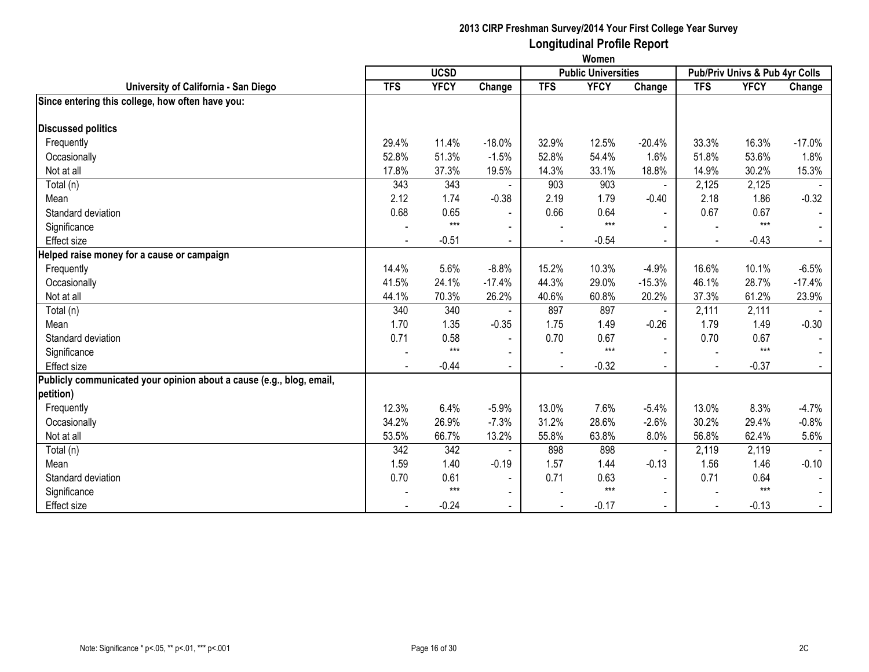|                                                                      | Women          |             |                          |                |                            |                          |            |                                |          |
|----------------------------------------------------------------------|----------------|-------------|--------------------------|----------------|----------------------------|--------------------------|------------|--------------------------------|----------|
|                                                                      |                | <b>UCSD</b> |                          |                | <b>Public Universities</b> |                          |            | Pub/Priv Univs & Pub 4yr Colls |          |
| University of California - San Diego                                 | <b>TFS</b>     | <b>YFCY</b> | Change                   | <b>TFS</b>     | <b>YFCY</b>                | Change                   | <b>TFS</b> | <b>YFCY</b>                    | Change   |
| Since entering this college, how often have you:                     |                |             |                          |                |                            |                          |            |                                |          |
| <b>Discussed politics</b>                                            |                |             |                          |                |                            |                          |            |                                |          |
| Frequently                                                           | 29.4%          | 11.4%       | $-18.0%$                 | 32.9%          | 12.5%                      | $-20.4%$                 | 33.3%      | 16.3%                          | $-17.0%$ |
|                                                                      | 52.8%          | 51.3%       | $-1.5%$                  | 52.8%          | 54.4%                      | 1.6%                     | 51.8%      | 53.6%                          | 1.8%     |
| Occasionally                                                         |                |             |                          |                |                            |                          |            |                                |          |
| Not at all                                                           | 17.8%          | 37.3%       | 19.5%                    | 14.3%          | 33.1%                      | 18.8%                    | 14.9%      | 30.2%                          | 15.3%    |
| Total (n)                                                            | 343            | 343         |                          | 903            | 903                        |                          | 2,125      | 2,125                          |          |
| Mean                                                                 | 2.12           | 1.74        | $-0.38$                  | 2.19           | 1.79                       | $-0.40$                  | 2.18       | 1.86                           | $-0.32$  |
| Standard deviation                                                   | 0.68           | 0.65        |                          | 0.66           | 0.64                       |                          | 0.67       | 0.67                           |          |
| Significance                                                         |                | $***$       | $\sim$                   |                | $***$                      |                          |            | $***$                          |          |
| <b>Effect size</b>                                                   | $\blacksquare$ | $-0.51$     | $\overline{\phantom{a}}$ | $\blacksquare$ | $-0.54$                    | $\overline{\phantom{0}}$ |            | $-0.43$                        | $\sim$   |
| Helped raise money for a cause or campaign                           |                |             |                          |                |                            |                          |            |                                |          |
| Frequently                                                           | 14.4%          | 5.6%        | $-8.8%$                  | 15.2%          | 10.3%                      | $-4.9%$                  | 16.6%      | 10.1%                          | $-6.5%$  |
| Occasionally                                                         | 41.5%          | 24.1%       | $-17.4%$                 | 44.3%          | 29.0%                      | $-15.3%$                 | 46.1%      | 28.7%                          | $-17.4%$ |
| Not at all                                                           | 44.1%          | 70.3%       | 26.2%                    | 40.6%          | 60.8%                      | 20.2%                    | 37.3%      | 61.2%                          | 23.9%    |
| Total (n)                                                            | 340            | 340         |                          | 897            | 897                        |                          | 2,111      | 2,111                          |          |
| Mean                                                                 | 1.70           | 1.35        | $-0.35$                  | 1.75           | 1.49                       | $-0.26$                  | 1.79       | 1.49                           | $-0.30$  |
| Standard deviation                                                   | 0.71           | 0.58        | $\sim$                   | 0.70           | 0.67                       | $\overline{\phantom{0}}$ | 0.70       | 0.67                           |          |
| Significance                                                         |                | $***$       | $\blacksquare$           |                | $***$                      |                          |            | $***$                          |          |
| <b>Effect</b> size                                                   |                | $-0.44$     | $\blacksquare$           |                | $-0.32$                    |                          |            | $-0.37$                        |          |
| Publicly communicated your opinion about a cause (e.g., blog, email, |                |             |                          |                |                            |                          |            |                                |          |
| petition)                                                            |                |             |                          |                |                            |                          |            |                                |          |
| Frequently                                                           | 12.3%          | 6.4%        | $-5.9%$                  | 13.0%          | 7.6%                       | $-5.4%$                  | 13.0%      | 8.3%                           | $-4.7%$  |
| Occasionally                                                         | 34.2%          | 26.9%       | $-7.3%$                  | 31.2%          | 28.6%                      | $-2.6%$                  | 30.2%      | 29.4%                          | $-0.8%$  |
| Not at all                                                           | 53.5%          | 66.7%       | 13.2%                    | 55.8%          | 63.8%                      | 8.0%                     | 56.8%      | 62.4%                          | 5.6%     |
| Total (n)                                                            | 342            | 342         | $\blacksquare$           | 898            | 898                        | $\blacksquare$           | 2,119      | 2,119                          |          |
| Mean                                                                 | 1.59           | 1.40        | $-0.19$                  | 1.57           | 1.44                       | $-0.13$                  | 1.56       | 1.46                           | $-0.10$  |
| Standard deviation                                                   | 0.70           | 0.61        | $\blacksquare$           | 0.71           | 0.63                       | $\blacksquare$           | 0.71       | 0.64                           |          |
| Significance                                                         |                | $***$       | $\blacksquare$           |                | $***$                      |                          |            | $***$                          |          |
| <b>Effect size</b>                                                   |                | $-0.24$     | $\blacksquare$           |                | $-0.17$                    | $\blacksquare$           |            | $-0.13$                        | $\sim$   |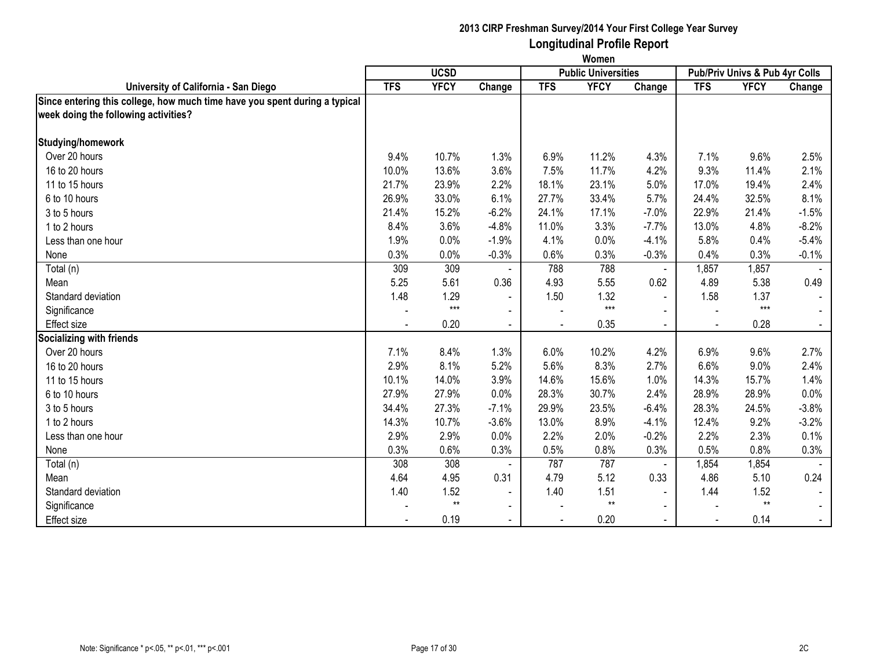|                                                                            | Women      |             |                |            |                            |                |                          |                                |         |  |
|----------------------------------------------------------------------------|------------|-------------|----------------|------------|----------------------------|----------------|--------------------------|--------------------------------|---------|--|
|                                                                            |            | <b>UCSD</b> |                |            | <b>Public Universities</b> |                |                          | Pub/Priv Univs & Pub 4yr Colls |         |  |
| University of California - San Diego                                       | <b>TFS</b> | <b>YFCY</b> | Change         | <b>TFS</b> | <b>YFCY</b>                | Change         | <b>TFS</b>               | <b>YFCY</b>                    | Change  |  |
| Since entering this college, how much time have you spent during a typical |            |             |                |            |                            |                |                          |                                |         |  |
| week doing the following activities?                                       |            |             |                |            |                            |                |                          |                                |         |  |
| Studying/homework                                                          |            |             |                |            |                            |                |                          |                                |         |  |
| Over 20 hours                                                              | 9.4%       | 10.7%       | 1.3%           | 6.9%       | 11.2%                      | 4.3%           | 7.1%                     | 9.6%                           | 2.5%    |  |
| 16 to 20 hours                                                             | 10.0%      | 13.6%       | 3.6%           | 7.5%       | 11.7%                      | 4.2%           | 9.3%                     | 11.4%                          | 2.1%    |  |
| 11 to 15 hours                                                             | 21.7%      | 23.9%       | 2.2%           | 18.1%      | 23.1%                      | 5.0%           | 17.0%                    | 19.4%                          | 2.4%    |  |
| 6 to 10 hours                                                              | 26.9%      | 33.0%       | 6.1%           | 27.7%      | 33.4%                      | 5.7%           | 24.4%                    | 32.5%                          | 8.1%    |  |
| 3 to 5 hours                                                               | 21.4%      | 15.2%       | $-6.2%$        | 24.1%      | 17.1%                      | $-7.0%$        | 22.9%                    | 21.4%                          | $-1.5%$ |  |
| 1 to 2 hours                                                               | 8.4%       | 3.6%        | $-4.8%$        | 11.0%      | 3.3%                       | $-7.7%$        | 13.0%                    | 4.8%                           | $-8.2%$ |  |
| Less than one hour                                                         | 1.9%       | 0.0%        | $-1.9%$        | 4.1%       | 0.0%                       | $-4.1%$        | 5.8%                     | 0.4%                           | $-5.4%$ |  |
| None                                                                       | 0.3%       | 0.0%        | $-0.3%$        | 0.6%       | 0.3%                       | $-0.3%$        | 0.4%                     | 0.3%                           | $-0.1%$ |  |
| Total (n)                                                                  | 309        | 309         |                | 788        | 788                        | $\blacksquare$ | 1,857                    | 1,857                          |         |  |
| Mean                                                                       | 5.25       | 5.61        | 0.36           | 4.93       | 5.55                       | 0.62           | 4.89                     | 5.38                           | 0.49    |  |
| Standard deviation                                                         | 1.48       | 1.29        | $\blacksquare$ | 1.50       | 1.32                       | $\blacksquare$ | 1.58                     | 1.37                           |         |  |
| Significance                                                               |            | $***$       | $\blacksquare$ |            | $***$                      | $\blacksquare$ |                          | $***$                          |         |  |
| Effect size                                                                |            | 0.20        | $\blacksquare$ |            | 0.35                       | $\blacksquare$ | $\overline{a}$           | 0.28                           |         |  |
| <b>Socializing with friends</b>                                            |            |             |                |            |                            |                |                          |                                |         |  |
| Over 20 hours                                                              | 7.1%       | 8.4%        | 1.3%           | 6.0%       | 10.2%                      | 4.2%           | 6.9%                     | 9.6%                           | 2.7%    |  |
| 16 to 20 hours                                                             | 2.9%       | 8.1%        | 5.2%           | 5.6%       | 8.3%                       | 2.7%           | 6.6%                     | 9.0%                           | 2.4%    |  |
| 11 to 15 hours                                                             | 10.1%      | 14.0%       | 3.9%           | 14.6%      | 15.6%                      | 1.0%           | 14.3%                    | 15.7%                          | 1.4%    |  |
| 6 to 10 hours                                                              | 27.9%      | 27.9%       | 0.0%           | 28.3%      | 30.7%                      | 2.4%           | 28.9%                    | 28.9%                          | 0.0%    |  |
| 3 to 5 hours                                                               | 34.4%      | 27.3%       | $-7.1%$        | 29.9%      | 23.5%                      | $-6.4%$        | 28.3%                    | 24.5%                          | $-3.8%$ |  |
| 1 to 2 hours                                                               | 14.3%      | 10.7%       | $-3.6%$        | 13.0%      | 8.9%                       | $-4.1%$        | 12.4%                    | 9.2%                           | $-3.2%$ |  |
| Less than one hour                                                         | 2.9%       | 2.9%        | 0.0%           | 2.2%       | 2.0%                       | $-0.2%$        | 2.2%                     | 2.3%                           | 0.1%    |  |
| None                                                                       | 0.3%       | 0.6%        | 0.3%           | 0.5%       | 0.8%                       | 0.3%           | 0.5%                     | 0.8%                           | 0.3%    |  |
| Total (n)                                                                  | 308        | 308         |                | 787        | 787                        | $\blacksquare$ | 1,854                    | 1,854                          |         |  |
| Mean                                                                       | 4.64       | 4.95        | 0.31           | 4.79       | 5.12                       | 0.33           | 4.86                     | 5.10                           | 0.24    |  |
| Standard deviation                                                         | 1.40       | 1.52        | $\blacksquare$ | 1.40       | 1.51                       | $\blacksquare$ | 1.44                     | 1.52                           |         |  |
| Significance                                                               |            | $**$        | $\blacksquare$ |            | $^{\star\star}$            | $\blacksquare$ |                          | $\star\star$                   |         |  |
| <b>Effect size</b>                                                         |            | 0.19        | $\blacksquare$ |            | 0.20                       | $\sim$         | $\overline{\phantom{a}}$ | 0.14                           |         |  |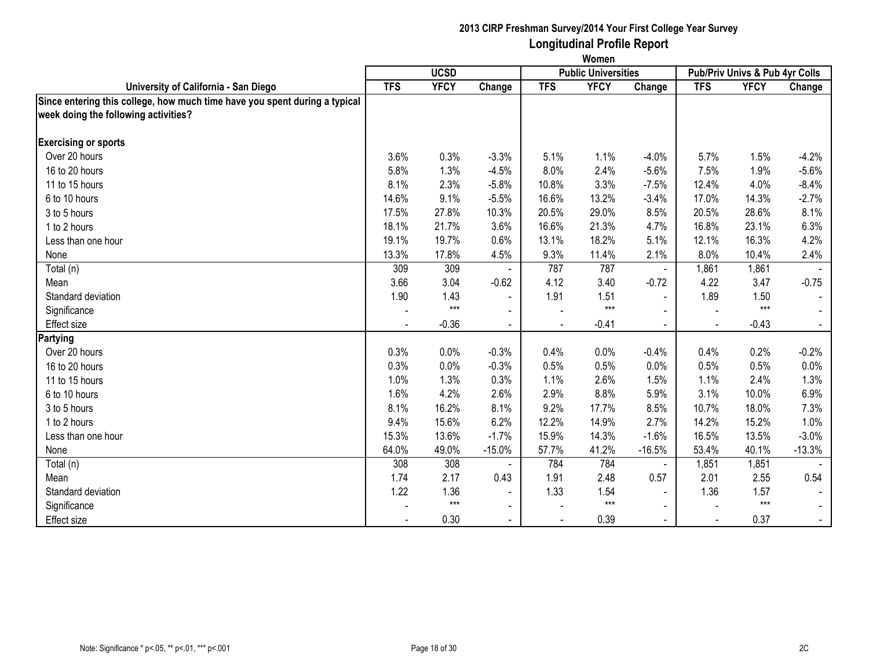|                                                                            | Women      |             |                |            |                            |                |            |                                |          |
|----------------------------------------------------------------------------|------------|-------------|----------------|------------|----------------------------|----------------|------------|--------------------------------|----------|
|                                                                            |            | <b>UCSD</b> |                |            | <b>Public Universities</b> |                |            | Pub/Priv Univs & Pub 4yr Colls |          |
| University of California - San Diego                                       | <b>TFS</b> | <b>YFCY</b> | Change         | <b>TFS</b> | <b>YFCY</b>                | Change         | <b>TFS</b> | <b>YFCY</b>                    | Change   |
| Since entering this college, how much time have you spent during a typical |            |             |                |            |                            |                |            |                                |          |
| week doing the following activities?                                       |            |             |                |            |                            |                |            |                                |          |
| <b>Exercising or sports</b>                                                |            |             |                |            |                            |                |            |                                |          |
| Over 20 hours                                                              | 3.6%       | 0.3%        | $-3.3%$        | 5.1%       | 1.1%                       | $-4.0%$        | 5.7%       | 1.5%                           | $-4.2%$  |
| 16 to 20 hours                                                             | 5.8%       | 1.3%        | $-4.5%$        | 8.0%       | 2.4%                       | $-5.6%$        | 7.5%       | 1.9%                           | $-5.6%$  |
| 11 to 15 hours                                                             | 8.1%       | 2.3%        | $-5.8%$        | 10.8%      | 3.3%                       | $-7.5%$        | 12.4%      | 4.0%                           | $-8.4%$  |
| 6 to 10 hours                                                              | 14.6%      | 9.1%        | $-5.5%$        | 16.6%      | 13.2%                      | $-3.4%$        | 17.0%      | 14.3%                          | $-2.7%$  |
| 3 to 5 hours                                                               | 17.5%      | 27.8%       | 10.3%          | 20.5%      | 29.0%                      | 8.5%           | 20.5%      | 28.6%                          | 8.1%     |
| 1 to 2 hours                                                               | 18.1%      | 21.7%       | 3.6%           | 16.6%      | 21.3%                      | 4.7%           | 16.8%      | 23.1%                          | 6.3%     |
| Less than one hour                                                         | 19.1%      | 19.7%       | 0.6%           | 13.1%      | 18.2%                      | 5.1%           | 12.1%      | 16.3%                          | 4.2%     |
| None                                                                       | 13.3%      | 17.8%       | 4.5%           | 9.3%       | 11.4%                      | 2.1%           | 8.0%       | 10.4%                          | 2.4%     |
| Total (n)                                                                  | 309        | 309         |                | 787        | 787                        | $\blacksquare$ | 1,861      | 1,861                          |          |
| Mean                                                                       | 3.66       | 3.04        | $-0.62$        | 4.12       | 3.40                       | $-0.72$        | 4.22       | 3.47                           | $-0.75$  |
| Standard deviation                                                         | 1.90       | 1.43        | $\blacksquare$ | 1.91       | 1.51                       | $\blacksquare$ | 1.89       | 1.50                           |          |
| Significance                                                               |            | $***$       | $\blacksquare$ |            | $***$                      |                |            | $***$                          |          |
| <b>Effect size</b>                                                         |            | $-0.36$     | $\blacksquare$ |            | $-0.41$                    |                |            | $-0.43$                        |          |
| Partying                                                                   |            |             |                |            |                            |                |            |                                |          |
| Over 20 hours                                                              | 0.3%       | 0.0%        | $-0.3%$        | 0.4%       | 0.0%                       | $-0.4%$        | 0.4%       | 0.2%                           | $-0.2%$  |
| 16 to 20 hours                                                             | 0.3%       | 0.0%        | $-0.3%$        | 0.5%       | 0.5%                       | 0.0%           | 0.5%       | 0.5%                           | 0.0%     |
| 11 to 15 hours                                                             | 1.0%       | 1.3%        | 0.3%           | 1.1%       | 2.6%                       | 1.5%           | 1.1%       | 2.4%                           | 1.3%     |
| 6 to 10 hours                                                              | 1.6%       | 4.2%        | 2.6%           | 2.9%       | 8.8%                       | 5.9%           | 3.1%       | 10.0%                          | 6.9%     |
| 3 to 5 hours                                                               | 8.1%       | 16.2%       | 8.1%           | 9.2%       | 17.7%                      | 8.5%           | 10.7%      | 18.0%                          | 7.3%     |
| 1 to 2 hours                                                               | 9.4%       | 15.6%       | 6.2%           | 12.2%      | 14.9%                      | 2.7%           | 14.2%      | 15.2%                          | 1.0%     |
| Less than one hour                                                         | 15.3%      | 13.6%       | $-1.7%$        | 15.9%      | 14.3%                      | $-1.6%$        | 16.5%      | 13.5%                          | $-3.0%$  |
| None                                                                       | 64.0%      | 49.0%       | $-15.0%$       | 57.7%      | 41.2%                      | $-16.5%$       | 53.4%      | 40.1%                          | $-13.3%$ |
| Total (n)                                                                  | 308        | 308         |                | 784        | 784                        | $\blacksquare$ | 1,851      | 1,851                          |          |
| Mean                                                                       | 1.74       | 2.17        | 0.43           | 1.91       | 2.48                       | 0.57           | 2.01       | 2.55                           | 0.54     |
| Standard deviation                                                         | 1.22       | 1.36        | $\blacksquare$ | 1.33       | 1.54                       | $\blacksquare$ | 1.36       | 1.57                           |          |
| Significance                                                               |            | $***$       | $\blacksquare$ |            | $***$                      | $\blacksquare$ |            | $***$                          |          |
| <b>Effect size</b>                                                         |            | 0.30        |                |            | 0.39                       |                |            | 0.37                           | $\sim$   |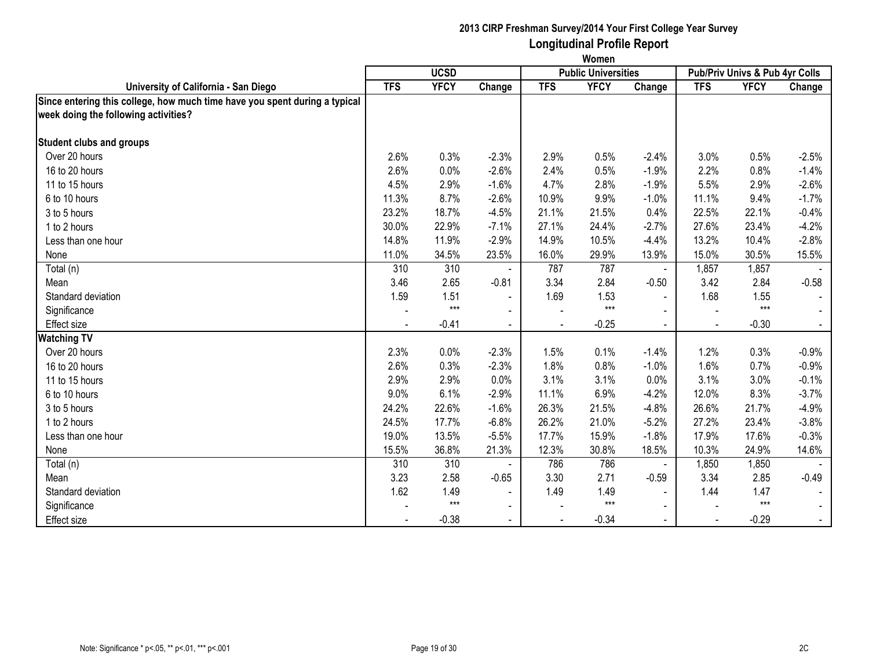|                                                                            | Women      |             |                |            |                            |                |            |                                |         |
|----------------------------------------------------------------------------|------------|-------------|----------------|------------|----------------------------|----------------|------------|--------------------------------|---------|
|                                                                            |            | <b>UCSD</b> |                |            | <b>Public Universities</b> |                |            | Pub/Priv Univs & Pub 4yr Colls |         |
| University of California - San Diego                                       | <b>TFS</b> | <b>YFCY</b> | Change         | <b>TFS</b> | <b>YFCY</b>                | Change         | <b>TFS</b> | <b>YFCY</b>                    | Change  |
| Since entering this college, how much time have you spent during a typical |            |             |                |            |                            |                |            |                                |         |
| week doing the following activities?                                       |            |             |                |            |                            |                |            |                                |         |
| <b>Student clubs and groups</b>                                            |            |             |                |            |                            |                |            |                                |         |
| Over 20 hours                                                              | 2.6%       | 0.3%        | $-2.3%$        | 2.9%       | 0.5%                       | $-2.4%$        | 3.0%       | 0.5%                           | $-2.5%$ |
| 16 to 20 hours                                                             | 2.6%       | 0.0%        | $-2.6%$        | 2.4%       | 0.5%                       | $-1.9%$        | 2.2%       | 0.8%                           | $-1.4%$ |
| 11 to 15 hours                                                             | 4.5%       | 2.9%        | $-1.6%$        | 4.7%       | 2.8%                       | $-1.9%$        | 5.5%       | 2.9%                           | $-2.6%$ |
| 6 to 10 hours                                                              | 11.3%      | 8.7%        | $-2.6%$        | 10.9%      | 9.9%                       | $-1.0%$        | 11.1%      | 9.4%                           | $-1.7%$ |
| 3 to 5 hours                                                               | 23.2%      | 18.7%       | $-4.5%$        | 21.1%      | 21.5%                      | 0.4%           | 22.5%      | 22.1%                          | $-0.4%$ |
| 1 to 2 hours                                                               | 30.0%      | 22.9%       | $-7.1%$        | 27.1%      | 24.4%                      | $-2.7%$        | 27.6%      | 23.4%                          | $-4.2%$ |
| Less than one hour                                                         | 14.8%      | 11.9%       | $-2.9%$        | 14.9%      | 10.5%                      | $-4.4%$        | 13.2%      | 10.4%                          | $-2.8%$ |
| None                                                                       | 11.0%      | 34.5%       | 23.5%          | 16.0%      | 29.9%                      | 13.9%          | 15.0%      | 30.5%                          | 15.5%   |
| Total (n)                                                                  | 310        | 310         |                | 787        | 787                        | $\blacksquare$ | 1,857      | 1,857                          |         |
| Mean                                                                       | 3.46       | 2.65        | $-0.81$        | 3.34       | 2.84                       | $-0.50$        | 3.42       | 2.84                           | $-0.58$ |
| Standard deviation                                                         | 1.59       | 1.51        | $\blacksquare$ | 1.69       | 1.53                       | $\blacksquare$ | 1.68       | 1.55                           |         |
| Significance                                                               |            | $***$       | $\blacksquare$ |            | $***$                      | $\sim$         |            | $***$                          |         |
| <b>Effect size</b>                                                         |            | $-0.41$     | $\mathbf{r}$   |            | $-0.25$                    | $\blacksquare$ |            | $-0.30$                        |         |
| <b>Watching TV</b>                                                         |            |             |                |            |                            |                |            |                                |         |
| Over 20 hours                                                              | 2.3%       | 0.0%        | $-2.3%$        | 1.5%       | 0.1%                       | $-1.4%$        | 1.2%       | 0.3%                           | $-0.9%$ |
| 16 to 20 hours                                                             | 2.6%       | 0.3%        | $-2.3%$        | 1.8%       | 0.8%                       | $-1.0%$        | 1.6%       | 0.7%                           | $-0.9%$ |
| 11 to 15 hours                                                             | 2.9%       | 2.9%        | 0.0%           | 3.1%       | 3.1%                       | 0.0%           | 3.1%       | 3.0%                           | $-0.1%$ |
| 6 to 10 hours                                                              | 9.0%       | 6.1%        | $-2.9%$        | 11.1%      | 6.9%                       | $-4.2%$        | 12.0%      | 8.3%                           | $-3.7%$ |
| 3 to 5 hours                                                               | 24.2%      | 22.6%       | $-1.6%$        | 26.3%      | 21.5%                      | $-4.8%$        | 26.6%      | 21.7%                          | $-4.9%$ |
| 1 to 2 hours                                                               | 24.5%      | 17.7%       | $-6.8%$        | 26.2%      | 21.0%                      | $-5.2%$        | 27.2%      | 23.4%                          | $-3.8%$ |
| Less than one hour                                                         | 19.0%      | 13.5%       | $-5.5%$        | 17.7%      | 15.9%                      | $-1.8%$        | 17.9%      | 17.6%                          | $-0.3%$ |
| None                                                                       | 15.5%      | 36.8%       | 21.3%          | 12.3%      | 30.8%                      | 18.5%          | 10.3%      | 24.9%                          | 14.6%   |
| Total (n)                                                                  | 310        | 310         |                | 786        | 786                        | $\blacksquare$ | 1,850      | 1,850                          |         |
| Mean                                                                       | 3.23       | 2.58        | $-0.65$        | 3.30       | 2.71                       | $-0.59$        | 3.34       | 2.85                           | $-0.49$ |
| Standard deviation                                                         | 1.62       | 1.49        | $\blacksquare$ | 1.49       | 1.49                       | $\sim$         | 1.44       | 1.47                           |         |
| Significance                                                               |            | $***$       | $\blacksquare$ |            | $***$                      | $\blacksquare$ |            | $***$                          |         |
| <b>Effect size</b>                                                         |            | $-0.38$     | $\blacksquare$ |            | $-0.34$                    | $\sim$         |            | $-0.29$                        | $\sim$  |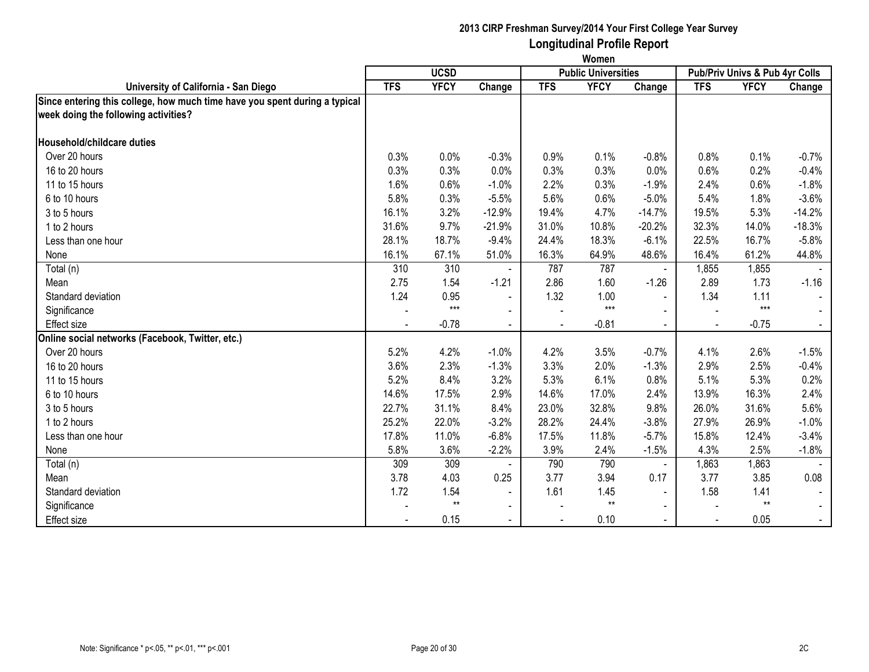|                                                                            | Women      |             |                          |            |                            |                |            |                                |          |
|----------------------------------------------------------------------------|------------|-------------|--------------------------|------------|----------------------------|----------------|------------|--------------------------------|----------|
|                                                                            |            | <b>UCSD</b> |                          |            | <b>Public Universities</b> |                |            | Pub/Priv Univs & Pub 4yr Colls |          |
| University of California - San Diego                                       | <b>TFS</b> | <b>YFCY</b> | Change                   | <b>TFS</b> | <b>YFCY</b>                | Change         | <b>TFS</b> | <b>YFCY</b>                    | Change   |
| Since entering this college, how much time have you spent during a typical |            |             |                          |            |                            |                |            |                                |          |
| week doing the following activities?                                       |            |             |                          |            |                            |                |            |                                |          |
|                                                                            |            |             |                          |            |                            |                |            |                                |          |
| Household/childcare duties                                                 |            |             |                          |            |                            |                |            |                                |          |
| Over 20 hours                                                              | 0.3%       | 0.0%        | $-0.3%$                  | 0.9%       | 0.1%                       | $-0.8%$        | 0.8%       | 0.1%                           | $-0.7%$  |
| 16 to 20 hours                                                             | 0.3%       | 0.3%        | 0.0%                     | 0.3%       | 0.3%                       | 0.0%           | 0.6%       | 0.2%                           | $-0.4%$  |
| 11 to 15 hours                                                             | 1.6%       | 0.6%        | $-1.0%$                  | 2.2%       | 0.3%                       | $-1.9%$        | 2.4%       | 0.6%                           | $-1.8%$  |
| 6 to 10 hours                                                              | 5.8%       | 0.3%        | $-5.5%$                  | 5.6%       | 0.6%                       | $-5.0%$        | 5.4%       | 1.8%                           | $-3.6%$  |
| 3 to 5 hours                                                               | 16.1%      | 3.2%        | $-12.9%$                 | 19.4%      | 4.7%                       | $-14.7%$       | 19.5%      | 5.3%                           | $-14.2%$ |
| 1 to 2 hours                                                               | 31.6%      | 9.7%        | $-21.9%$                 | 31.0%      | 10.8%                      | $-20.2%$       | 32.3%      | 14.0%                          | $-18.3%$ |
| Less than one hour                                                         | 28.1%      | 18.7%       | $-9.4%$                  | 24.4%      | 18.3%                      | $-6.1%$        | 22.5%      | 16.7%                          | $-5.8%$  |
| None                                                                       | 16.1%      | 67.1%       | 51.0%                    | 16.3%      | 64.9%                      | 48.6%          | 16.4%      | 61.2%                          | 44.8%    |
| Total (n)                                                                  | 310        | 310         |                          | 787        | 787                        | $\blacksquare$ | 1,855      | 1,855                          |          |
| Mean                                                                       | 2.75       | 1.54        | $-1.21$                  | 2.86       | 1.60                       | $-1.26$        | 2.89       | 1.73                           | $-1.16$  |
| Standard deviation                                                         | 1.24       | 0.95        | $\overline{\phantom{a}}$ | 1.32       | 1.00                       | $\blacksquare$ | 1.34       | 1.11                           |          |
| Significance                                                               |            | $***$       | $\blacksquare$           |            | $***$                      | $\blacksquare$ |            | $***$                          |          |
| <b>Effect size</b>                                                         |            | $-0.78$     |                          |            | $-0.81$                    |                |            | $-0.75$                        |          |
| Online social networks (Facebook, Twitter, etc.)                           |            |             |                          |            |                            |                |            |                                |          |
| Over 20 hours                                                              | 5.2%       | 4.2%        | $-1.0%$                  | 4.2%       | 3.5%                       | $-0.7%$        | 4.1%       | 2.6%                           | $-1.5%$  |
| 16 to 20 hours                                                             | 3.6%       | 2.3%        | $-1.3%$                  | 3.3%       | 2.0%                       | $-1.3%$        | 2.9%       | 2.5%                           | $-0.4%$  |
| 11 to 15 hours                                                             | 5.2%       | 8.4%        | 3.2%                     | 5.3%       | 6.1%                       | 0.8%           | 5.1%       | 5.3%                           | 0.2%     |
| 6 to 10 hours                                                              | 14.6%      | 17.5%       | 2.9%                     | 14.6%      | 17.0%                      | 2.4%           | 13.9%      | 16.3%                          | 2.4%     |
| 3 to 5 hours                                                               | 22.7%      | 31.1%       | 8.4%                     | 23.0%      | 32.8%                      | 9.8%           | 26.0%      | 31.6%                          | 5.6%     |
| 1 to 2 hours                                                               | 25.2%      | 22.0%       | $-3.2%$                  | 28.2%      | 24.4%                      | $-3.8%$        | 27.9%      | 26.9%                          | $-1.0%$  |
| Less than one hour                                                         | 17.8%      | 11.0%       | $-6.8%$                  | 17.5%      | 11.8%                      | $-5.7%$        | 15.8%      | 12.4%                          | $-3.4%$  |
| None                                                                       | 5.8%       | 3.6%        | $-2.2%$                  | 3.9%       | 2.4%                       | $-1.5%$        | 4.3%       | 2.5%                           | $-1.8%$  |
| Total (n)                                                                  | 309        | 309         |                          | 790        | 790                        | $\blacksquare$ | 1,863      | 1,863                          |          |
| Mean                                                                       | 3.78       | 4.03        | 0.25                     | 3.77       | 3.94                       | 0.17           | 3.77       | 3.85                           | 0.08     |
| Standard deviation                                                         | 1.72       | 1.54        | $\blacksquare$           | 1.61       | 1.45                       | $\blacksquare$ | 1.58       | 1.41                           |          |
| Significance                                                               |            | $**$        | $\sim$                   |            | $^{\star\star}$            | $\sim$         |            | $**$                           |          |
| <b>Effect size</b>                                                         |            | 0.15        |                          |            | 0.10                       |                |            | 0.05                           | $\sim$   |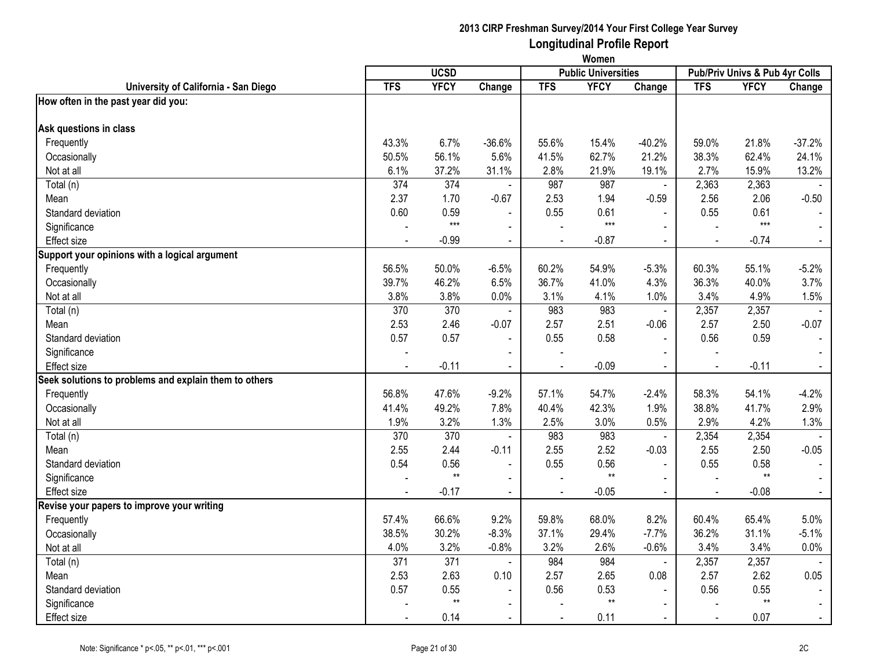|                                                       | Women          |              |                          |                |                            |                |                |                                |                |
|-------------------------------------------------------|----------------|--------------|--------------------------|----------------|----------------------------|----------------|----------------|--------------------------------|----------------|
|                                                       |                | <b>UCSD</b>  |                          |                | <b>Public Universities</b> |                |                | Pub/Priv Univs & Pub 4yr Colls |                |
| University of California - San Diego                  | <b>TFS</b>     | <b>YFCY</b>  | Change                   | <b>TFS</b>     | <b>YFCY</b>                | Change         | <b>TFS</b>     | <b>YFCY</b>                    | Change         |
| How often in the past year did you:                   |                |              |                          |                |                            |                |                |                                |                |
| Ask questions in class                                |                |              |                          |                |                            |                |                |                                |                |
| Frequently                                            | 43.3%          | 6.7%         | $-36.6%$                 | 55.6%          | 15.4%                      | $-40.2%$       | 59.0%          | 21.8%                          | $-37.2%$       |
| Occasionally                                          | 50.5%          | 56.1%        | 5.6%                     | 41.5%          | 62.7%                      | 21.2%          | 38.3%          | 62.4%                          | 24.1%          |
| Not at all                                            | 6.1%           | 37.2%        | 31.1%                    | 2.8%           | 21.9%                      | 19.1%          | 2.7%           | 15.9%                          | 13.2%          |
| Total (n)                                             | 374            | 374          | $\overline{\phantom{a}}$ | 987            | 987                        | $\blacksquare$ | 2,363          | 2,363                          |                |
| Mean                                                  | 2.37           | 1.70         | $-0.67$                  | 2.53           | 1.94                       | $-0.59$        | 2.56           | 2.06                           | $-0.50$        |
| Standard deviation                                    | 0.60           | 0.59         | $\overline{a}$           | 0.55           | 0.61                       |                | 0.55           | 0.61                           |                |
| Significance                                          |                | $***$        | $\blacksquare$           |                | $***$                      | $\overline{a}$ |                | $***$                          |                |
| Effect size                                           |                | $-0.99$      | $\blacksquare$           | $\blacksquare$ | $-0.87$                    | $\blacksquare$ | $\blacksquare$ | $-0.74$                        | $\blacksquare$ |
| Support your opinions with a logical argument         |                |              |                          |                |                            |                |                |                                |                |
| Frequently                                            | 56.5%          | 50.0%        | $-6.5%$                  | 60.2%          | 54.9%                      | $-5.3%$        | 60.3%          | 55.1%                          | $-5.2%$        |
| Occasionally                                          | 39.7%          | 46.2%        | 6.5%                     | 36.7%          | 41.0%                      | 4.3%           | 36.3%          | 40.0%                          | 3.7%           |
| Not at all                                            | 3.8%           | 3.8%         | 0.0%                     | 3.1%           | 4.1%                       | 1.0%           | 3.4%           | 4.9%                           | 1.5%           |
| Total (n)                                             | 370            | 370          | $\blacksquare$           | 983            | 983                        | $\blacksquare$ | 2,357          | 2,357                          |                |
| Mean                                                  | 2.53           | 2.46         | $-0.07$                  | 2.57           | 2.51                       | $-0.06$        | 2.57           | 2.50                           | $-0.07$        |
| Standard deviation                                    | 0.57           | 0.57         | $\blacksquare$           | 0.55           | 0.58                       | $\blacksquare$ | 0.56           | 0.59                           |                |
| Significance                                          |                |              |                          |                |                            |                |                |                                |                |
| <b>Effect size</b>                                    |                | $-0.11$      |                          |                | $-0.09$                    |                |                | $-0.11$                        | $\omega$       |
| Seek solutions to problems and explain them to others |                |              |                          |                |                            |                |                |                                |                |
| Frequently                                            | 56.8%          | 47.6%        | $-9.2%$                  | 57.1%          | 54.7%                      | $-2.4%$        | 58.3%          | 54.1%                          | $-4.2%$        |
| Occasionally                                          | 41.4%          | 49.2%        | 7.8%                     | 40.4%          | 42.3%                      | 1.9%           | 38.8%          | 41.7%                          | 2.9%           |
| Not at all                                            | 1.9%           | 3.2%         | 1.3%                     | 2.5%           | 3.0%                       | 0.5%           | 2.9%           | 4.2%                           | 1.3%           |
| Total (n)                                             | 370            | 370          | $\sim$                   | 983            | 983                        | $\blacksquare$ | 2,354          | 2,354                          |                |
| Mean                                                  | 2.55           | 2.44         | $-0.11$                  | 2.55           | 2.52                       | $-0.03$        | 2.55           | 2.50                           | $-0.05$        |
| Standard deviation                                    | 0.54           | 0.56         | $\blacksquare$           | 0.55           | 0.56                       |                | 0.55           | 0.58                           | $\blacksquare$ |
| Significance                                          |                | $\star\star$ | $\blacksquare$           |                | $**$                       | $\sim$         |                | $***$                          | $\sim$         |
| <b>Effect size</b>                                    | $\blacksquare$ | $-0.17$      | $\blacksquare$           | $\blacksquare$ | $-0.05$                    | $\sim$         | $\blacksquare$ | $-0.08$                        | $\blacksquare$ |
| Revise your papers to improve your writing            |                |              |                          |                |                            |                |                |                                |                |
| Frequently                                            | 57.4%          | 66.6%        | 9.2%                     | 59.8%          | 68.0%                      | 8.2%           | 60.4%          | 65.4%                          | 5.0%           |
| Occasionally                                          | 38.5%          | 30.2%        | $-8.3%$                  | 37.1%          | 29.4%                      | $-7.7%$        | 36.2%          | 31.1%                          | $-5.1%$        |
| Not at all                                            | 4.0%           | 3.2%         | $-0.8%$                  | 3.2%           | 2.6%                       | $-0.6%$        | 3.4%           | 3.4%                           | 0.0%           |
| Total (n)                                             | 371            | 371          | $\blacksquare$           | 984            | 984                        | $\mathbf{r}$   | 2,357          | 2,357                          |                |
| Mean                                                  | 2.53           | 2.63         | 0.10                     | 2.57           | 2.65                       | 0.08           | 2.57           | 2.62                           | 0.05           |
| Standard deviation                                    | 0.57           | 0.55         | $\blacksquare$           | 0.56           | 0.53                       |                | 0.56           | 0.55                           |                |
| Significance                                          |                | $**$         | $\blacksquare$           |                | $^{\star\star}$            | $\blacksquare$ |                | $**$                           | $\blacksquare$ |
| Effect size                                           |                | 0.14         | $\blacksquare$           |                | 0.11                       | $\sim$         |                | 0.07                           | $\blacksquare$ |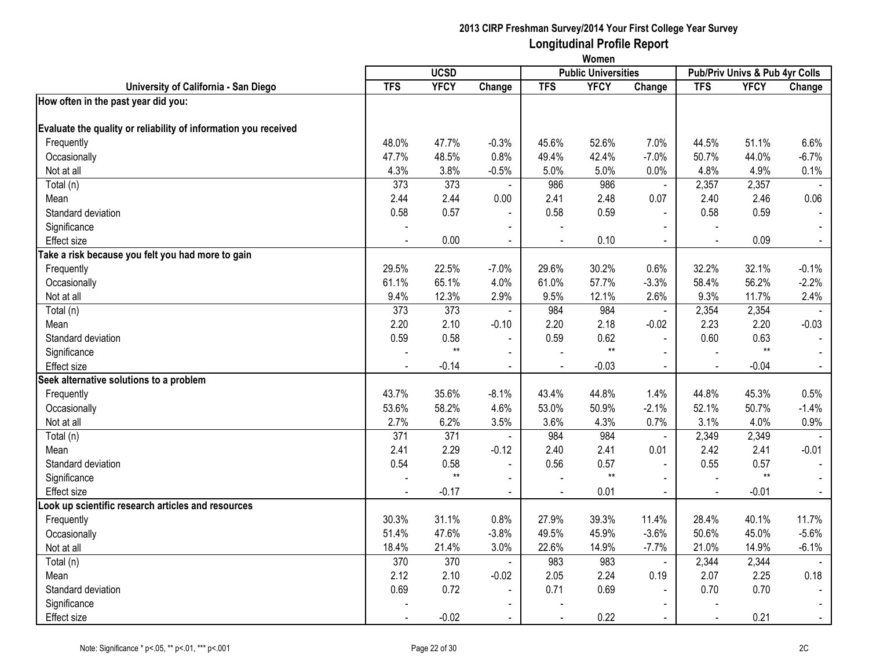|                                                                 | Women      |              |                          |                |                            |                |            |                                |                |
|-----------------------------------------------------------------|------------|--------------|--------------------------|----------------|----------------------------|----------------|------------|--------------------------------|----------------|
|                                                                 |            | <b>UCSD</b>  |                          |                | <b>Public Universities</b> |                |            | Pub/Priv Univs & Pub 4yr Colls |                |
| University of California - San Diego                            | <b>TFS</b> | <b>YFCY</b>  | Change                   | <b>TFS</b>     | <b>YFCY</b>                | Change         | <b>TFS</b> | <b>YFCY</b>                    | Change         |
| How often in the past year did you:                             |            |              |                          |                |                            |                |            |                                |                |
| Evaluate the quality or reliability of information you received |            |              |                          |                |                            |                |            |                                |                |
| Frequently                                                      | 48.0%      | 47.7%        | $-0.3%$                  | 45.6%          | 52.6%                      | 7.0%           | 44.5%      | 51.1%                          | 6.6%           |
| Occasionally                                                    | 47.7%      | 48.5%        | 0.8%                     | 49.4%          | 42.4%                      | $-7.0%$        | 50.7%      | 44.0%                          | $-6.7%$        |
| Not at all                                                      | 4.3%       | 3.8%         | $-0.5%$                  | 5.0%           | 5.0%                       | 0.0%           | 4.8%       | 4.9%                           | 0.1%           |
| Total (n)                                                       | 373        | 373          | $\blacksquare$           | 986            | 986                        | $\blacksquare$ | 2,357      | 2,357                          |                |
| Mean                                                            | 2.44       | 2.44         | 0.00                     | 2.41           | 2.48                       | 0.07           | 2.40       | 2.46                           | 0.06           |
| Standard deviation                                              | 0.58       | 0.57         |                          | 0.58           | 0.59                       | $\overline{a}$ | 0.58       | 0.59                           | $\sim$         |
| Significance                                                    |            |              | $\blacksquare$           |                |                            | $\blacksquare$ |            |                                |                |
| <b>Effect</b> size                                              |            | 0.00         | $\blacksquare$           | $\blacksquare$ | 0.10                       | $\blacksquare$ |            | 0.09                           | $\blacksquare$ |
| Take a risk because you felt you had more to gain               |            |              |                          |                |                            |                |            |                                |                |
| Frequently                                                      | 29.5%      | 22.5%        | $-7.0%$                  | 29.6%          | 30.2%                      | 0.6%           | 32.2%      | 32.1%                          | $-0.1%$        |
| Occasionally                                                    | 61.1%      | 65.1%        | 4.0%                     | 61.0%          | 57.7%                      | $-3.3%$        | 58.4%      | 56.2%                          | $-2.2%$        |
| Not at all                                                      | 9.4%       | 12.3%        | 2.9%                     | 9.5%           | 12.1%                      | 2.6%           | 9.3%       | 11.7%                          | 2.4%           |
| Total (n)                                                       | 373        | 373          | $\blacksquare$           | 984            | 984                        | $\blacksquare$ | 2,354      | 2,354                          |                |
| Mean                                                            | 2.20       | 2.10         | $-0.10$                  | 2.20           | 2.18                       | $-0.02$        | 2.23       | 2.20                           | $-0.03$        |
| Standard deviation                                              | 0.59       | 0.58         | $\blacksquare$           | 0.59           | 0.62                       | $\blacksquare$ | 0.60       | 0.63                           |                |
| Significance                                                    |            | $\star\star$ | $\sim$                   |                | $^{\star\star}$            | $\sim$         |            | $\star\star$                   | $\sim$         |
| Effect size                                                     |            | $-0.14$      | $\blacksquare$           |                | $-0.03$                    | $\blacksquare$ |            | $-0.04$                        | $\sim$         |
| Seek alternative solutions to a problem                         |            |              |                          |                |                            |                |            |                                |                |
| Frequently                                                      | 43.7%      | 35.6%        | $-8.1%$                  | 43.4%          | 44.8%                      | 1.4%           | 44.8%      | 45.3%                          | 0.5%           |
| Occasionally                                                    | 53.6%      | 58.2%        | 4.6%                     | 53.0%          | 50.9%                      | $-2.1%$        | 52.1%      | 50.7%                          | $-1.4%$        |
| Not at all                                                      | 2.7%       | 6.2%         | 3.5%                     | 3.6%           | 4.3%                       | 0.7%           | 3.1%       | 4.0%                           | 0.9%           |
| Total (n)                                                       | 371        | 371          | $\overline{\phantom{a}}$ | 984            | 984                        | $\blacksquare$ | 2,349      | 2,349                          | $\sim$         |
| Mean                                                            | 2.41       | 2.29         | $-0.12$                  | 2.40           | 2.41                       | 0.01           | 2.42       | 2.41                           | $-0.01$        |
| Standard deviation                                              | 0.54       | 0.58         | $\blacksquare$           | 0.56           | 0.57                       | $\overline{a}$ | 0.55       | 0.57                           |                |
| Significance                                                    |            | $**$         | $\blacksquare$           |                | $^{\star\star}$            | $\blacksquare$ |            | $**$                           | $\blacksquare$ |
| <b>Effect size</b>                                              |            | $-0.17$      | $\blacksquare$           | $\blacksquare$ | 0.01                       | $\blacksquare$ |            | $-0.01$                        | $\sim$         |
| ook up scientific research articles and resources               |            |              |                          |                |                            |                |            |                                |                |
| Frequently                                                      | 30.3%      | 31.1%        | 0.8%                     | 27.9%          | 39.3%                      | 11.4%          | 28.4%      | 40.1%                          | 11.7%          |
| Occasionally                                                    | 51.4%      | 47.6%        | $-3.8%$                  | 49.5%          | 45.9%                      | $-3.6%$        | 50.6%      | 45.0%                          | $-5.6%$        |
| Not at all                                                      | 18.4%      | 21.4%        | 3.0%                     | 22.6%          | 14.9%                      | $-7.7%$        | 21.0%      | 14.9%                          | $-6.1%$        |
| Total (n)                                                       | 370        | 370          | $\blacksquare$           | 983            | 983                        | $\blacksquare$ | 2,344      | 2,344                          |                |
| Mean                                                            | 2.12       | 2.10         | $-0.02$                  | 2.05           | 2.24                       | 0.19           | 2.07       | 2.25                           | 0.18           |
| Standard deviation                                              | 0.69       | 0.72         | $\blacksquare$           | 0.71           | 0.69                       |                | 0.70       | 0.70                           |                |
| Significance                                                    |            |              | $\blacksquare$           |                |                            | $\blacksquare$ |            |                                |                |
| Effect size                                                     |            | $-0.02$      | $\blacksquare$           |                | 0.22                       |                |            | 0.21                           | $\sim$         |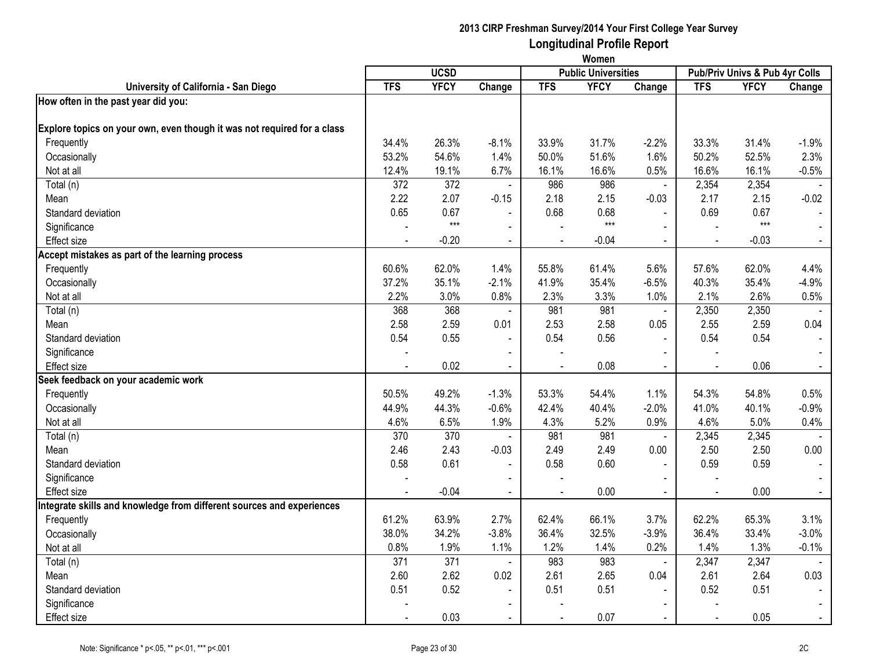|                                                                         | Women          |             |                |                |                            |                |            |                                |                |
|-------------------------------------------------------------------------|----------------|-------------|----------------|----------------|----------------------------|----------------|------------|--------------------------------|----------------|
|                                                                         |                | <b>UCSD</b> |                |                | <b>Public Universities</b> |                |            | Pub/Priv Univs & Pub 4yr Colls |                |
| University of California - San Diego                                    | <b>TFS</b>     | <b>YFCY</b> | Change         | <b>TFS</b>     | <b>YFCY</b>                | Change         | <b>TFS</b> | <b>YFCY</b>                    | Change         |
| How often in the past year did you:                                     |                |             |                |                |                            |                |            |                                |                |
| Explore topics on your own, even though it was not required for a class |                |             |                |                |                            |                |            |                                |                |
| Frequently                                                              | 34.4%          | 26.3%       | $-8.1%$        | 33.9%          | 31.7%                      | $-2.2%$        | 33.3%      | 31.4%                          | $-1.9%$        |
| Occasionally                                                            | 53.2%          | 54.6%       | 1.4%           | 50.0%          | 51.6%                      | 1.6%           | 50.2%      | 52.5%                          | 2.3%           |
| Not at all                                                              | 12.4%          | 19.1%       | 6.7%           | 16.1%          | 16.6%                      | 0.5%           | 16.6%      | 16.1%                          | $-0.5%$        |
| Total (n)                                                               | 372            | 372         | $\blacksquare$ | 986            | 986                        | $\blacksquare$ | 2,354      | 2,354                          |                |
| Mean                                                                    | 2.22           | 2.07        | $-0.15$        | 2.18           | 2.15                       | $-0.03$        | 2.17       | 2.15                           | $-0.02$        |
| Standard deviation                                                      | 0.65           | 0.67        |                | 0.68           | 0.68                       |                | 0.69       | 0.67                           | $\blacksquare$ |
| Significance                                                            |                | $***$       | $\blacksquare$ |                | $***$                      | $\blacksquare$ |            | $***$                          | $\sim$         |
| <b>Effect size</b>                                                      |                | $-0.20$     | $\blacksquare$ |                | $-0.04$                    | $\blacksquare$ |            | $-0.03$                        | $\blacksquare$ |
| Accept mistakes as part of the learning process                         |                |             |                |                |                            |                |            |                                |                |
| Frequently                                                              | 60.6%          | 62.0%       | 1.4%           | 55.8%          | 61.4%                      | 5.6%           | 57.6%      | 62.0%                          | 4.4%           |
| Occasionally                                                            | 37.2%          | 35.1%       | $-2.1%$        | 41.9%          | 35.4%                      | $-6.5%$        | 40.3%      | 35.4%                          | $-4.9%$        |
| Not at all                                                              | 2.2%           | 3.0%        | 0.8%           | 2.3%           | 3.3%                       | 1.0%           | 2.1%       | 2.6%                           | 0.5%           |
| Total (n)                                                               | 368            | 368         | $\blacksquare$ | 981            | 981                        | $\blacksquare$ | 2,350      | 2,350                          |                |
| Mean                                                                    | 2.58           | 2.59        | 0.01           | 2.53           | 2.58                       | 0.05           | 2.55       | 2.59                           | 0.04           |
| Standard deviation                                                      | 0.54           | 0.55        | $\blacksquare$ | 0.54           | 0.56                       | $\blacksquare$ | 0.54       | 0.54                           |                |
| Significance                                                            |                |             |                |                |                            |                |            |                                |                |
| <b>Effect size</b>                                                      |                | 0.02        |                |                | 0.08                       |                |            | 0.06                           | $\sim$         |
| Seek feedback on your academic work                                     |                |             |                |                |                            |                |            |                                |                |
| Frequently                                                              | 50.5%          | 49.2%       | $-1.3%$        | 53.3%          | 54.4%                      | 1.1%           | 54.3%      | 54.8%                          | 0.5%           |
| Occasionally                                                            | 44.9%          | 44.3%       | $-0.6%$        | 42.4%          | 40.4%                      | $-2.0%$        | 41.0%      | 40.1%                          | $-0.9%$        |
| Not at all                                                              | 4.6%           | 6.5%        | 1.9%           | 4.3%           | 5.2%                       | 0.9%           | 4.6%       | 5.0%                           | 0.4%           |
| Total (n)                                                               | 370            | 370         | $\blacksquare$ | 981            | 981                        | $\blacksquare$ | 2,345      | 2,345                          |                |
| Mean                                                                    | 2.46           | 2.43        | $-0.03$        | 2.49           | 2.49                       | 0.00           | 2.50       | 2.50                           | 0.00           |
| Standard deviation                                                      | 0.58           | 0.61        | $\blacksquare$ | 0.58           | 0.60                       | $\blacksquare$ | 0.59       | 0.59                           |                |
| Significance                                                            |                |             | $\blacksquare$ |                |                            | $\blacksquare$ |            |                                | $\sim$         |
| <b>Effect size</b>                                                      | $\blacksquare$ | $-0.04$     | $\blacksquare$ | $\blacksquare$ | 0.00                       | $\blacksquare$ |            | 0.00                           | $\sim$         |
| Integrate skills and knowledge from different sources and experiences   |                |             |                |                |                            |                |            |                                |                |
| Frequently                                                              | 61.2%          | 63.9%       | 2.7%           | 62.4%          | 66.1%                      | 3.7%           | 62.2%      | 65.3%                          | 3.1%           |
| Occasionally                                                            | 38.0%          | 34.2%       | $-3.8%$        | 36.4%          | 32.5%                      | $-3.9%$        | 36.4%      | 33.4%                          | $-3.0%$        |
| Not at all                                                              | 0.8%           | 1.9%        | 1.1%           | 1.2%           | 1.4%                       | 0.2%           | 1.4%       | 1.3%                           | $-0.1%$        |
| Total (n)                                                               | 371            | 371         | $\blacksquare$ | 983            | 983                        | $\omega$       | 2,347      | 2,347                          |                |
| Mean                                                                    | 2.60           | 2.62        | 0.02           | 2.61           | 2.65                       | 0.04           | 2.61       | 2.64                           | 0.03           |
| Standard deviation                                                      | 0.51           | 0.52        | $\overline{a}$ | 0.51           | 0.51                       |                | 0.52       | 0.51                           |                |
| Significance                                                            |                |             |                |                |                            | $\blacksquare$ |            |                                |                |
| <b>Effect size</b>                                                      |                | 0.03        | $\blacksquare$ |                | 0.07                       | $\sim$         |            | 0.05                           | $\sim$         |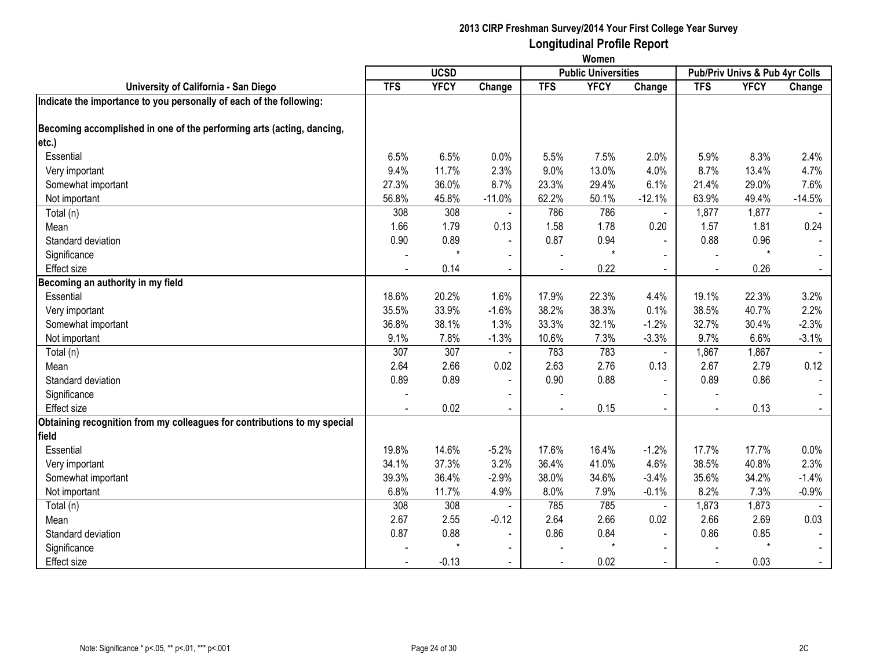|                                                                          | Women      |             |                |            |                            |                |                                |             |          |
|--------------------------------------------------------------------------|------------|-------------|----------------|------------|----------------------------|----------------|--------------------------------|-------------|----------|
|                                                                          |            | <b>UCSD</b> |                |            | <b>Public Universities</b> |                | Pub/Priv Univs & Pub 4yr Colls |             |          |
| University of California - San Diego                                     | <b>TFS</b> | <b>YFCY</b> | Change         | <b>TFS</b> | <b>YFCY</b>                | Change         | <b>TFS</b>                     | <b>YFCY</b> | Change   |
| Indicate the importance to you personally of each of the following:      |            |             |                |            |                            |                |                                |             |          |
| Becoming accomplished in one of the performing arts (acting, dancing,    |            |             |                |            |                            |                |                                |             |          |
| etc.)                                                                    |            |             |                |            |                            |                |                                |             |          |
| Essential                                                                | 6.5%       | 6.5%        | 0.0%           | 5.5%       | 7.5%                       | 2.0%           | 5.9%                           | 8.3%        | 2.4%     |
| Very important                                                           | 9.4%       | 11.7%       | 2.3%           | 9.0%       | 13.0%                      | 4.0%           | 8.7%                           | 13.4%       | 4.7%     |
| Somewhat important                                                       | 27.3%      | 36.0%       | 8.7%           | 23.3%      | 29.4%                      | 6.1%           | 21.4%                          | 29.0%       | 7.6%     |
| Not important                                                            | 56.8%      | 45.8%       | $-11.0%$       | 62.2%      | 50.1%                      | $-12.1%$       | 63.9%                          | 49.4%       | $-14.5%$ |
| Total (n)                                                                | 308        | 308         |                | 786        | 786                        | $\blacksquare$ | 1,877                          | 1,877       |          |
| Mean                                                                     | 1.66       | 1.79        | 0.13           | 1.58       | 1.78                       | 0.20           | 1.57                           | 1.81        | 0.24     |
| Standard deviation                                                       | 0.90       | 0.89        | $\blacksquare$ | 0.87       | 0.94                       | $\blacksquare$ | 0.88                           | 0.96        |          |
| Significance                                                             |            |             |                |            | $\star$                    |                |                                | $\star$     |          |
| <b>Effect size</b>                                                       |            | 0.14        |                |            | 0.22                       |                |                                | 0.26        |          |
| Becoming an authority in my field                                        |            |             |                |            |                            |                |                                |             |          |
| Essential                                                                | 18.6%      | 20.2%       | 1.6%           | 17.9%      | 22.3%                      | 4.4%           | 19.1%                          | 22.3%       | 3.2%     |
| Very important                                                           | 35.5%      | 33.9%       | $-1.6%$        | 38.2%      | 38.3%                      | 0.1%           | 38.5%                          | 40.7%       | 2.2%     |
| Somewhat important                                                       | 36.8%      | 38.1%       | 1.3%           | 33.3%      | 32.1%                      | $-1.2%$        | 32.7%                          | 30.4%       | $-2.3%$  |
| Not important                                                            | 9.1%       | 7.8%        | $-1.3%$        | 10.6%      | 7.3%                       | $-3.3%$        | 9.7%                           | 6.6%        | $-3.1%$  |
| Total (n)                                                                | 307        | 307         |                | 783        | 783                        |                | 1,867                          | 1,867       |          |
| Mean                                                                     | 2.64       | 2.66        | 0.02           | 2.63       | 2.76                       | 0.13           | 2.67                           | 2.79        | 0.12     |
| Standard deviation                                                       | 0.89       | 0.89        | $\blacksquare$ | 0.90       | 0.88                       | $\blacksquare$ | 0.89                           | 0.86        |          |
| Significance                                                             |            |             | $\blacksquare$ |            |                            |                |                                |             |          |
| <b>Effect size</b>                                                       |            | 0.02        | $\blacksquare$ |            | 0.15                       | $\sim$         | $\blacksquare$                 | 0.13        | $\sim$   |
| Obtaining recognition from my colleagues for contributions to my special |            |             |                |            |                            |                |                                |             |          |
| field                                                                    |            |             |                |            |                            |                |                                |             |          |
| Essential                                                                | 19.8%      | 14.6%       | $-5.2%$        | 17.6%      | 16.4%                      | $-1.2%$        | 17.7%                          | 17.7%       | 0.0%     |
| Very important                                                           | 34.1%      | 37.3%       | 3.2%           | 36.4%      | 41.0%                      | 4.6%           | 38.5%                          | 40.8%       | 2.3%     |
| Somewhat important                                                       | 39.3%      | 36.4%       | $-2.9%$        | 38.0%      | 34.6%                      | $-3.4%$        | 35.6%                          | 34.2%       | $-1.4%$  |
| Not important                                                            | 6.8%       | 11.7%       | 4.9%           | 8.0%       | 7.9%                       | $-0.1%$        | 8.2%                           | 7.3%        | $-0.9%$  |
| Total (n)                                                                | 308        | 308         |                | 785        | 785                        | $\blacksquare$ | 1,873                          | 1,873       |          |
| Mean                                                                     | 2.67       | 2.55        | $-0.12$        | 2.64       | 2.66                       | 0.02           | 2.66                           | 2.69        | 0.03     |
| Standard deviation                                                       | 0.87       | 0.88        | $\blacksquare$ | 0.86       | 0.84                       |                | 0.86                           | 0.85        |          |
| Significance                                                             |            |             | $\sim$         |            | $\star$                    |                |                                | $\star$     |          |
| <b>Effect size</b>                                                       |            | $-0.13$     | $\blacksquare$ |            | 0.02                       |                |                                | 0.03        |          |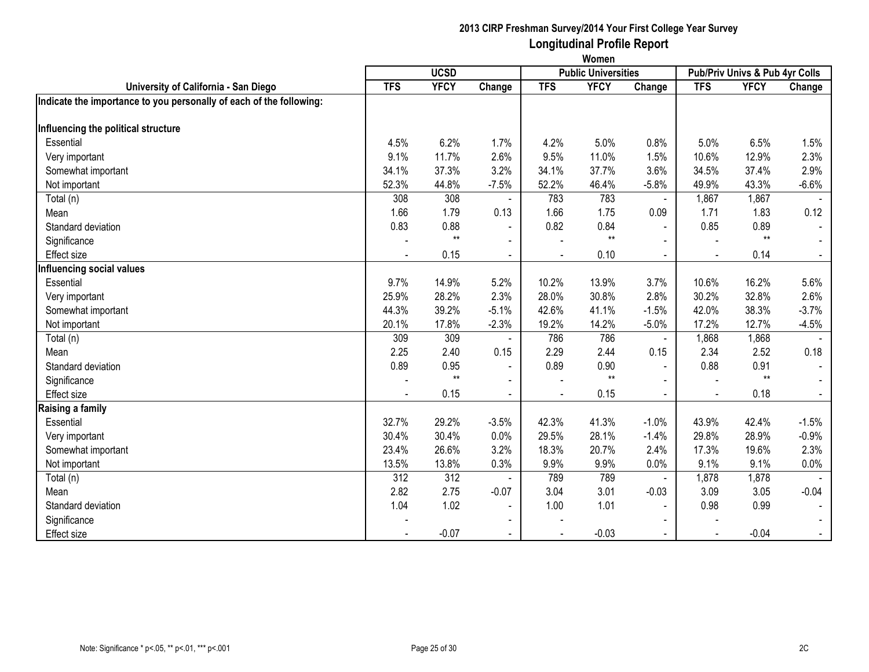|                                                                     | Women                                     |             |                |            |             |                          |                                |             |         |  |  |
|---------------------------------------------------------------------|-------------------------------------------|-------------|----------------|------------|-------------|--------------------------|--------------------------------|-------------|---------|--|--|
|                                                                     | <b>UCSD</b><br><b>Public Universities</b> |             |                |            |             |                          | Pub/Priv Univs & Pub 4yr Colls |             |         |  |  |
| University of California - San Diego                                | <b>TFS</b>                                | <b>YFCY</b> | Change         | <b>TFS</b> | <b>YFCY</b> | Change                   | <b>TFS</b>                     | <b>YFCY</b> | Change  |  |  |
| Indicate the importance to you personally of each of the following: |                                           |             |                |            |             |                          |                                |             |         |  |  |
|                                                                     |                                           |             |                |            |             |                          |                                |             |         |  |  |
| Influencing the political structure                                 |                                           |             |                |            |             |                          |                                |             |         |  |  |
| Essential                                                           | 4.5%                                      | 6.2%        | 1.7%           | 4.2%       | 5.0%        | 0.8%                     | 5.0%                           | 6.5%        | 1.5%    |  |  |
| Very important                                                      | 9.1%                                      | 11.7%       | 2.6%           | 9.5%       | 11.0%       | 1.5%                     | 10.6%                          | 12.9%       | 2.3%    |  |  |
| Somewhat important                                                  | 34.1%                                     | 37.3%       | 3.2%           | 34.1%      | 37.7%       | 3.6%                     | 34.5%                          | 37.4%       | 2.9%    |  |  |
| Not important                                                       | 52.3%                                     | 44.8%       | $-7.5%$        | 52.2%      | 46.4%       | $-5.8%$                  | 49.9%                          | 43.3%       | $-6.6%$ |  |  |
| Total (n)                                                           | 308                                       | 308         |                | 783        | 783         | $\blacksquare$           | 1,867                          | 1,867       |         |  |  |
| Mean                                                                | 1.66                                      | 1.79        | 0.13           | 1.66       | 1.75        | 0.09                     | 1.71                           | 1.83        | 0.12    |  |  |
| Standard deviation                                                  | 0.83                                      | 0.88        | $\sim$         | 0.82       | 0.84        | $\blacksquare$           | 0.85                           | 0.89        |         |  |  |
| Significance                                                        |                                           | $**$        | $\blacksquare$ |            | $**$        | $\blacksquare$           |                                | $**$        |         |  |  |
| <b>Effect size</b>                                                  |                                           | 0.15        | $\blacksquare$ |            | 0.10        |                          |                                | 0.14        |         |  |  |
| Influencing social values                                           |                                           |             |                |            |             |                          |                                |             |         |  |  |
| Essential                                                           | 9.7%                                      | 14.9%       | 5.2%           | 10.2%      | 13.9%       | 3.7%                     | 10.6%                          | 16.2%       | 5.6%    |  |  |
| Very important                                                      | 25.9%                                     | 28.2%       | 2.3%           | 28.0%      | 30.8%       | 2.8%                     | 30.2%                          | 32.8%       | 2.6%    |  |  |
| Somewhat important                                                  | 44.3%                                     | 39.2%       | $-5.1%$        | 42.6%      | 41.1%       | $-1.5%$                  | 42.0%                          | 38.3%       | $-3.7%$ |  |  |
| Not important                                                       | 20.1%                                     | 17.8%       | $-2.3%$        | 19.2%      | 14.2%       | $-5.0%$                  | 17.2%                          | 12.7%       | $-4.5%$ |  |  |
| Total (n)                                                           | 309                                       | 309         |                | 786        | 786         | $\blacksquare$           | 1,868                          | 1,868       |         |  |  |
| Mean                                                                | 2.25                                      | 2.40        | 0.15           | 2.29       | 2.44        | 0.15                     | 2.34                           | 2.52        | 0.18    |  |  |
| Standard deviation                                                  | 0.89                                      | 0.95        | $\blacksquare$ | 0.89       | 0.90        | $\sim$                   | 0.88                           | 0.91        | $\sim$  |  |  |
| Significance                                                        |                                           | $**$        | $\blacksquare$ |            | $**$        | $\blacksquare$           |                                | $**$        |         |  |  |
| <b>Effect size</b>                                                  |                                           | 0.15        | $\blacksquare$ |            | 0.15        |                          |                                | 0.18        |         |  |  |
| Raising a family                                                    |                                           |             |                |            |             |                          |                                |             |         |  |  |
| Essential                                                           | 32.7%                                     | 29.2%       | $-3.5%$        | 42.3%      | 41.3%       | $-1.0%$                  | 43.9%                          | 42.4%       | $-1.5%$ |  |  |
| Very important                                                      | 30.4%                                     | 30.4%       | 0.0%           | 29.5%      | 28.1%       | $-1.4%$                  | 29.8%                          | 28.9%       | $-0.9%$ |  |  |
| Somewhat important                                                  | 23.4%                                     | 26.6%       | 3.2%           | 18.3%      | 20.7%       | 2.4%                     | 17.3%                          | 19.6%       | 2.3%    |  |  |
| Not important                                                       | 13.5%                                     | 13.8%       | 0.3%           | 9.9%       | 9.9%        | 0.0%                     | 9.1%                           | 9.1%        | $0.0\%$ |  |  |
| Total (n)                                                           | 312                                       | 312         |                | 789        | 789         | $\blacksquare$           | 1,878                          | 1,878       |         |  |  |
| Mean                                                                | 2.82                                      | 2.75        | $-0.07$        | 3.04       | 3.01        | $-0.03$                  | 3.09                           | 3.05        | $-0.04$ |  |  |
| Standard deviation                                                  | 1.04                                      | 1.02        | $\blacksquare$ | 1.00       | 1.01        | $\blacksquare$           | 0.98                           | 0.99        |         |  |  |
| Significance                                                        |                                           |             | $\blacksquare$ |            |             | $\overline{\phantom{0}}$ |                                |             |         |  |  |
| <b>Effect size</b>                                                  |                                           | $-0.07$     | $\blacksquare$ |            | $-0.03$     | $\sim$                   |                                | $-0.04$     | $\sim$  |  |  |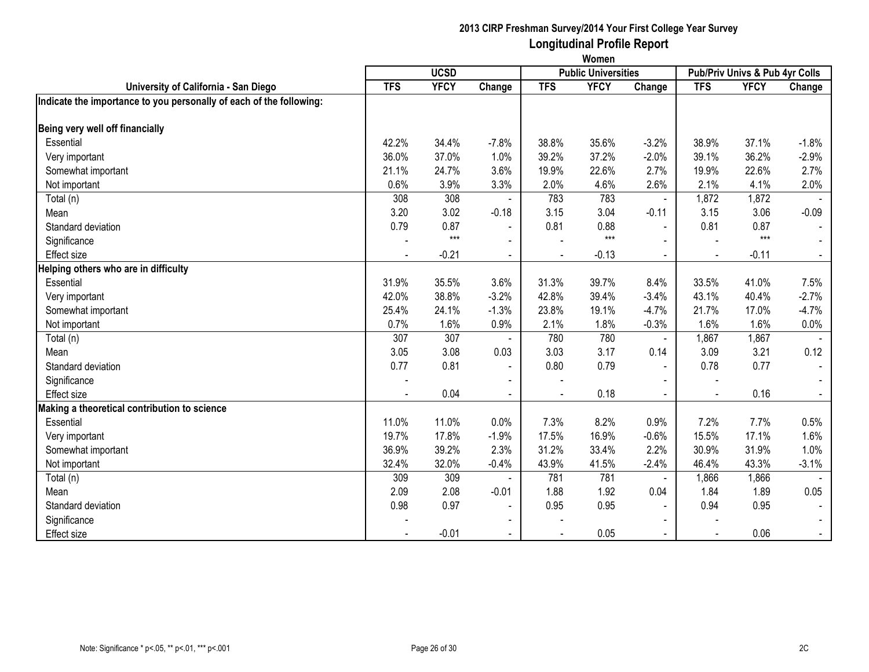|                                                                     | Women                                     |             |                |            |             |                |                                |             |         |  |  |
|---------------------------------------------------------------------|-------------------------------------------|-------------|----------------|------------|-------------|----------------|--------------------------------|-------------|---------|--|--|
|                                                                     | <b>UCSD</b><br><b>Public Universities</b> |             |                |            |             |                | Pub/Priv Univs & Pub 4yr Colls |             |         |  |  |
| University of California - San Diego                                | <b>TFS</b>                                | <b>YFCY</b> | Change         | <b>TFS</b> | <b>YFCY</b> | Change         | <b>TFS</b>                     | <b>YFCY</b> | Change  |  |  |
| Indicate the importance to you personally of each of the following: |                                           |             |                |            |             |                |                                |             |         |  |  |
| Being very well off financially                                     |                                           |             |                |            |             |                |                                |             |         |  |  |
| Essential                                                           | 42.2%                                     | 34.4%       | $-7.8%$        | 38.8%      | 35.6%       | $-3.2%$        | 38.9%                          | 37.1%       | $-1.8%$ |  |  |
| Very important                                                      | 36.0%                                     | 37.0%       | 1.0%           | 39.2%      | 37.2%       | $-2.0%$        | 39.1%                          | 36.2%       | $-2.9%$ |  |  |
| Somewhat important                                                  | 21.1%                                     | 24.7%       | 3.6%           | 19.9%      | 22.6%       | 2.7%           | 19.9%                          | 22.6%       | 2.7%    |  |  |
| Not important                                                       | 0.6%                                      | 3.9%        | 3.3%           | 2.0%       | 4.6%        | 2.6%           | 2.1%                           | 4.1%        | 2.0%    |  |  |
| Total (n)                                                           | 308                                       | 308         |                | 783        | 783         |                | 1,872                          | 1,872       |         |  |  |
| Mean                                                                | 3.20                                      | 3.02        | $-0.18$        | 3.15       | 3.04        | $-0.11$        | 3.15                           | 3.06        | $-0.09$ |  |  |
| Standard deviation                                                  | 0.79                                      | 0.87        | $\sim$         | 0.81       | 0.88        | $\sim$         | 0.81                           | 0.87        |         |  |  |
| Significance                                                        |                                           | $***$       | $\blacksquare$ |            | $***$       |                |                                | $***$       |         |  |  |
| <b>Effect size</b>                                                  |                                           | $-0.21$     | $\sim$         |            | $-0.13$     |                |                                | $-0.11$     |         |  |  |
| Helping others who are in difficulty                                |                                           |             |                |            |             |                |                                |             |         |  |  |
| Essential                                                           | 31.9%                                     | 35.5%       | 3.6%           | 31.3%      | 39.7%       | 8.4%           | 33.5%                          | 41.0%       | 7.5%    |  |  |
| Very important                                                      | 42.0%                                     | 38.8%       | $-3.2%$        | 42.8%      | 39.4%       | $-3.4%$        | 43.1%                          | 40.4%       | $-2.7%$ |  |  |
| Somewhat important                                                  | 25.4%                                     | 24.1%       | $-1.3%$        | 23.8%      | 19.1%       | $-4.7%$        | 21.7%                          | 17.0%       | $-4.7%$ |  |  |
| Not important                                                       | 0.7%                                      | 1.6%        | 0.9%           | 2.1%       | 1.8%        | $-0.3%$        | 1.6%                           | 1.6%        | 0.0%    |  |  |
| Total (n)                                                           | 307                                       | 307         |                | 780        | 780         | $\blacksquare$ | 1,867                          | 1,867       |         |  |  |
| Mean                                                                | 3.05                                      | 3.08        | 0.03           | 3.03       | 3.17        | 0.14           | 3.09                           | 3.21        | 0.12    |  |  |
| Standard deviation                                                  | 0.77                                      | 0.81        | $\blacksquare$ | 0.80       | 0.79        | $\sim$         | 0.78                           | 0.77        | $\sim$  |  |  |
| Significance                                                        |                                           |             |                |            |             |                |                                |             |         |  |  |
| Effect size                                                         |                                           | 0.04        |                |            | 0.18        |                |                                | 0.16        |         |  |  |
| Making a theoretical contribution to science                        |                                           |             |                |            |             |                |                                |             |         |  |  |
| Essential                                                           | 11.0%                                     | 11.0%       | 0.0%           | 7.3%       | 8.2%        | 0.9%           | 7.2%                           | 7.7%        | 0.5%    |  |  |
| Very important                                                      | 19.7%                                     | 17.8%       | $-1.9%$        | 17.5%      | 16.9%       | $-0.6%$        | 15.5%                          | 17.1%       | 1.6%    |  |  |
| Somewhat important                                                  | 36.9%                                     | 39.2%       | 2.3%           | 31.2%      | 33.4%       | 2.2%           | 30.9%                          | 31.9%       | 1.0%    |  |  |
| Not important                                                       | 32.4%                                     | 32.0%       | $-0.4%$        | 43.9%      | 41.5%       | $-2.4%$        | 46.4%                          | 43.3%       | $-3.1%$ |  |  |
| Total (n)                                                           | 309                                       | 309         |                | 781        | 781         | $\blacksquare$ | 1,866                          | 1,866       |         |  |  |
| Mean                                                                | 2.09                                      | 2.08        | $-0.01$        | 1.88       | 1.92        | 0.04           | 1.84                           | 1.89        | 0.05    |  |  |
| Standard deviation                                                  | 0.98                                      | 0.97        | $\sim$         | 0.95       | 0.95        | $\blacksquare$ | 0.94                           | 0.95        |         |  |  |
| Significance                                                        |                                           |             | $\blacksquare$ |            |             |                |                                |             |         |  |  |
| <b>Effect size</b>                                                  |                                           | $-0.01$     |                |            | 0.05        |                |                                | 0.06        | $\sim$  |  |  |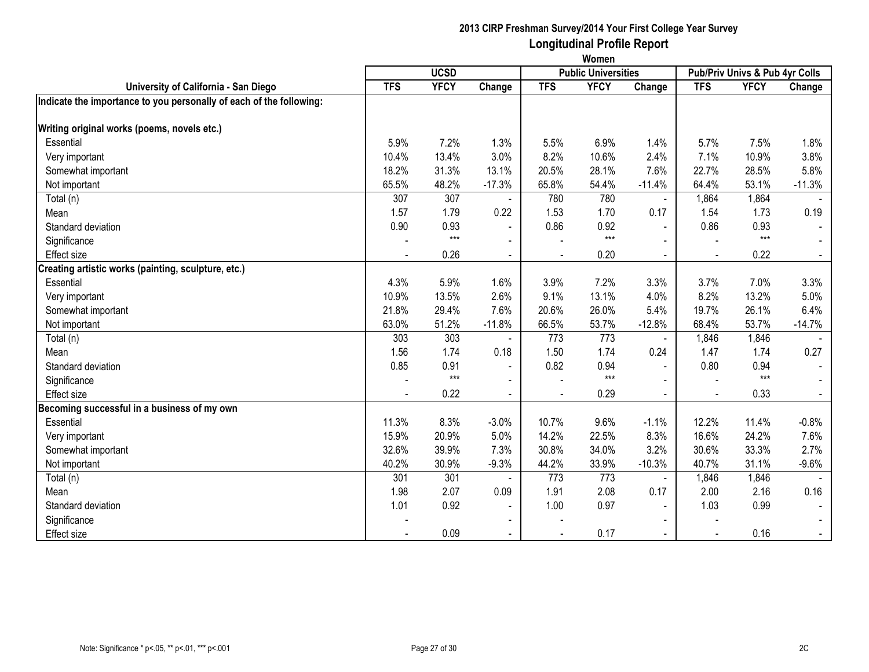|                                                                     | Women                                     |             |                |            |             |                          |            |                                |          |  |  |
|---------------------------------------------------------------------|-------------------------------------------|-------------|----------------|------------|-------------|--------------------------|------------|--------------------------------|----------|--|--|
|                                                                     | <b>UCSD</b><br><b>Public Universities</b> |             |                |            |             |                          |            | Pub/Priv Univs & Pub 4yr Colls |          |  |  |
| University of California - San Diego                                | <b>TFS</b>                                | <b>YFCY</b> | Change         | <b>TFS</b> | <b>YFCY</b> | Change                   | <b>TFS</b> | <b>YFCY</b>                    | Change   |  |  |
| Indicate the importance to you personally of each of the following: |                                           |             |                |            |             |                          |            |                                |          |  |  |
|                                                                     |                                           |             |                |            |             |                          |            |                                |          |  |  |
| Writing original works (poems, novels etc.)                         |                                           |             |                |            |             |                          |            |                                |          |  |  |
| Essential                                                           | 5.9%                                      | 7.2%        | 1.3%           | 5.5%       | 6.9%        | 1.4%                     | 5.7%       | 7.5%                           | 1.8%     |  |  |
| Very important                                                      | 10.4%                                     | 13.4%       | 3.0%           | 8.2%       | 10.6%       | 2.4%                     | 7.1%       | 10.9%                          | 3.8%     |  |  |
| Somewhat important                                                  | 18.2%                                     | 31.3%       | 13.1%          | 20.5%      | 28.1%       | 7.6%                     | 22.7%      | 28.5%                          | 5.8%     |  |  |
| Not important                                                       | 65.5%                                     | 48.2%       | $-17.3%$       | 65.8%      | 54.4%       | $-11.4%$                 | 64.4%      | 53.1%                          | $-11.3%$ |  |  |
| Total (n)                                                           | 307                                       | 307         |                | 780        | 780         | $\blacksquare$           | 1,864      | 1,864                          |          |  |  |
| Mean                                                                | 1.57                                      | 1.79        | 0.22           | 1.53       | 1.70        | 0.17                     | 1.54       | 1.73                           | 0.19     |  |  |
| Standard deviation                                                  | 0.90                                      | 0.93        | $\sim$         | 0.86       | 0.92        | $\blacksquare$           | 0.86       | 0.93                           |          |  |  |
| Significance                                                        |                                           | $***$       | $\blacksquare$ |            | $***$       | $\blacksquare$           |            | $***$                          |          |  |  |
| <b>Effect size</b>                                                  |                                           | 0.26        | $\sim$         |            | 0.20        |                          |            | 0.22                           |          |  |  |
| Creating artistic works (painting, sculpture, etc.)                 |                                           |             |                |            |             |                          |            |                                |          |  |  |
| Essential                                                           | 4.3%                                      | 5.9%        | 1.6%           | 3.9%       | 7.2%        | 3.3%                     | 3.7%       | 7.0%                           | 3.3%     |  |  |
| Very important                                                      | 10.9%                                     | 13.5%       | 2.6%           | 9.1%       | 13.1%       | 4.0%                     | 8.2%       | 13.2%                          | 5.0%     |  |  |
| Somewhat important                                                  | 21.8%                                     | 29.4%       | 7.6%           | 20.6%      | 26.0%       | 5.4%                     | 19.7%      | 26.1%                          | 6.4%     |  |  |
| Not important                                                       | 63.0%                                     | 51.2%       | $-11.8%$       | 66.5%      | 53.7%       | $-12.8%$                 | 68.4%      | 53.7%                          | $-14.7%$ |  |  |
| Total (n)                                                           | 303                                       | 303         |                | 773        | 773         | $\sim$                   | 1,846      | 1,846                          |          |  |  |
| Mean                                                                | 1.56                                      | 1.74        | 0.18           | 1.50       | 1.74        | 0.24                     | 1.47       | 1.74                           | 0.27     |  |  |
| Standard deviation                                                  | 0.85                                      | 0.91        | $\blacksquare$ | 0.82       | 0.94        | $\blacksquare$           | 0.80       | 0.94                           |          |  |  |
| Significance                                                        |                                           | $***$       | $\blacksquare$ |            | $***$       |                          |            | $***$                          |          |  |  |
| <b>Effect size</b>                                                  |                                           | 0.22        | $\blacksquare$ |            | 0.29        |                          |            | 0.33                           |          |  |  |
| Becoming successful in a business of my own                         |                                           |             |                |            |             |                          |            |                                |          |  |  |
| Essential                                                           | 11.3%                                     | 8.3%        | $-3.0%$        | 10.7%      | 9.6%        | $-1.1%$                  | 12.2%      | 11.4%                          | $-0.8%$  |  |  |
| Very important                                                      | 15.9%                                     | 20.9%       | 5.0%           | 14.2%      | 22.5%       | 8.3%                     | 16.6%      | 24.2%                          | 7.6%     |  |  |
| Somewhat important                                                  | 32.6%                                     | 39.9%       | 7.3%           | 30.8%      | 34.0%       | 3.2%                     | 30.6%      | 33.3%                          | 2.7%     |  |  |
| Not important                                                       | 40.2%                                     | 30.9%       | $-9.3%$        | 44.2%      | 33.9%       | $-10.3%$                 | 40.7%      | 31.1%                          | $-9.6%$  |  |  |
| Total (n)                                                           | 301                                       | 301         |                | 773        | 773         |                          | 1,846      | 1,846                          |          |  |  |
| Mean                                                                | 1.98                                      | 2.07        | 0.09           | 1.91       | 2.08        | 0.17                     | 2.00       | 2.16                           | 0.16     |  |  |
| Standard deviation                                                  | 1.01                                      | 0.92        | $\blacksquare$ | 1.00       | 0.97        | $\blacksquare$           | 1.03       | 0.99                           |          |  |  |
| Significance                                                        |                                           |             | $\blacksquare$ |            |             |                          |            |                                |          |  |  |
| <b>Effect size</b>                                                  |                                           | 0.09        | $\blacksquare$ |            | 0.17        | $\overline{\phantom{0}}$ |            | 0.16                           | $\sim$   |  |  |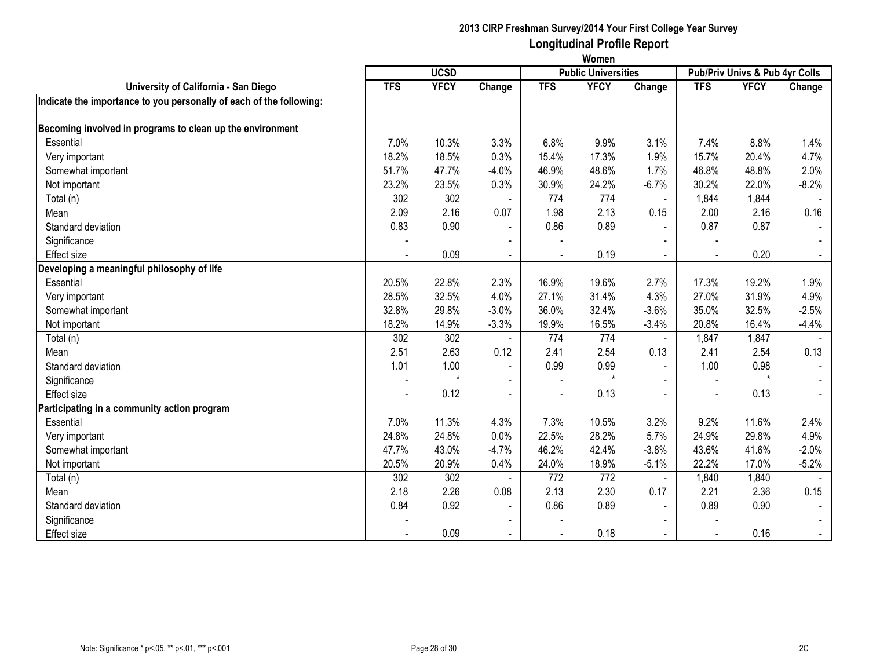|                                                                     | Women                                     |             |                          |            |             |                          |            |                                |         |  |  |
|---------------------------------------------------------------------|-------------------------------------------|-------------|--------------------------|------------|-------------|--------------------------|------------|--------------------------------|---------|--|--|
|                                                                     | <b>UCSD</b><br><b>Public Universities</b> |             |                          |            |             |                          |            | Pub/Priv Univs & Pub 4yr Colls |         |  |  |
| University of California - San Diego                                | <b>TFS</b>                                | <b>YFCY</b> | Change                   | <b>TFS</b> | <b>YFCY</b> | Change                   | <b>TFS</b> | <b>YFCY</b>                    | Change  |  |  |
| Indicate the importance to you personally of each of the following: |                                           |             |                          |            |             |                          |            |                                |         |  |  |
| Becoming involved in programs to clean up the environment           |                                           |             |                          |            |             |                          |            |                                |         |  |  |
| Essential                                                           | 7.0%                                      | 10.3%       | 3.3%                     | 6.8%       | 9.9%        | 3.1%                     | 7.4%       | 8.8%                           | 1.4%    |  |  |
| Very important                                                      | 18.2%                                     | 18.5%       | 0.3%                     | 15.4%      | 17.3%       | 1.9%                     | 15.7%      | 20.4%                          | 4.7%    |  |  |
| Somewhat important                                                  | 51.7%                                     | 47.7%       | $-4.0%$                  | 46.9%      | 48.6%       | 1.7%                     | 46.8%      | 48.8%                          | 2.0%    |  |  |
| Not important                                                       | 23.2%                                     | 23.5%       | 0.3%                     | 30.9%      | 24.2%       | $-6.7%$                  | 30.2%      | 22.0%                          | $-8.2%$ |  |  |
| Total (n)                                                           | 302                                       | 302         |                          | 774        | 774         |                          | 1,844      | 1,844                          |         |  |  |
| Mean                                                                | 2.09                                      | 2.16        | 0.07                     | 1.98       | 2.13        | 0.15                     | 2.00       | 2.16                           | 0.16    |  |  |
| Standard deviation                                                  | 0.83                                      | 0.90        | $\blacksquare$           | 0.86       | 0.89        | $\blacksquare$           | 0.87       | 0.87                           | $\sim$  |  |  |
| Significance                                                        |                                           |             | $\blacksquare$           |            |             |                          |            |                                |         |  |  |
| <b>Effect size</b>                                                  |                                           | 0.09        | $\blacksquare$           |            | 0.19        |                          |            | 0.20                           |         |  |  |
| Developing a meaningful philosophy of life                          |                                           |             |                          |            |             |                          |            |                                |         |  |  |
| Essential                                                           | 20.5%                                     | 22.8%       | 2.3%                     | 16.9%      | 19.6%       | 2.7%                     | 17.3%      | 19.2%                          | 1.9%    |  |  |
| Very important                                                      | 28.5%                                     | 32.5%       | 4.0%                     | 27.1%      | 31.4%       | 4.3%                     | 27.0%      | 31.9%                          | 4.9%    |  |  |
| Somewhat important                                                  | 32.8%                                     | 29.8%       | $-3.0%$                  | 36.0%      | 32.4%       | $-3.6%$                  | 35.0%      | 32.5%                          | $-2.5%$ |  |  |
| Not important                                                       | 18.2%                                     | 14.9%       | $-3.3%$                  | 19.9%      | 16.5%       | $-3.4%$                  | 20.8%      | 16.4%                          | $-4.4%$ |  |  |
| Total (n)                                                           | 302                                       | 302         |                          | 774        | 774         | $\blacksquare$           | 1,847      | 1,847                          |         |  |  |
| Mean                                                                | 2.51                                      | 2.63        | 0.12                     | 2.41       | 2.54        | 0.13                     | 2.41       | 2.54                           | 0.13    |  |  |
| Standard deviation                                                  | 1.01                                      | 1.00        | $\blacksquare$           | 0.99       | 0.99        | $\blacksquare$           | 1.00       | 0.98                           | $\sim$  |  |  |
| Significance                                                        |                                           |             | $\blacksquare$           |            | $\star$     |                          |            | $\star$                        |         |  |  |
| <b>Effect size</b>                                                  |                                           | 0.12        | $\blacksquare$           |            | 0.13        |                          |            | 0.13                           | $\sim$  |  |  |
| Participating in a community action program                         |                                           |             |                          |            |             |                          |            |                                |         |  |  |
| Essential                                                           | 7.0%                                      | 11.3%       | 4.3%                     | 7.3%       | 10.5%       | 3.2%                     | 9.2%       | 11.6%                          | 2.4%    |  |  |
| Very important                                                      | 24.8%                                     | 24.8%       | 0.0%                     | 22.5%      | 28.2%       | 5.7%                     | 24.9%      | 29.8%                          | 4.9%    |  |  |
| Somewhat important                                                  | 47.7%                                     | 43.0%       | $-4.7%$                  | 46.2%      | 42.4%       | $-3.8%$                  | 43.6%      | 41.6%                          | $-2.0%$ |  |  |
| Not important                                                       | 20.5%                                     | 20.9%       | 0.4%                     | 24.0%      | 18.9%       | $-5.1%$                  | 22.2%      | 17.0%                          | $-5.2%$ |  |  |
| Total (n)                                                           | 302                                       | 302         |                          | 772        | 772         | $\blacksquare$           | 1,840      | 1,840                          |         |  |  |
| Mean                                                                | 2.18                                      | 2.26        | 0.08                     | 2.13       | 2.30        | 0.17                     | 2.21       | 2.36                           | 0.15    |  |  |
| Standard deviation                                                  | 0.84                                      | 0.92        | $\sim$                   | 0.86       | 0.89        | $\blacksquare$           | 0.89       | 0.90                           |         |  |  |
| Significance                                                        |                                           |             | $\overline{\phantom{a}}$ |            |             |                          |            |                                |         |  |  |
| <b>Effect size</b>                                                  |                                           | 0.09        | $\blacksquare$           |            | 0.18        | $\overline{\phantom{0}}$ |            | 0.16                           | $\sim$  |  |  |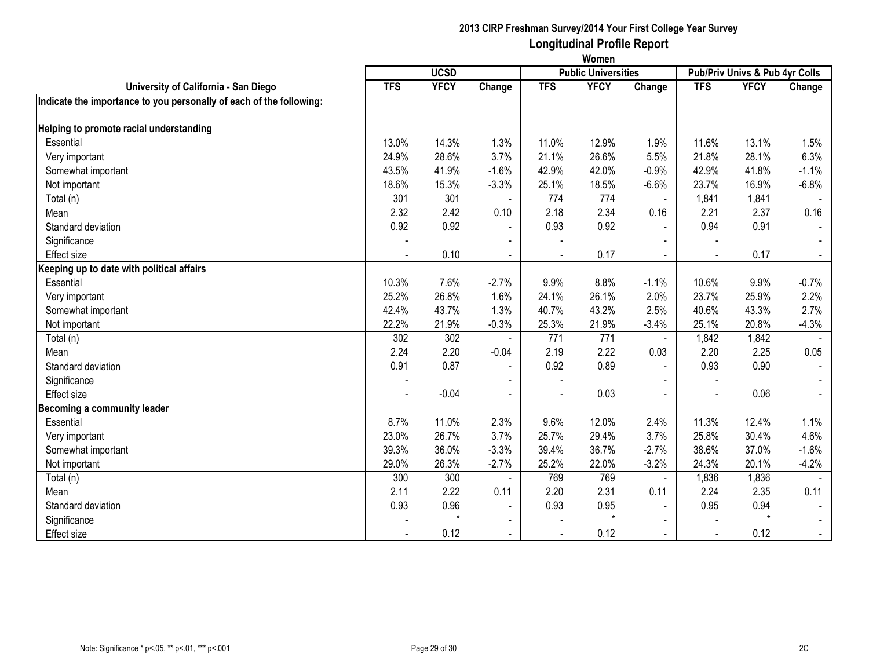|                                                                     | Women                                     |             |                |            |             |                |                                |             |         |  |  |
|---------------------------------------------------------------------|-------------------------------------------|-------------|----------------|------------|-------------|----------------|--------------------------------|-------------|---------|--|--|
|                                                                     | <b>UCSD</b><br><b>Public Universities</b> |             |                |            |             |                | Pub/Priv Univs & Pub 4yr Colls |             |         |  |  |
| University of California - San Diego                                | <b>TFS</b>                                | <b>YFCY</b> | Change         | <b>TFS</b> | <b>YFCY</b> | Change         | <b>TFS</b>                     | <b>YFCY</b> | Change  |  |  |
| Indicate the importance to you personally of each of the following: |                                           |             |                |            |             |                |                                |             |         |  |  |
|                                                                     |                                           |             |                |            |             |                |                                |             |         |  |  |
| Helping to promote racial understanding                             |                                           |             |                |            |             |                |                                |             |         |  |  |
| Essential                                                           | 13.0%                                     | 14.3%       | 1.3%           | 11.0%      | 12.9%       | 1.9%           | 11.6%                          | 13.1%       | 1.5%    |  |  |
| Very important                                                      | 24.9%                                     | 28.6%       | 3.7%           | 21.1%      | 26.6%       | 5.5%           | 21.8%                          | 28.1%       | 6.3%    |  |  |
| Somewhat important                                                  | 43.5%                                     | 41.9%       | $-1.6%$        | 42.9%      | 42.0%       | $-0.9%$        | 42.9%                          | 41.8%       | $-1.1%$ |  |  |
| Not important                                                       | 18.6%                                     | 15.3%       | $-3.3%$        | 25.1%      | 18.5%       | $-6.6%$        | 23.7%                          | 16.9%       | $-6.8%$ |  |  |
| Total (n)                                                           | 301                                       | 301         |                | 774        | 774         | $\blacksquare$ | 1,841                          | 1,841       |         |  |  |
| Mean                                                                | 2.32                                      | 2.42        | 0.10           | 2.18       | 2.34        | 0.16           | 2.21                           | 2.37        | 0.16    |  |  |
| Standard deviation                                                  | 0.92                                      | 0.92        | $\sim$         | 0.93       | 0.92        | $\blacksquare$ | 0.94                           | 0.91        |         |  |  |
| Significance                                                        |                                           |             | $\blacksquare$ |            |             | $\blacksquare$ |                                |             |         |  |  |
| <b>Effect size</b>                                                  |                                           | 0.10        | $\blacksquare$ |            | 0.17        |                |                                | 0.17        |         |  |  |
| Keeping up to date with political affairs                           |                                           |             |                |            |             |                |                                |             |         |  |  |
| Essential                                                           | 10.3%                                     | 7.6%        | $-2.7%$        | 9.9%       | 8.8%        | $-1.1%$        | 10.6%                          | 9.9%        | $-0.7%$ |  |  |
| Very important                                                      | 25.2%                                     | 26.8%       | 1.6%           | 24.1%      | 26.1%       | 2.0%           | 23.7%                          | 25.9%       | 2.2%    |  |  |
| Somewhat important                                                  | 42.4%                                     | 43.7%       | 1.3%           | 40.7%      | 43.2%       | 2.5%           | 40.6%                          | 43.3%       | 2.7%    |  |  |
| Not important                                                       | 22.2%                                     | 21.9%       | $-0.3%$        | 25.3%      | 21.9%       | $-3.4%$        | 25.1%                          | 20.8%       | $-4.3%$ |  |  |
| Total (n)                                                           | 302                                       | 302         |                | 771        | 771         | $\blacksquare$ | 1,842                          | 1,842       |         |  |  |
| Mean                                                                | 2.24                                      | 2.20        | $-0.04$        | 2.19       | 2.22        | 0.03           | 2.20                           | 2.25        | 0.05    |  |  |
| Standard deviation                                                  | 0.91                                      | 0.87        | $\blacksquare$ | 0.92       | 0.89        | $\blacksquare$ | 0.93                           | 0.90        | $\sim$  |  |  |
| Significance                                                        |                                           |             |                |            |             |                |                                |             |         |  |  |
| <b>Effect size</b>                                                  |                                           | $-0.04$     | $\blacksquare$ |            | 0.03        |                |                                | 0.06        |         |  |  |
| Becoming a community leader                                         |                                           |             |                |            |             |                |                                |             |         |  |  |
| Essential                                                           | 8.7%                                      | 11.0%       | 2.3%           | 9.6%       | 12.0%       | 2.4%           | 11.3%                          | 12.4%       | 1.1%    |  |  |
| Very important                                                      | 23.0%                                     | 26.7%       | 3.7%           | 25.7%      | 29.4%       | 3.7%           | 25.8%                          | 30.4%       | 4.6%    |  |  |
| Somewhat important                                                  | 39.3%                                     | 36.0%       | $-3.3%$        | 39.4%      | 36.7%       | $-2.7%$        | 38.6%                          | 37.0%       | $-1.6%$ |  |  |
| Not important                                                       | 29.0%                                     | 26.3%       | $-2.7%$        | 25.2%      | 22.0%       | $-3.2%$        | 24.3%                          | 20.1%       | $-4.2%$ |  |  |
| Total (n)                                                           | 300                                       | 300         |                | 769        | 769         | $\blacksquare$ | 1,836                          | 1,836       |         |  |  |
| Mean                                                                | 2.11                                      | 2.22        | 0.11           | 2.20       | 2.31        | 0.11           | 2.24                           | 2.35        | 0.11    |  |  |
| Standard deviation                                                  | 0.93                                      | 0.96        | $\blacksquare$ | 0.93       | 0.95        | $\blacksquare$ | 0.95                           | 0.94        |         |  |  |
| Significance                                                        |                                           | $\star$     | $\blacksquare$ |            | $\star$     | $\blacksquare$ |                                | $\star$     |         |  |  |
| <b>Effect size</b>                                                  |                                           | 0.12        | $\blacksquare$ |            | 0.12        | $\sim$         |                                | 0.12        | $\sim$  |  |  |